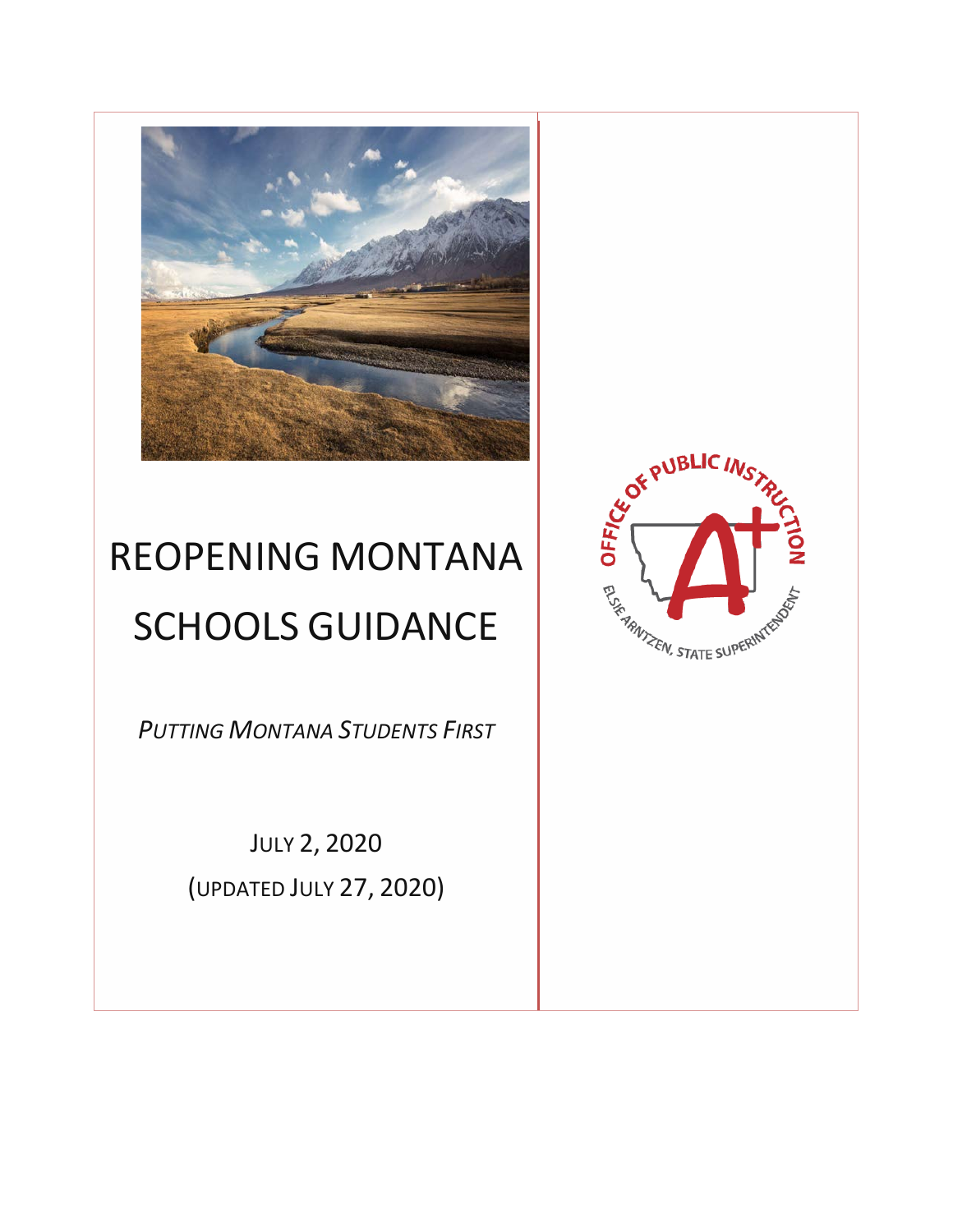

# REOPENING MONTANA SCHOOLS GUIDANCE

*PUTTING MONTANA STUDENTS FIRST*

JULY 2, 2020 (UPDATED JULY 27, 2020)

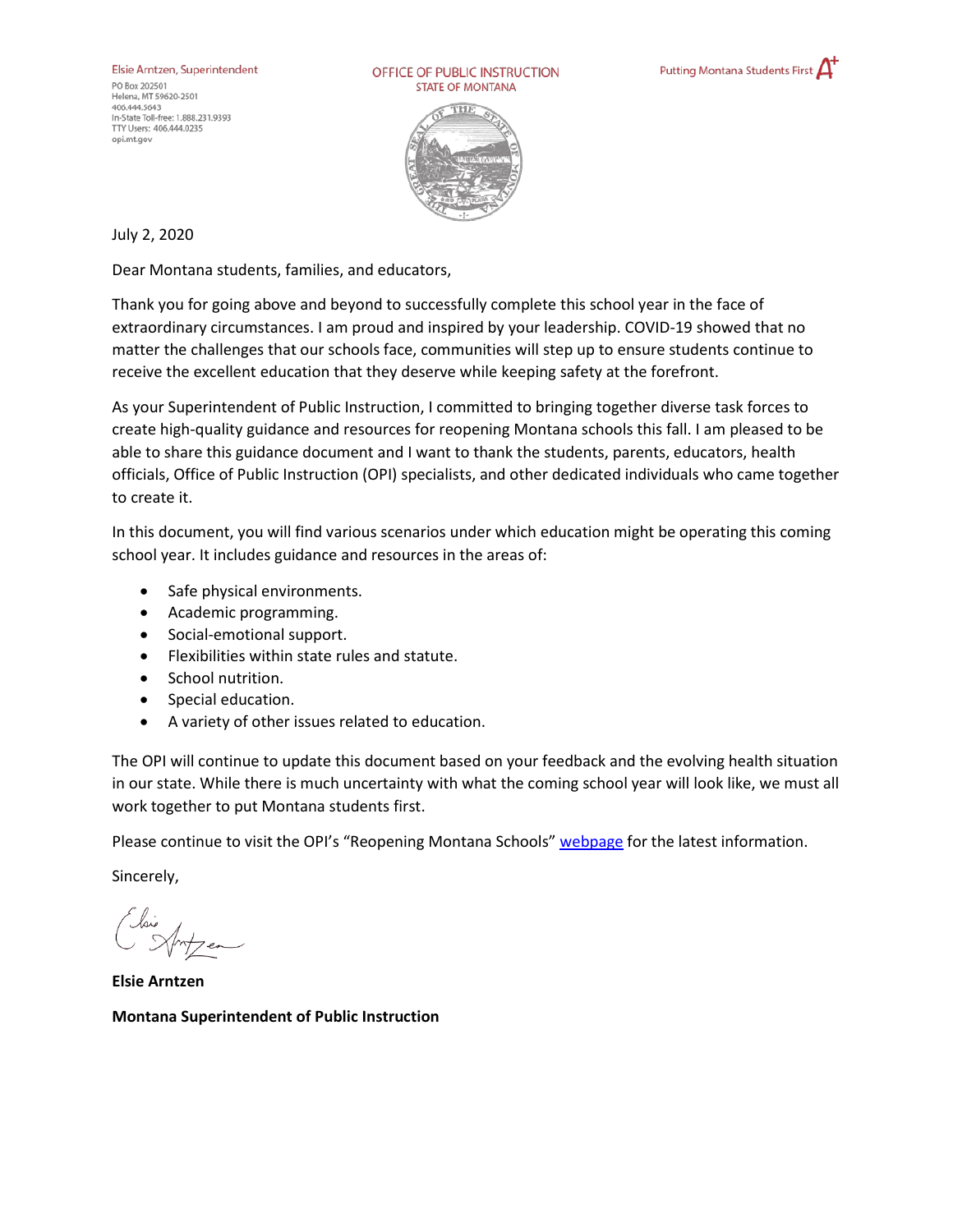Elsie Arntzen, Superintendent PO Box 202501 Helena, MT 59620-2501 406.444.5643 In-State Toll-free: 1.888.231.9393 TTY Users: 406.444.0235 opi.mt.gov

OFFICE OF PUBLIC INSTRUCTION **STATE OF MONTANA** 





July 2, 2020

Dear Montana students, families, and educators,

Thank you for going above and beyond to successfully complete this school year in the face of extraordinary circumstances. I am proud and inspired by your leadership. COVID-19 showed that no matter the challenges that our schools face, communities will step up to ensure students continue to receive the excellent education that they deserve while keeping safety at the forefront.

As your Superintendent of Public Instruction, I committed to bringing together diverse task forces to create high-quality guidance and resources for reopening Montana schools this fall. I am pleased to be able to share this guidance document and I want to thank the students, parents, educators, health officials, Office of Public Instruction (OPI) specialists, and other dedicated individuals who came together to create it.

In this document, you will find various scenarios under which education might be operating this coming school year. It includes guidance and resources in the areas of:

- Safe physical environments.
- Academic programming.
- Social-emotional support.
- Flexibilities within state rules and statute.
- School nutrition.
- Special education.
- A variety of other issues related to education.

The OPI will continue to update this document based on your feedback and the evolving health situation in our state. While there is much uncertainty with what the coming school year will look like, we must all work together to put Montana students first.

Please continue to visit the OPI's "Reopening Montana Schools[" webpage](http://opi.mt.gov/Re-opening-Schools) for the latest information.

Sincerely,

**Elsie Arntzen Montana Superintendent of Public Instruction**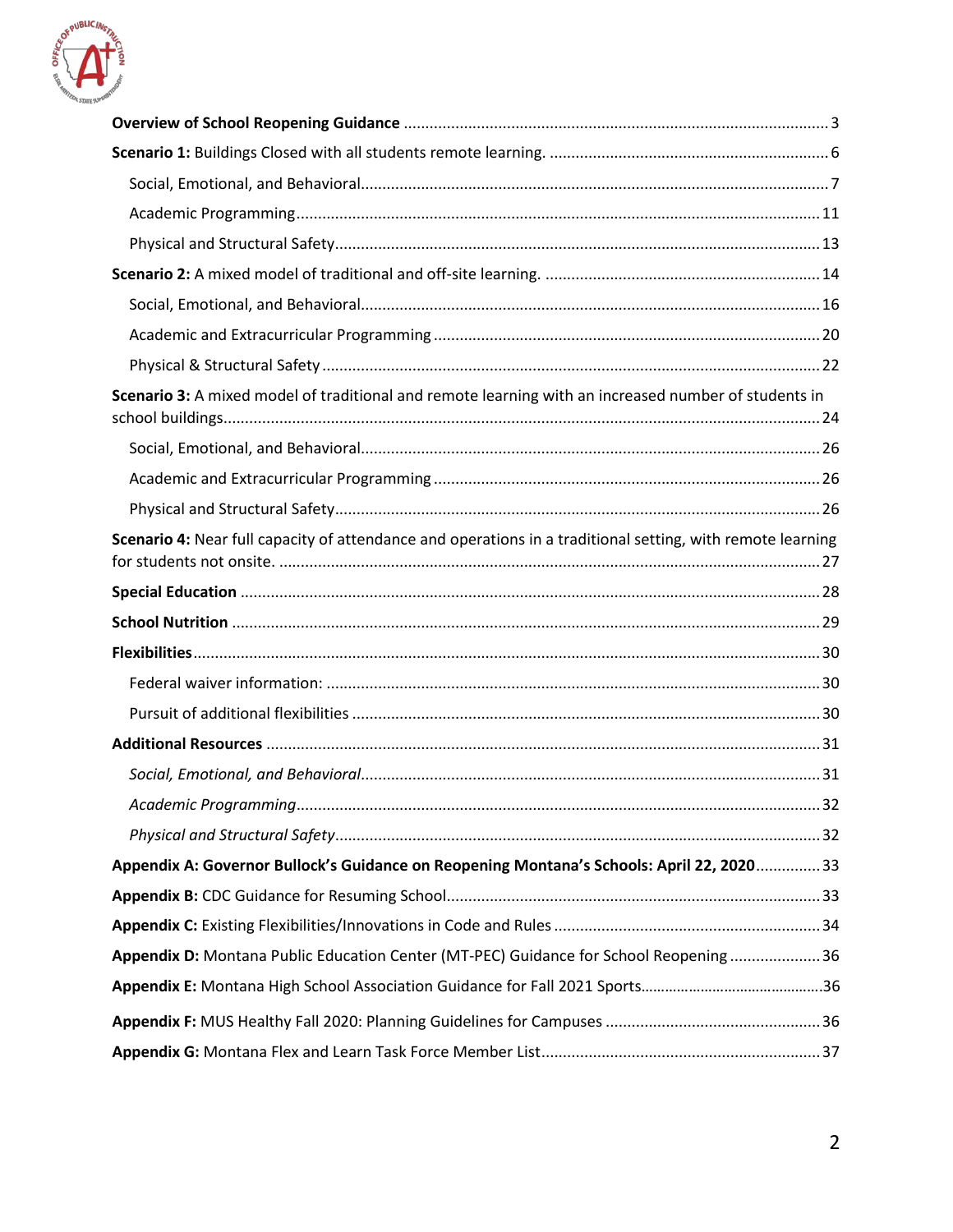

| Scenario 3: A mixed model of traditional and remote learning with an increased number of students in       |  |
|------------------------------------------------------------------------------------------------------------|--|
|                                                                                                            |  |
|                                                                                                            |  |
|                                                                                                            |  |
| Scenario 4: Near full capacity of attendance and operations in a traditional setting, with remote learning |  |
|                                                                                                            |  |
|                                                                                                            |  |
|                                                                                                            |  |
|                                                                                                            |  |
|                                                                                                            |  |
|                                                                                                            |  |
|                                                                                                            |  |
|                                                                                                            |  |
|                                                                                                            |  |
| Appendix A: Governor Bullock's Guidance on Reopening Montana's Schools: April 22, 2020 33                  |  |
|                                                                                                            |  |
|                                                                                                            |  |
| Appendix D: Montana Public Education Center (MT-PEC) Guidance for School Reopening  36                     |  |
|                                                                                                            |  |
|                                                                                                            |  |
|                                                                                                            |  |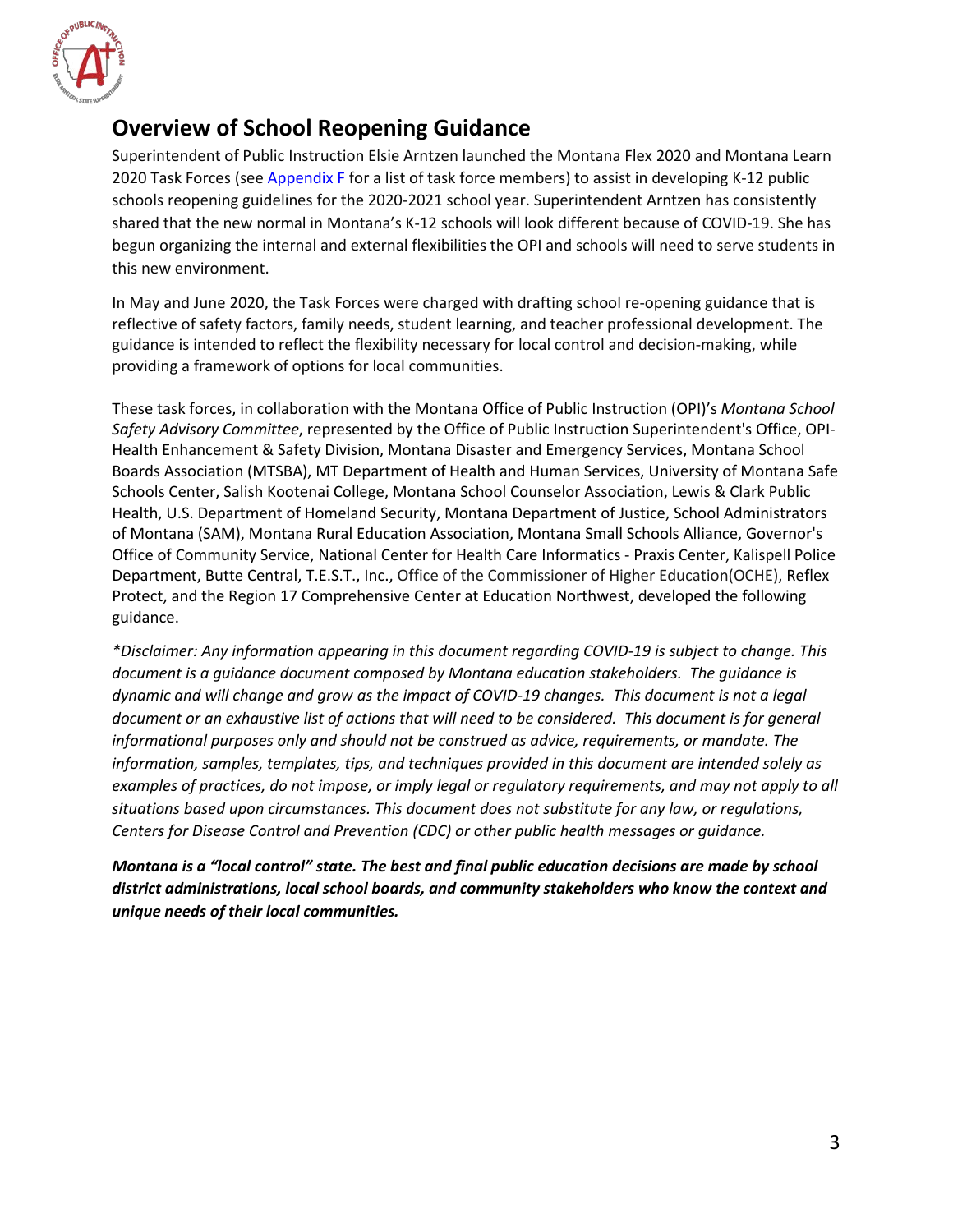

### <span id="page-3-0"></span>**Overview of School Reopening Guidance**

Superintendent of Public Instruction Elsie Arntzen launched the Montana Flex 2020 and Montana Learn 2020 Task Forces (see [Appendix F](#page-37-0) for a list of task force members) to assist in developing K-12 public schools reopening guidelines for the 2020-2021 school year. Superintendent Arntzen has consistently shared that the new normal in Montana's K-12 schools will look different because of COVID-19. She has begun organizing the internal and external flexibilities the OPI and schools will need to serve students in this new environment.

In May and June 2020, the Task Forces were charged with drafting school re-opening guidance that is reflective of safety factors, family needs, student learning, and teacher professional development. The guidance is intended to reflect the flexibility necessary for local control and decision-making, while providing a framework of options for local communities.

These task forces, in collaboration with the Montana Office of Public Instruction (OPI)'s *Montana School Safety Advisory Committee*, represented by the Office of Public Instruction Superintendent's Office, OPI-Health Enhancement & Safety Division, Montana Disaster and Emergency Services, Montana School Boards Association (MTSBA), MT Department of Health and Human Services, University of Montana Safe Schools Center, Salish Kootenai College, Montana School Counselor Association, Lewis & Clark Public Health, U.S. Department of Homeland Security, Montana Department of Justice, School Administrators of Montana (SAM), Montana Rural Education Association, Montana Small Schools Alliance, Governor's Office of Community Service, National Center for Health Care Informatics - Praxis Center, Kalispell Police Department, Butte Central, T.E.S.T., Inc., Office of the Commissioner of Higher Education(OCHE), Reflex Protect, and the Region 17 Comprehensive Center at Education Northwest, developed the following guidance.

*\*Disclaimer: Any information appearing in this document regarding COVID-19 is subject to change. This document is a guidance document composed by Montana education stakeholders. The guidance is dynamic and will change and grow as the impact of COVID-19 changes. This document is not a legal document or an exhaustive list of actions that will need to be considered. This document is for general informational purposes only and should not be construed as advice, requirements, or mandate. The information, samples, templates, tips, and techniques provided in this document are intended solely as examples of practices, do not impose, or imply legal or regulatory requirements, and may not apply to all situations based upon circumstances. This document does not substitute for any law, or regulations, Centers for Disease Control and Prevention (CDC) or other public health messages or guidance.*

*Montana is a "local control" state. The best and final public education decisions are made by school district administrations, local school boards, and community stakeholders who know the context and unique needs of their local communities.*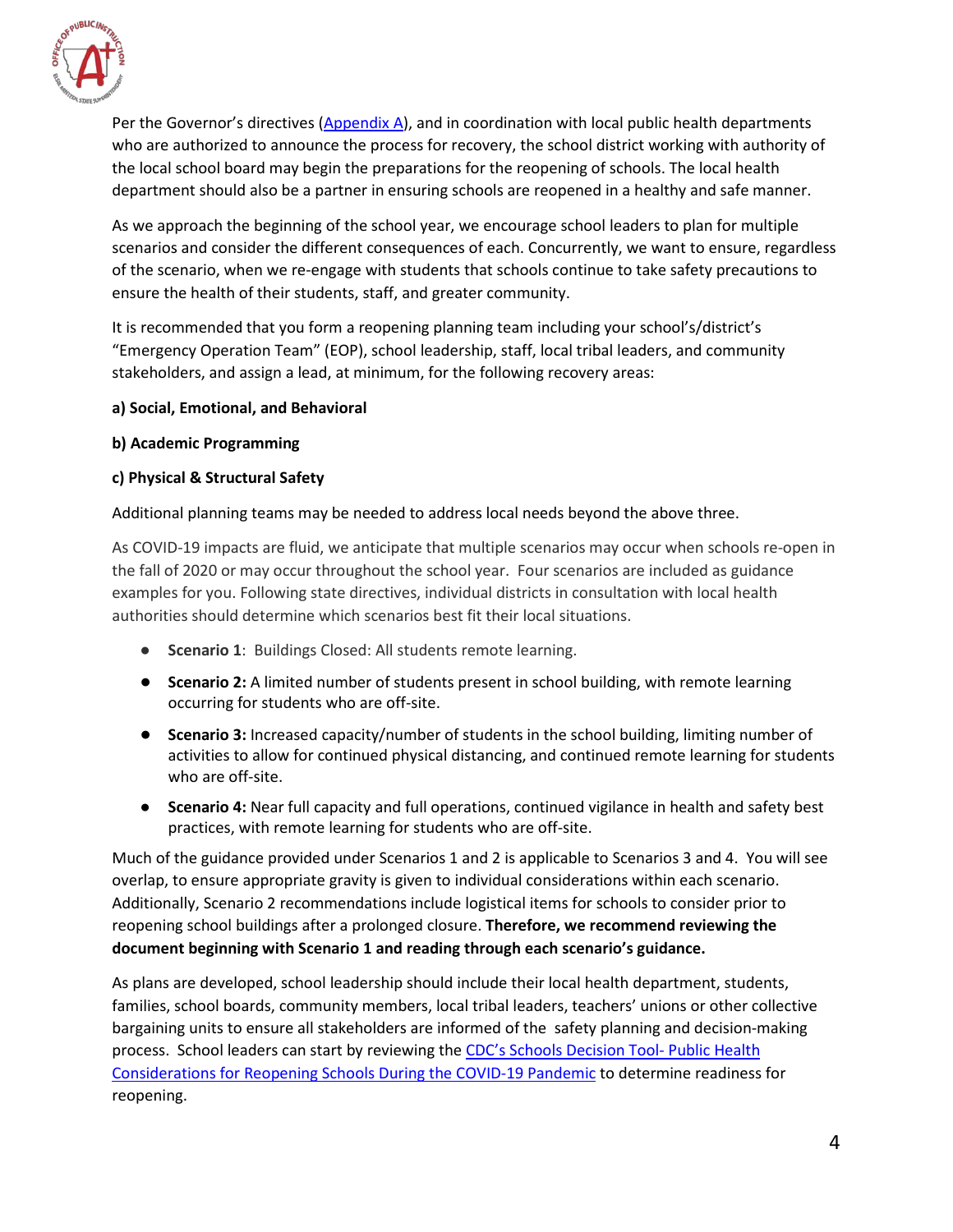

Per the Governor's directives [\(Appendix A\)](#page-33-0), and in coordination with local public health departments who are authorized to announce the process for recovery, the school district working with authority of the local school board may begin the preparations for the reopening of schools. The local health department should also be a partner in ensuring schools are reopened in a healthy and safe manner.

As we approach the beginning of the school year, we encourage school leaders to plan for multiple scenarios and consider the different consequences of each. Concurrently, we want to ensure, regardless of the scenario, when we re-engage with students that schools continue to take safety precautions to ensure the health of their students, staff, and greater community.

It is recommended that you form a reopening planning team including your school's/district's "Emergency Operation Team" (EOP), school leadership, staff, local tribal leaders, and community stakeholders, and assign a lead, at minimum, for the following recovery areas:

#### **a) Social, Emotional, and Behavioral**

#### **b) Academic Programming**

#### **c) Physical & Structural Safety**

Additional planning teams may be needed to address local needs beyond the above three.

As COVID-19 impacts are fluid, we anticipate that multiple scenarios may occur when schools re-open in the fall of 2020 or may occur throughout the school year. Four scenarios are included as guidance examples for you. Following state directives, individual districts in consultation with local health authorities should determine which scenarios best fit their local situations.

- **Scenario 1**: Buildings Closed: All students remote learning.
- **Scenario 2:** A limited number of students present in school building, with remote learning occurring for students who are off-site.
- **Scenario 3:** Increased capacity/number of students in the school building, limiting number of activities to allow for continued physical distancing, and continued remote learning for students who are off-site.
- **Scenario 4:** Near full capacity and full operations, continued vigilance in health and safety best practices, with remote learning for students who are off-site.

Much of the guidance provided under Scenarios 1 and 2 is applicable to Scenarios 3 and 4. You will see overlap, to ensure appropriate gravity is given to individual considerations within each scenario. Additionally, Scenario 2 recommendations include logistical items for schools to consider prior to reopening school buildings after a prolonged closure. **Therefore, we recommend reviewing the document beginning with Scenario 1 and reading through each scenario's guidance.** 

As plans are developed, school leadership should include their local health department, students, families, school boards, community members, local tribal leaders, teachers' unions or other collective bargaining units to ensure all stakeholders are informed of the safety planning and decision-making process. School leaders can start by reviewing the [CDC's Schools Decision Tool-](https://www.cdc.gov/coronavirus/2019-ncov/community/schools-childcare/schools-decision-tool.html) Public Health [Considerations for Reopening Schools During the COVID-19 Pandemic](https://www.cdc.gov/coronavirus/2019-ncov/community/schools-childcare/schools-decision-tool.html) to determine readiness for reopening.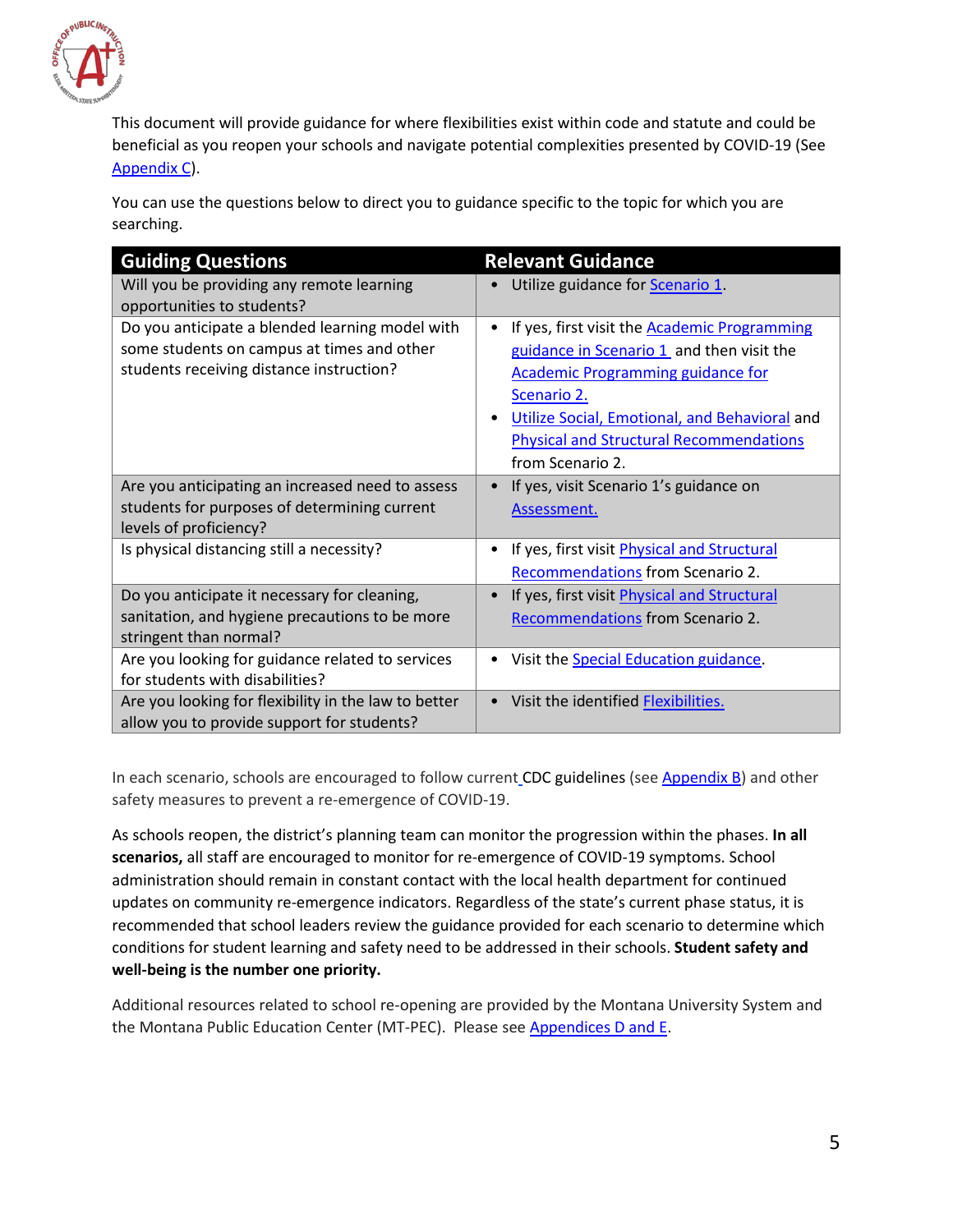

This document will provide guidance for where flexibilities exist within code and statute and could be beneficial as you reopen your schools and navigate potential complexities presented by COVID-19 (See [Appendix C\)](#page-34-0).

You can use the questions below to direct you to guidance specific to the topic for which you are searching.

| <b>Guiding Questions</b>                                                                                                                  | <b>Relevant Guidance</b>                                                                                                                                                                                                                                                                |
|-------------------------------------------------------------------------------------------------------------------------------------------|-----------------------------------------------------------------------------------------------------------------------------------------------------------------------------------------------------------------------------------------------------------------------------------------|
| Will you be providing any remote learning<br>opportunities to students?                                                                   | Utilize guidance for <b>Scenario 1</b> .                                                                                                                                                                                                                                                |
| Do you anticipate a blended learning model with<br>some students on campus at times and other<br>students receiving distance instruction? | If yes, first visit the <b>Academic Programming</b><br>٠<br>guidance in Scenario 1 and then visit the<br><b>Academic Programming guidance for</b><br>Scenario 2.<br>Utilize Social, Emotional, and Behavioral and<br><b>Physical and Structural Recommendations</b><br>from Scenario 2. |
| Are you anticipating an increased need to assess<br>students for purposes of determining current                                          | If yes, visit Scenario 1's guidance on<br>Assessment.                                                                                                                                                                                                                                   |
| levels of proficiency?                                                                                                                    |                                                                                                                                                                                                                                                                                         |
| Is physical distancing still a necessity?                                                                                                 | If yes, first visit Physical and Structural                                                                                                                                                                                                                                             |
|                                                                                                                                           | Recommendations from Scenario 2.                                                                                                                                                                                                                                                        |
| Do you anticipate it necessary for cleaning,                                                                                              | If yes, first visit Physical and Structural                                                                                                                                                                                                                                             |
| sanitation, and hygiene precautions to be more                                                                                            | Recommendations from Scenario 2.                                                                                                                                                                                                                                                        |
| stringent than normal?                                                                                                                    |                                                                                                                                                                                                                                                                                         |
| Are you looking for guidance related to services                                                                                          | Visit the <b>Special Education guidance</b> .                                                                                                                                                                                                                                           |
| for students with disabilities?                                                                                                           |                                                                                                                                                                                                                                                                                         |
| Are you looking for flexibility in the law to better                                                                                      | Visit the identified <b>Flexibilities</b> .<br>$\bullet$                                                                                                                                                                                                                                |
| allow you to provide support for students?                                                                                                |                                                                                                                                                                                                                                                                                         |

In each scenario, schools are encouraged to follow current CDC guidelines (se[e Appendix B\)](#page-33-1) and other safety measures to prevent a re-emergence of COVID-19.

As schools reopen, the district's planning team can monitor the progression within the phases. **In all scenarios,** all staff are encouraged to monitor for re-emergence of COVID-19 symptoms. School administration should remain in constant contact with the local health department for continued updates on community re-emergence indicators. Regardless of the state's current phase status, it is recommended that school leaders review the guidance provided for each scenario to determine which conditions for student learning and safety need to be addressed in their schools. **Student safety and well-being is the number one priority.**

Additional resources related to school re-opening are provided by the Montana University System and the Montana Public Education Center (MT-PEC). Please se[e Appendices](#page-36-0) D and E.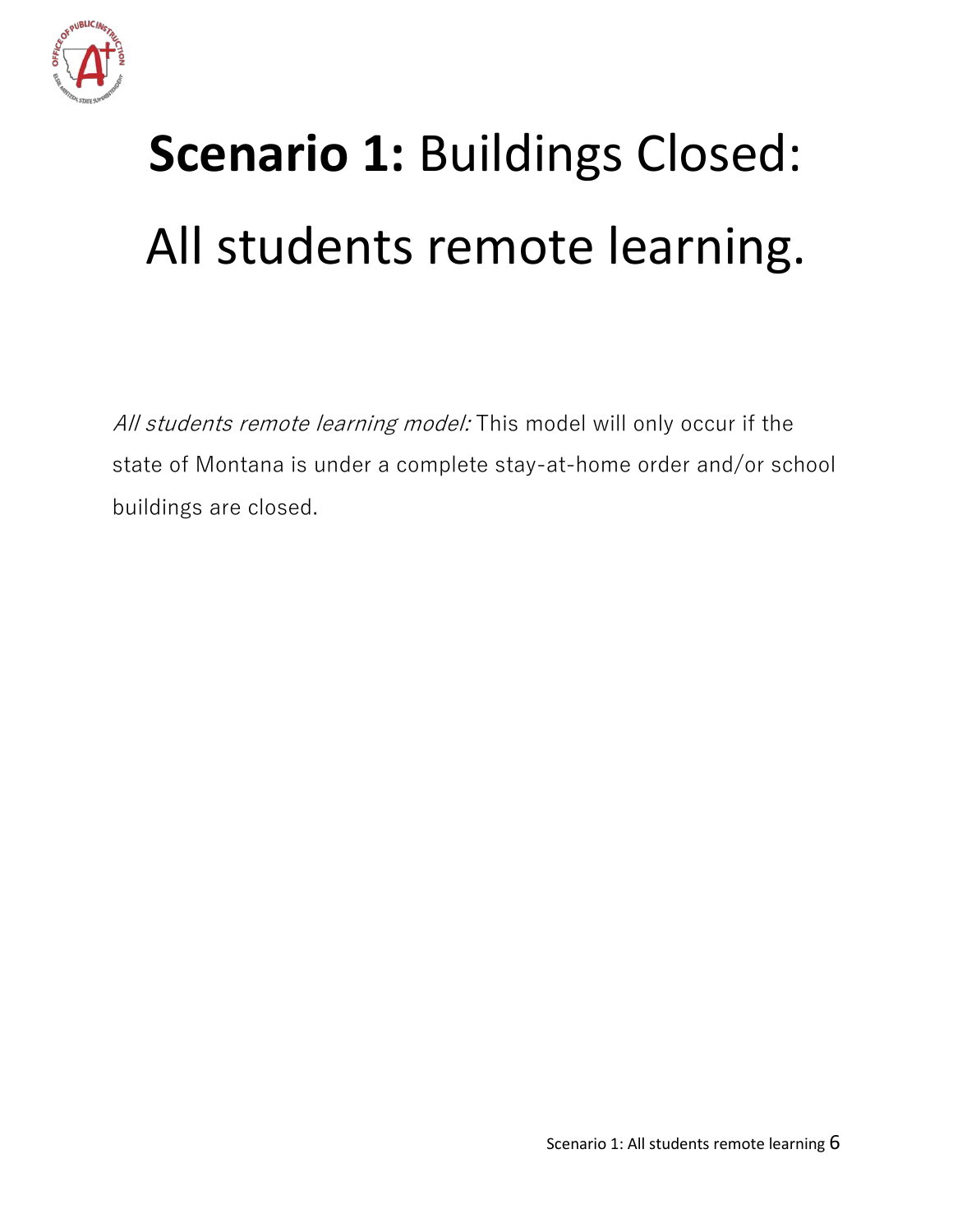

# <span id="page-6-0"></span>**Scenario 1:** Buildings Closed: All students remote learning.

All students remote learning model: This model will only occur if the state of Montana is under a complete stay-at-home order and/or school buildings are closed.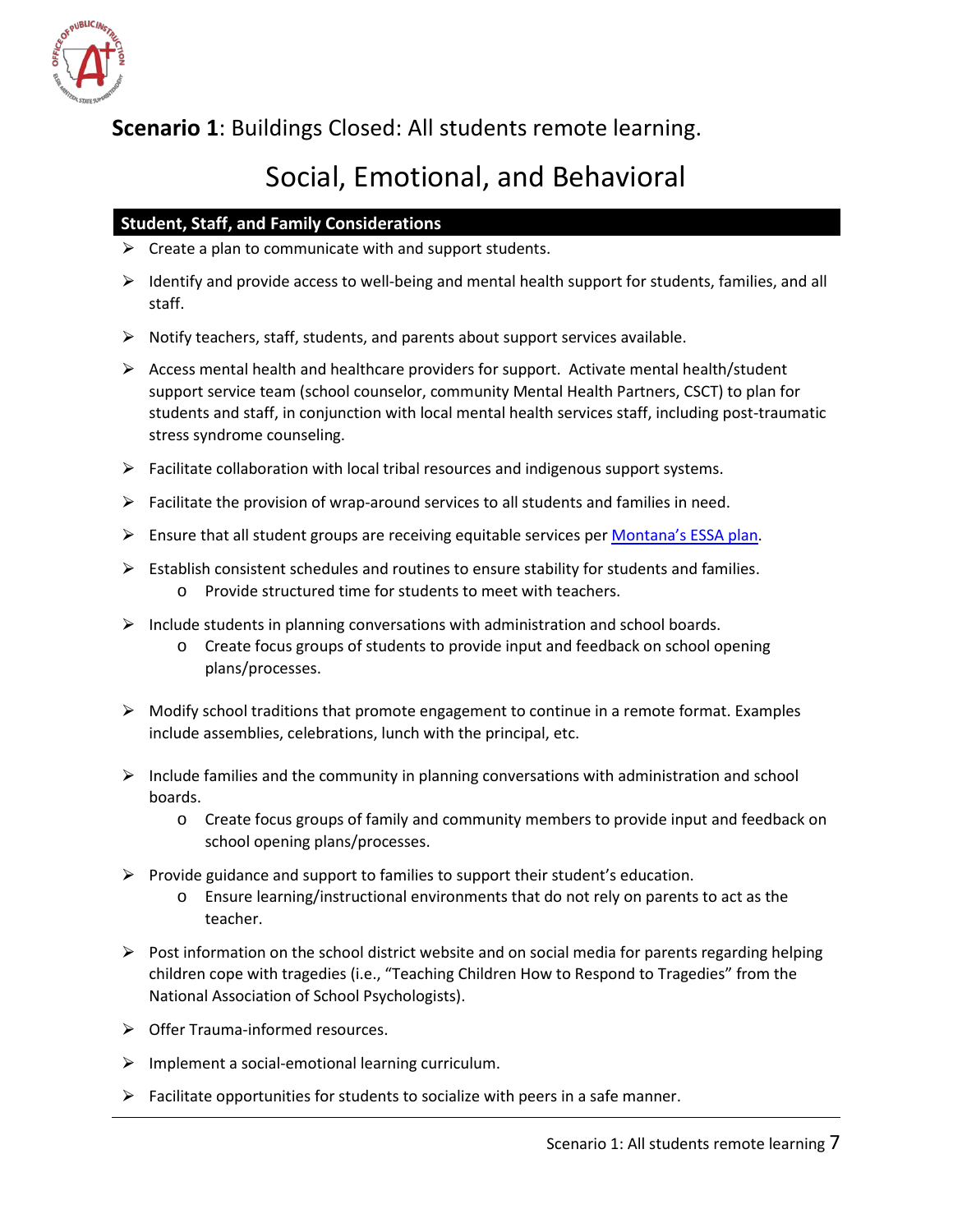

<span id="page-7-0"></span>**Scenario 1**: Buildings Closed: All students remote learning.

# Social, Emotional, and Behavioral

#### **Student, Staff, and Family Considerations**

- $\triangleright$  Create a plan to communicate with and support students.
- $\triangleright$  Identify and provide access to well-being and mental health support for students, families, and all staff.
- $\triangleright$  Notify teachers, staff, students, and parents about support services available.
- $\triangleright$  Access mental health and healthcare providers for support. Activate mental health/student support service team (school counselor, community Mental Health Partners, CSCT) to plan for students and staff, in conjunction with local mental health services staff, including post-traumatic stress syndrome counseling.
- $\triangleright$  Facilitate collaboration with local tribal resources and indigenous support systems.
- $\triangleright$  Facilitate the provision of wrap-around services to all students and families in need.
- $\triangleright$  Ensure that all student groups are receiving equitable services per [Montana's ESSA plan.](http://opi.mt.gov/Portals/182/ESSA/ESSA_Plan_8_27_2019A.pdf?ver=2019-08-27-160009-497)
- $\triangleright$  Establish consistent schedules and routines to ensure stability for students and families. o Provide structured time for students to meet with teachers.
- $\triangleright$  Include students in planning conversations with administration and school boards.
	- o Create focus groups of students to provide input and feedback on school opening plans/processes.
- $\triangleright$  Modify school traditions that promote engagement to continue in a remote format. Examples include assemblies, celebrations, lunch with the principal, etc.
- $\triangleright$  Include families and the community in planning conversations with administration and school boards.
	- o Create focus groups of family and community members to provide input and feedback on school opening plans/processes.
- $\triangleright$  Provide guidance and support to families to support their student's education.
	- o Ensure learning/instructional environments that do not rely on parents to act as the teacher.
- $\triangleright$  Post information on the school district website and on social media for parents regarding helping children cope with tragedies (i.e., "Teaching Children How to Respond to Tragedies" from the National Association of School Psychologists).
- $\triangleright$  Offer Trauma-informed resources.
- $\triangleright$  Implement a social-emotional learning curriculum.
- $\triangleright$  Facilitate opportunities for students to socialize with peers in a safe manner.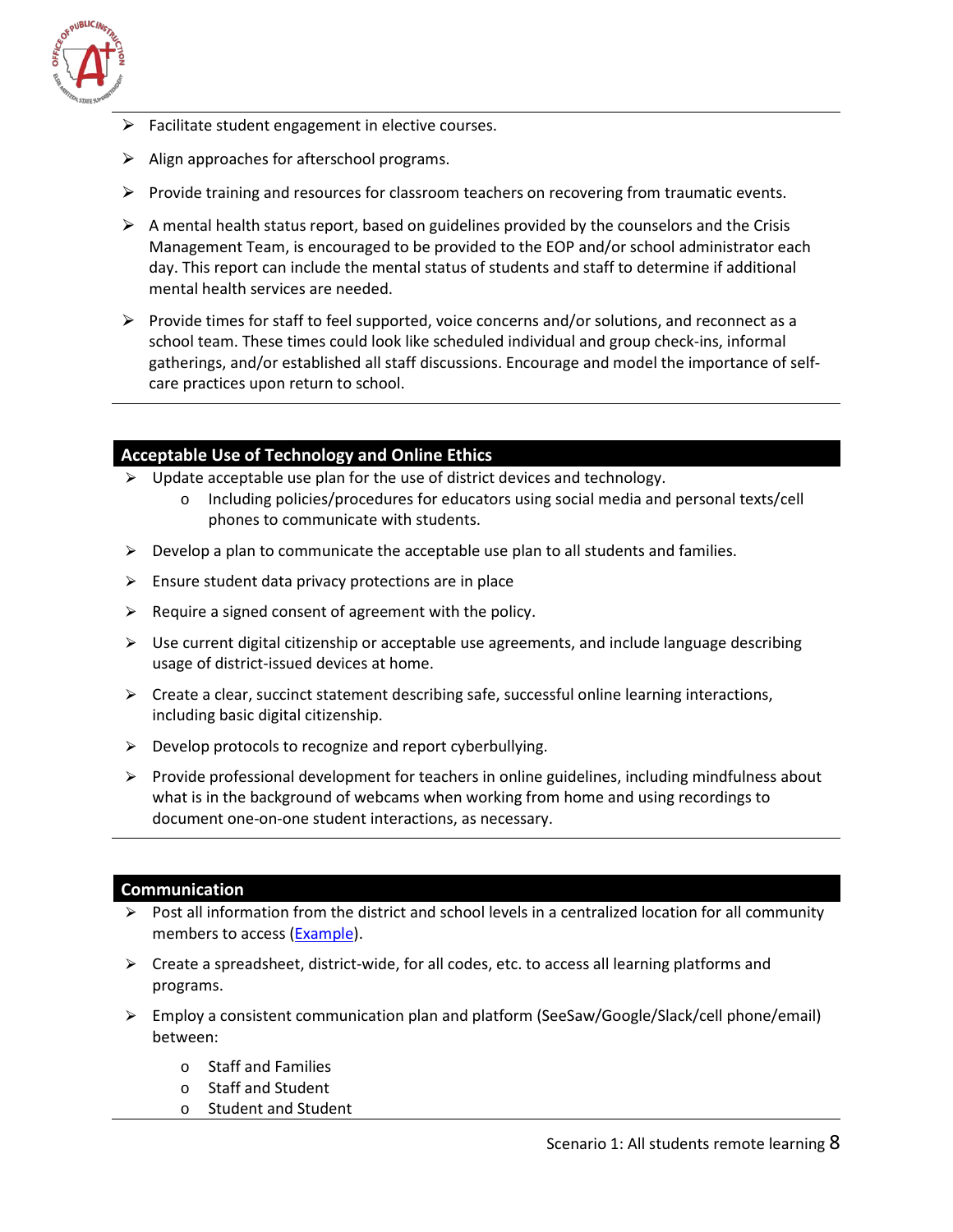

- ⮚ Facilitate student engagement in elective courses.
- $\triangleright$  Align approaches for afterschool programs.
- $\triangleright$  Provide training and resources for classroom teachers on recovering from traumatic events.
- $\triangleright$  A mental health status report, based on guidelines provided by the counselors and the Crisis Management Team, is encouraged to be provided to the EOP and/or school administrator each day. This report can include the mental status of students and staff to determine if additional mental health services are needed.
- $\triangleright$  Provide times for staff to feel supported, voice concerns and/or solutions, and reconnect as a school team. These times could look like scheduled individual and group check-ins, informal gatherings, and/or established all staff discussions. Encourage and model the importance of selfcare practices upon return to school.

#### **Acceptable Use of Technology and Online Ethics**

- $\triangleright$  Update acceptable use plan for the use of district devices and technology.
	- o Including policies/procedures for educators using social media and personal texts/cell phones to communicate with students.
- $\triangleright$  Develop a plan to communicate the acceptable use plan to all students and families.
- $\triangleright$  Ensure student data privacy protections are in place
- $\triangleright$  Require a signed consent of agreement with the policy.
- $\triangleright$  Use current digital citizenship or acceptable use agreements, and include language describing usage of district-issued devices at home.
- $\triangleright$  Create a clear, succinct statement describing safe, successful online learning interactions, including basic digital citizenship.
- $\triangleright$  Develop protocols to recognize and report cyberbullying.
- $\triangleright$  Provide professional development for teachers in online guidelines, including mindfulness about what is in the background of webcams when working from home and using recordings to document one-on-one student interactions, as necessary.

#### **Communication**

- $\triangleright$  Post all information from the district and school levels in a centralized location for all community members to access [\(Example\)](https://www.bsd7.org/cms/One.aspx?portalId=112502&pageId=37017923).
- $\triangleright$  Create a spreadsheet, district-wide, for all codes, etc. to access all learning platforms and programs.
- ⮚ Employ a consistent communication plan and platform (SeeSaw/Google/Slack/cell phone/email) between:
	- o Staff and Families
	- o Staff and Student
	- o Student and Student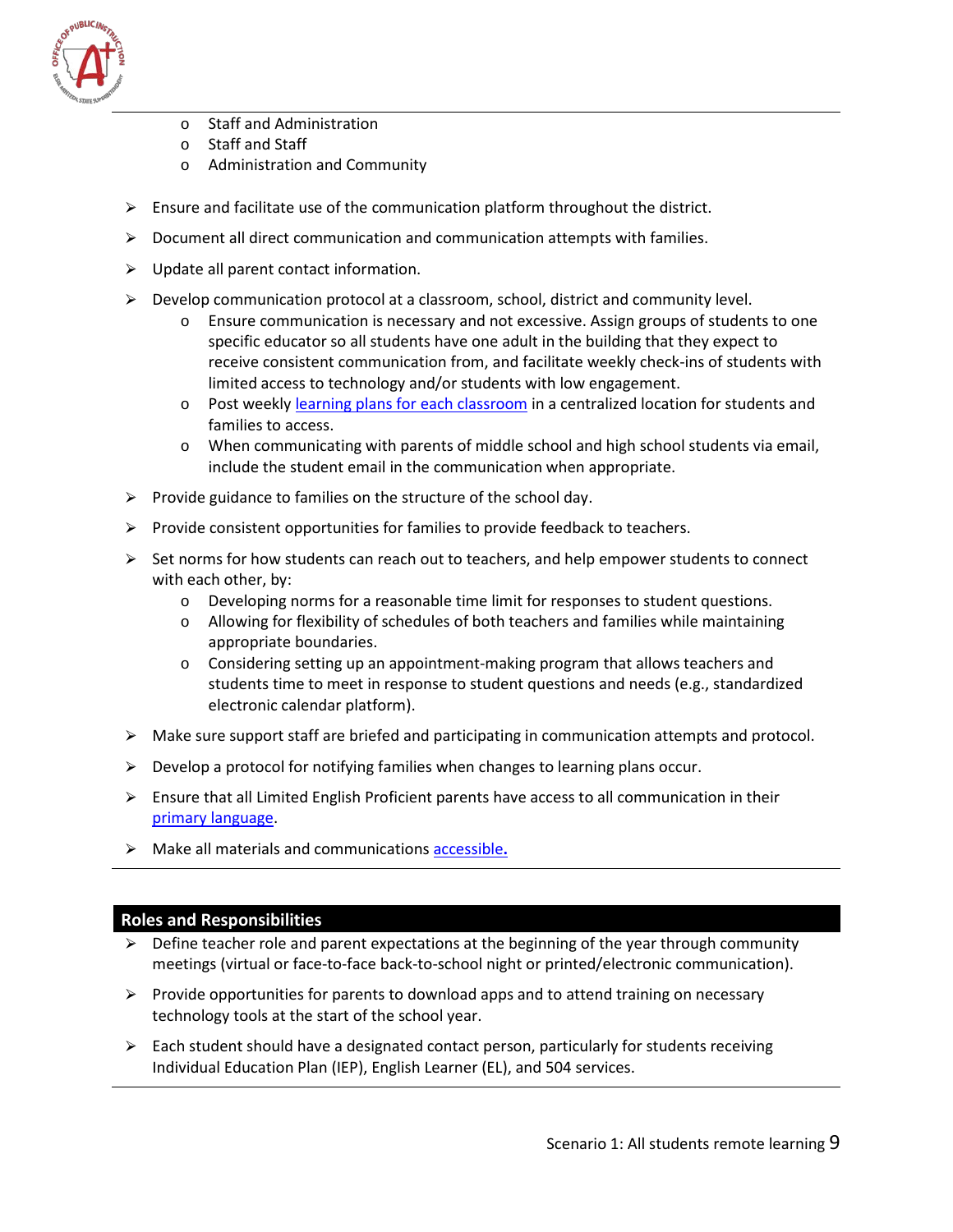

- o Staff and Administration
- o Staff and Staff
- o Administration and Community
- $\triangleright$  Ensure and facilitate use of the communication platform throughout the district.
- $\triangleright$  Document all direct communication and communication attempts with families.
- $\triangleright$  Update all parent contact information.
- $\triangleright$  Develop communication protocol at a classroom, school, district and community level.
	- o Ensure communication is necessary and not excessive. Assign groups of students to one specific educator so all students have one adult in the building that they expect to receive consistent communication from, and facilitate weekly check-ins of students with limited access to technology and/or students with low engagement.
	- o Post weekly [learning plans for each classroom](https://drive.google.com/file/d/1liQBwVijXsMQhaPNDJSBQk4D0RgdYC0F/view) in a centralized location for students and families to access.
	- o When communicating with parents of middle school and high school students via email, include the student email in the communication when appropriate.
- $\triangleright$  Provide guidance to families on the structure of the school day.
- $\triangleright$  Provide consistent opportunities for families to provide feedback to teachers.
- $\triangleright$  Set norms for how students can reach out to teachers, and help empower students to connect with each other, by:
	- o Developing norms for a reasonable time limit for responses to student questions.
	- $\circ$  Allowing for flexibility of schedules of both teachers and families while maintaining appropriate boundaries.
	- $\circ$  Considering setting up an appointment-making program that allows teachers and students time to meet in response to student questions and needs (e.g., standardized electronic calendar platform).
- $\triangleright$  Make sure support staff are briefed and participating in communication attempts and protocol.
- $\triangleright$  Develop a protocol for notifying families when changes to learning plans occur.
- $\triangleright$  Ensure that all Limited English Proficient parents have access to all communication in their [primary language.](https://talkingpts.org/)
- ⮚ Make all materials and communication[s accessible](https://www.w3.org/standards/webdesign/accessibility)**.**

#### **Roles and Responsibilities**

- $\triangleright$  Define teacher role and parent expectations at the beginning of the year through community meetings (virtual or face-to-face back-to-school night or printed/electronic communication).
- $\triangleright$  Provide opportunities for parents to download apps and to attend training on necessary technology tools at the start of the school year.
- $\triangleright$  Each student should have a designated contact person, particularly for students receiving Individual Education Plan (IEP), English Learner (EL), and 504 services.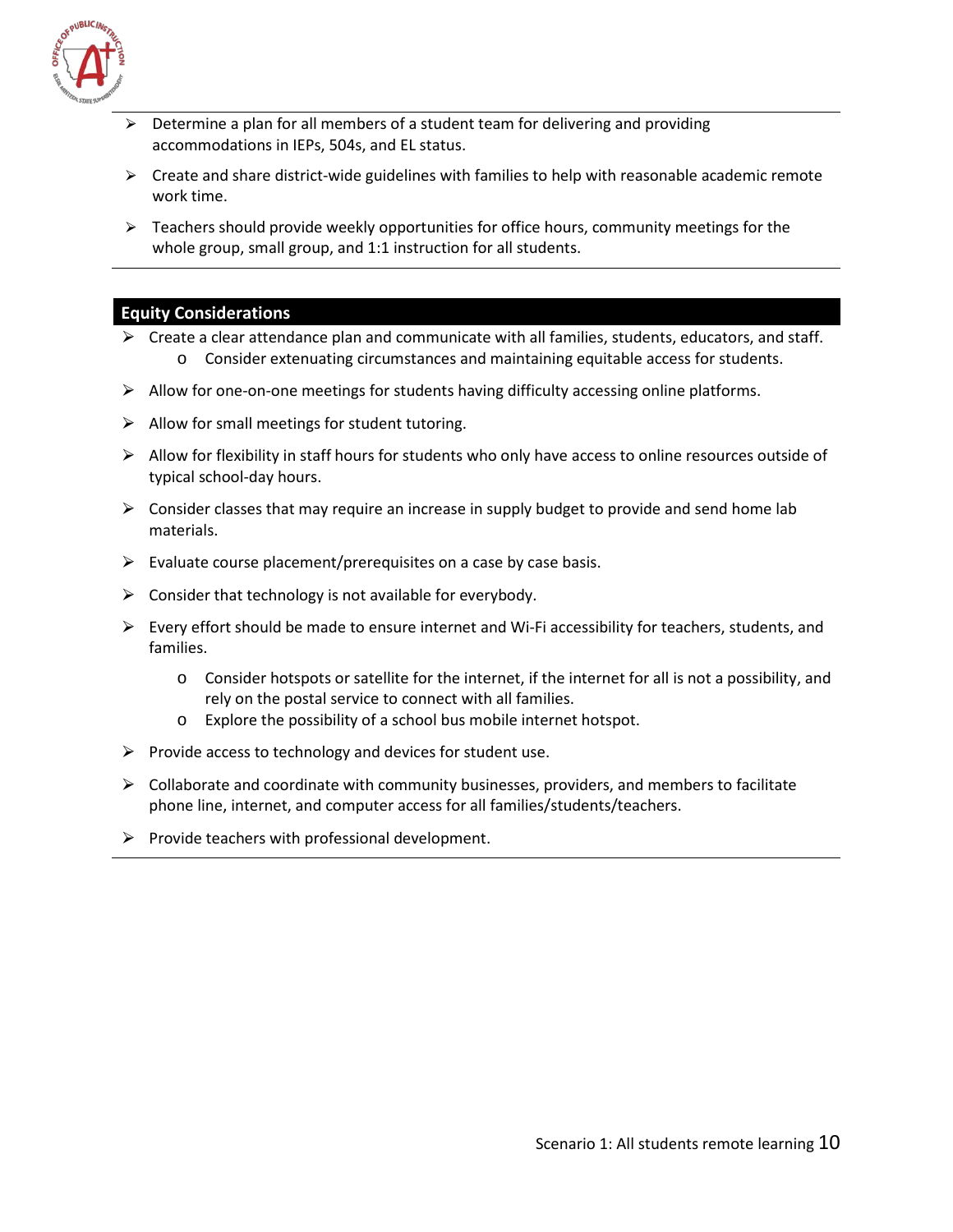

- ⮚ Determine a plan for all members of a student team for delivering and providing accommodations in IEPs, 504s, and EL status.
- $\triangleright$  Create and share district-wide guidelines with families to help with reasonable academic remote work time.
- $\triangleright$  Teachers should provide weekly opportunities for office hours, community meetings for the whole group, small group, and 1:1 instruction for all students.

#### **Equity Considerations**

- $\triangleright$  Create a clear attendance plan and communicate with all families, students, educators, and staff. o Consider extenuating circumstances and maintaining equitable access for students.
- $\triangleright$  Allow for one-on-one meetings for students having difficulty accessing online platforms.
- $\triangleright$  Allow for small meetings for student tutoring.
- $\triangleright$  Allow for flexibility in staff hours for students who only have access to online resources outside of typical school-day hours.
- $\triangleright$  Consider classes that may require an increase in supply budget to provide and send home lab materials.
- $\triangleright$  Evaluate course placement/prerequisites on a case by case basis.
- $\triangleright$  Consider that technology is not available for everybody.
- $\triangleright$  Every effort should be made to ensure internet and Wi-Fi accessibility for teachers, students, and families.
	- o Consider hotspots or satellite for the internet, if the internet for all is not a possibility, and rely on the postal service to connect with all families.
	- o Explore the possibility of a school bus mobile internet hotspot.
- $\triangleright$  Provide access to technology and devices for student use.
- $\triangleright$  Collaborate and coordinate with community businesses, providers, and members to facilitate phone line, internet, and computer access for all families/students/teachers.
- $\triangleright$  Provide teachers with professional development.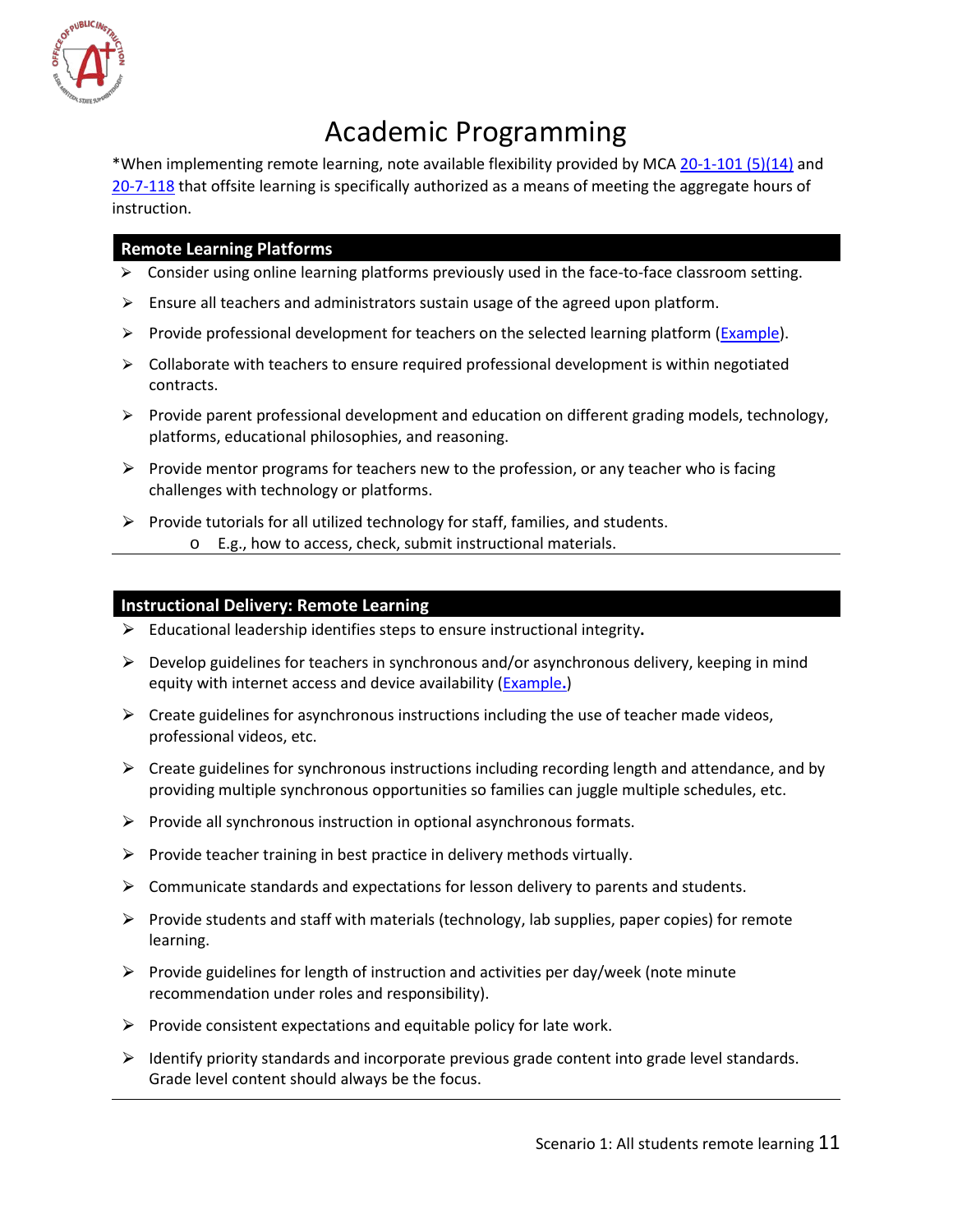

# Academic Programming

<span id="page-11-0"></span>\*When implementing remote learning, note available flexibility provided by MCA [20-1-101 \(5\)\(14\)](https://leg.mt.gov/bills/mca/title_0200/chapter_0010/part_0010/section_0010/0200-0010-0010-0010.html) and [20-7-118](https://leg.mt.gov/bills/mca/title_0200/chapter_0070/part_0010/section_0180/0200-0070-0010-0180.html) that offsite learning is specifically authorized as a means of meeting the aggregate hours of instruction.

#### **Remote Learning Platforms**

- $\triangleright$  Consider using online learning platforms previously used in the face-to-face classroom setting.
- $\triangleright$  Ensure all teachers and administrators sustain usage of the agreed upon platform.
- $\triangleright$  Provide professional development for teachers on the selected learning platform [\(Example\)](https://www.coursera.org/learn/teach-online).
- $\triangleright$  Collaborate with teachers to ensure required professional development is within negotiated contracts.
- $\triangleright$  Provide parent professional development and education on different grading models, technology, platforms, educational philosophies, and reasoning.
- $\triangleright$  Provide mentor programs for teachers new to the profession, or any teacher who is facing challenges with technology or platforms.
- $\triangleright$  Provide tutorials for all utilized technology for staff, families, and students.
	- o E.g., how to access, check, submit instructional materials.

#### **Instructional Delivery: Remote Learning**

- ⮚ Educational leadership identifies steps to ensure instructional integrity**.**
- $\triangleright$  Develop guidelines for teachers in synchronous and/or asynchronous delivery, keeping in mind equity with internet access and device availability [\(Example](https://www.isbe.net/Documents/RL-Recommendations-3-27-20.pdf)**.**)
- $\triangleright$  Create guidelines for asynchronous instructions including the use of teacher made videos, professional videos, etc.
- $\triangleright$  Create guidelines for synchronous instructions including recording length and attendance, and by providing multiple synchronous opportunities so families can juggle multiple schedules, etc.
- $\triangleright$  Provide all synchronous instruction in optional asynchronous formats.
- $\triangleright$  Provide teacher training in best practice in delivery methods virtually.
- $\triangleright$  Communicate standards and expectations for lesson delivery to parents and students.
- $\triangleright$  Provide students and staff with materials (technology, lab supplies, paper copies) for remote learning.
- $\triangleright$  Provide guidelines for length of instruction and activities per day/week (note minute recommendation under roles and responsibility).
- $\triangleright$  Provide consistent expectations and equitable policy for late work.
- $\triangleright$  Identify priority standards and incorporate previous grade content into grade level standards. Grade level content should always be the focus.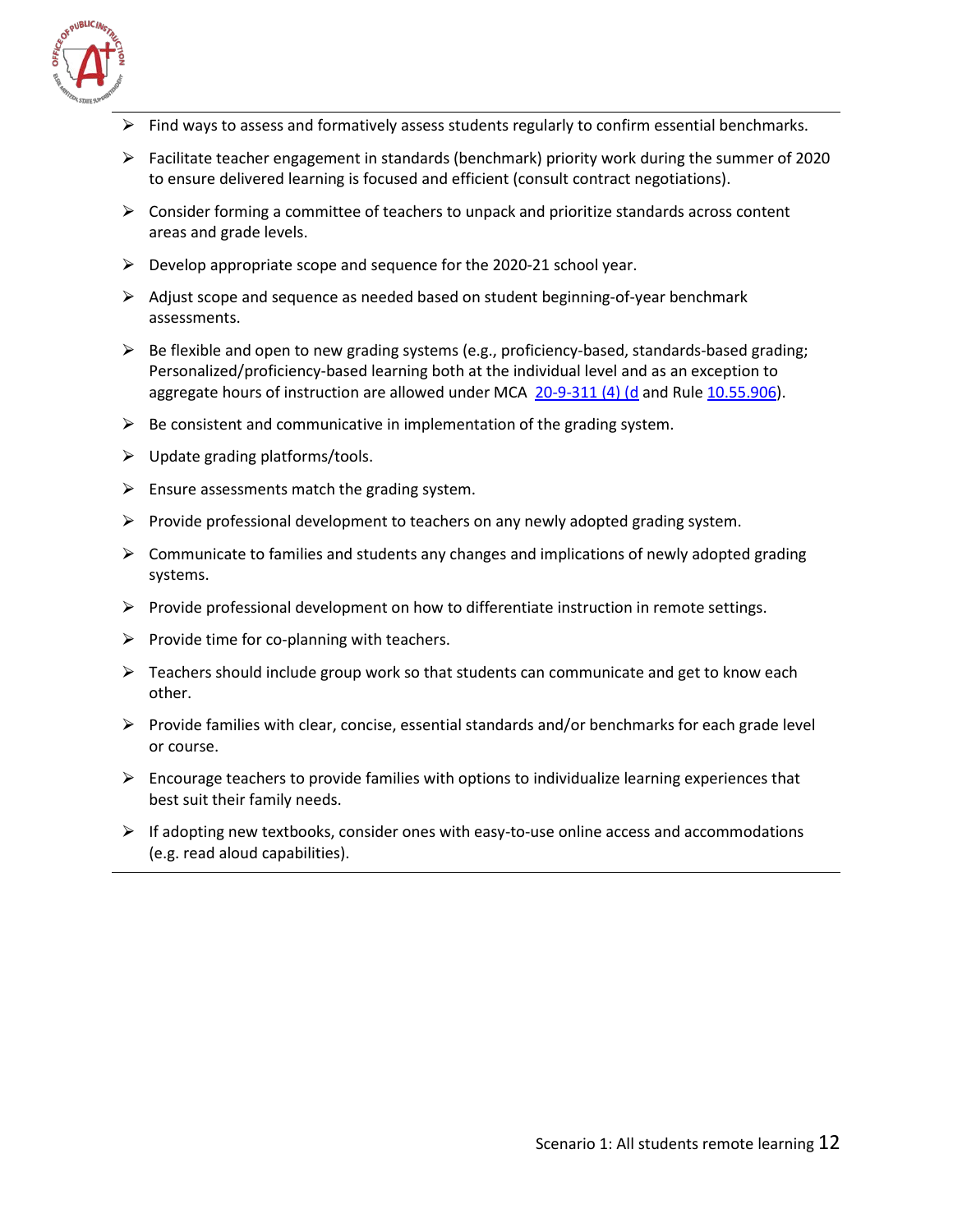

- Find ways to assess and formatively assess students regularly to confirm essential benchmarks.
- $\triangleright$  Facilitate teacher engagement in standards (benchmark) priority work during the summer of 2020 to ensure delivered learning is focused and efficient (consult contract negotiations).
- $\triangleright$  Consider forming a committee of teachers to unpack and prioritize standards across content areas and grade levels.
- $\triangleright$  Develop appropriate scope and sequence for the 2020-21 school year.
- $\triangleright$  Adjust scope and sequence as needed based on student beginning-of-year benchmark assessments.
- $\triangleright$  Be flexible and open to new grading systems (e.g., proficiency-based, standards-based grading; Personalized/proficiency-based learning both at the individual level and as an exception to aggregate hours of instruction are allowed under MCA [20-9-311 \(4\) \(d](https://leg.mt.gov/bills/mca/title_0200/chapter_0090/part_0030/section_0110/0200-0090-0030-0110.html) and Rule [10.55.906\)](http://www.mtrules.org/gateway/ruleno.asp?RN=10%2E55%2E906).
- $\triangleright$  Be consistent and communicative in implementation of the grading system.
- $\triangleright$  Update grading platforms/tools.
- $\triangleright$  Ensure assessments match the grading system.
- $\triangleright$  Provide professional development to teachers on any newly adopted grading system.
- $\triangleright$  Communicate to families and students any changes and implications of newly adopted grading systems.
- $\triangleright$  Provide professional development on how to differentiate instruction in remote settings.
- $\triangleright$  Provide time for co-planning with teachers.
- $\triangleright$  Teachers should include group work so that students can communicate and get to know each other.
- $\triangleright$  Provide families with clear, concise, essential standards and/or benchmarks for each grade level or course.
- $\triangleright$  Encourage teachers to provide families with options to individualize learning experiences that best suit their family needs.
- $\triangleright$  If adopting new textbooks, consider ones with easy-to-use online access and accommodations (e.g. read aloud capabilities).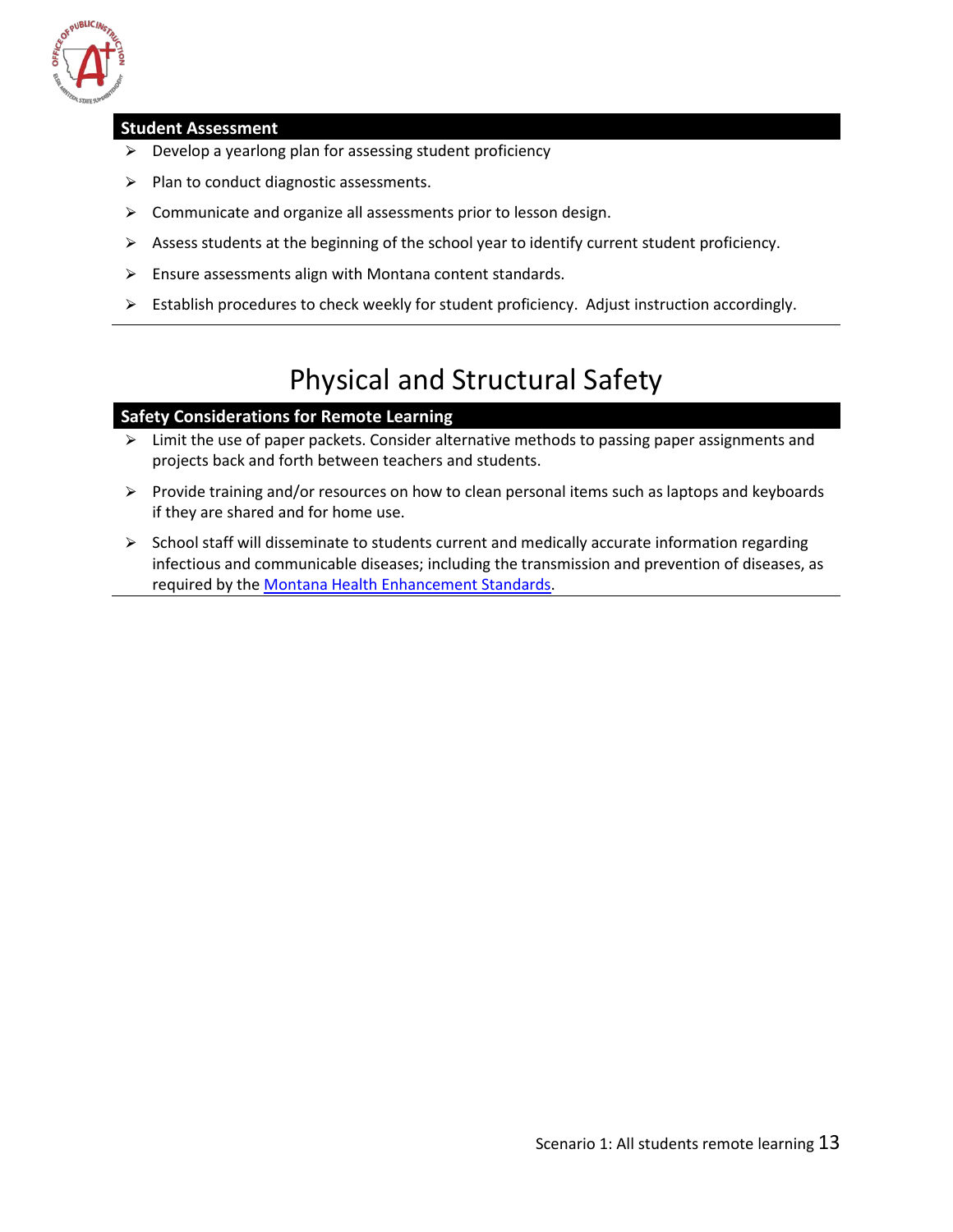

#### <span id="page-13-1"></span>**Student Assessment**

- $\triangleright$  Develop a yearlong plan for assessing student proficiency
- $\triangleright$  Plan to conduct diagnostic assessments.
- $\triangleright$  Communicate and organize all assessments prior to lesson design.
- $\triangleright$  Assess students at the beginning of the school year to identify current student proficiency.
- $\triangleright$  Ensure assessments align with Montana content standards.
- $\triangleright$  Establish procedures to check weekly for student proficiency. Adjust instruction accordingly.

# Physical and Structural Safety

#### <span id="page-13-0"></span>**Safety Considerations for Remote Learning**

- $\triangleright$  Limit the use of paper packets. Consider alternative methods to passing paper assignments and projects back and forth between teachers and students.
- $\triangleright$  Provide training and/or resources on how to clean personal items such as laptops and keyboards if they are shared and for home use.
- $\triangleright$  School staff will disseminate to students current and medically accurate information regarding infectious and communicable diseases; including the transmission and prevention of diseases, as required by th[e Montana Health Enhancement Standards.](http://opi.mt.gov/Educators/Teaching-Learning/K-12-Content-Standards-Revision/Health-Enhancement-Standards)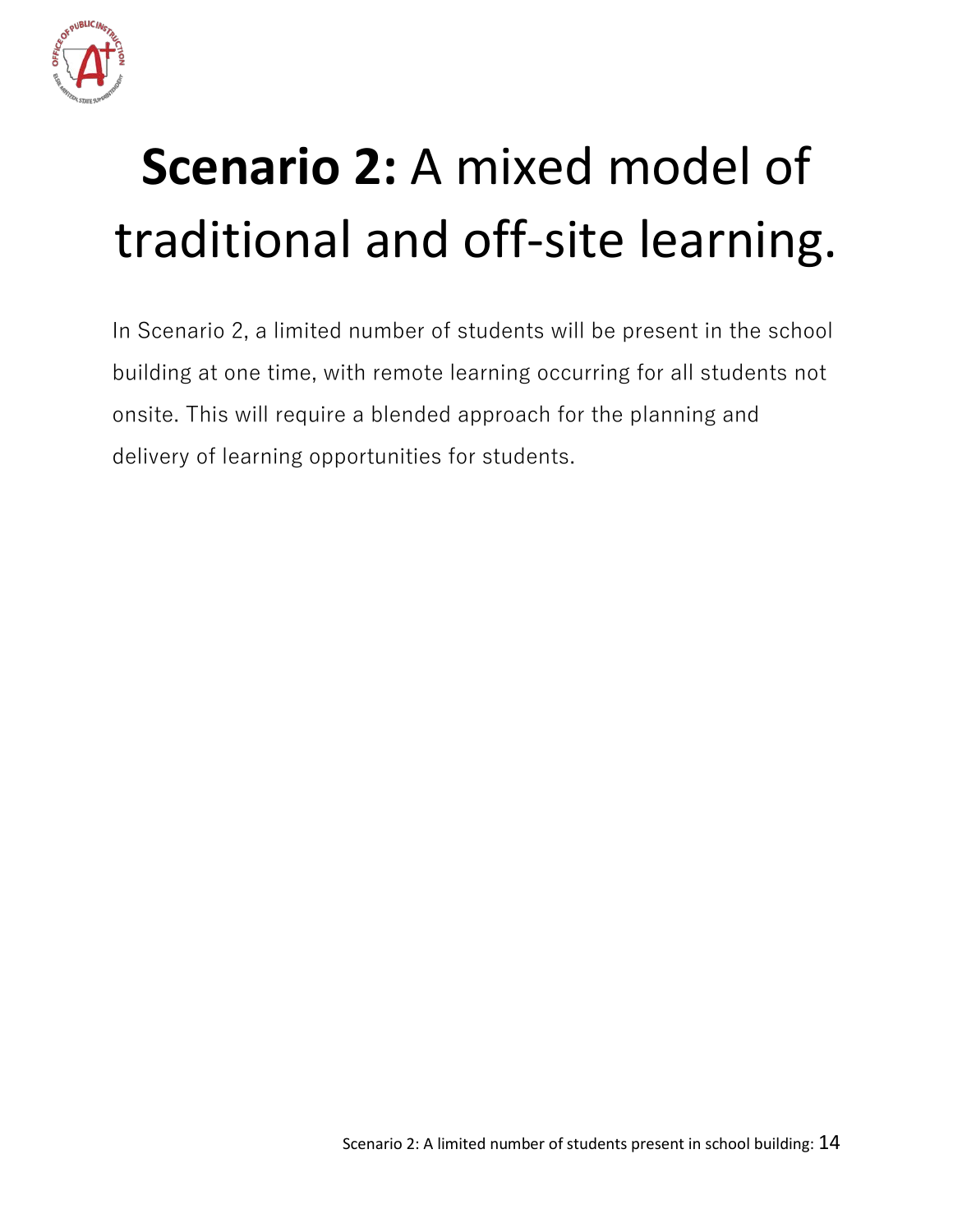

# <span id="page-14-0"></span>**Scenario 2:** A mixed model of traditional and off-site learning.

In Scenario 2, a limited number of students will be present in the school building at one time, with remote learning occurring for all students not onsite. This will require a blended approach for the planning and delivery of learning opportunities for students.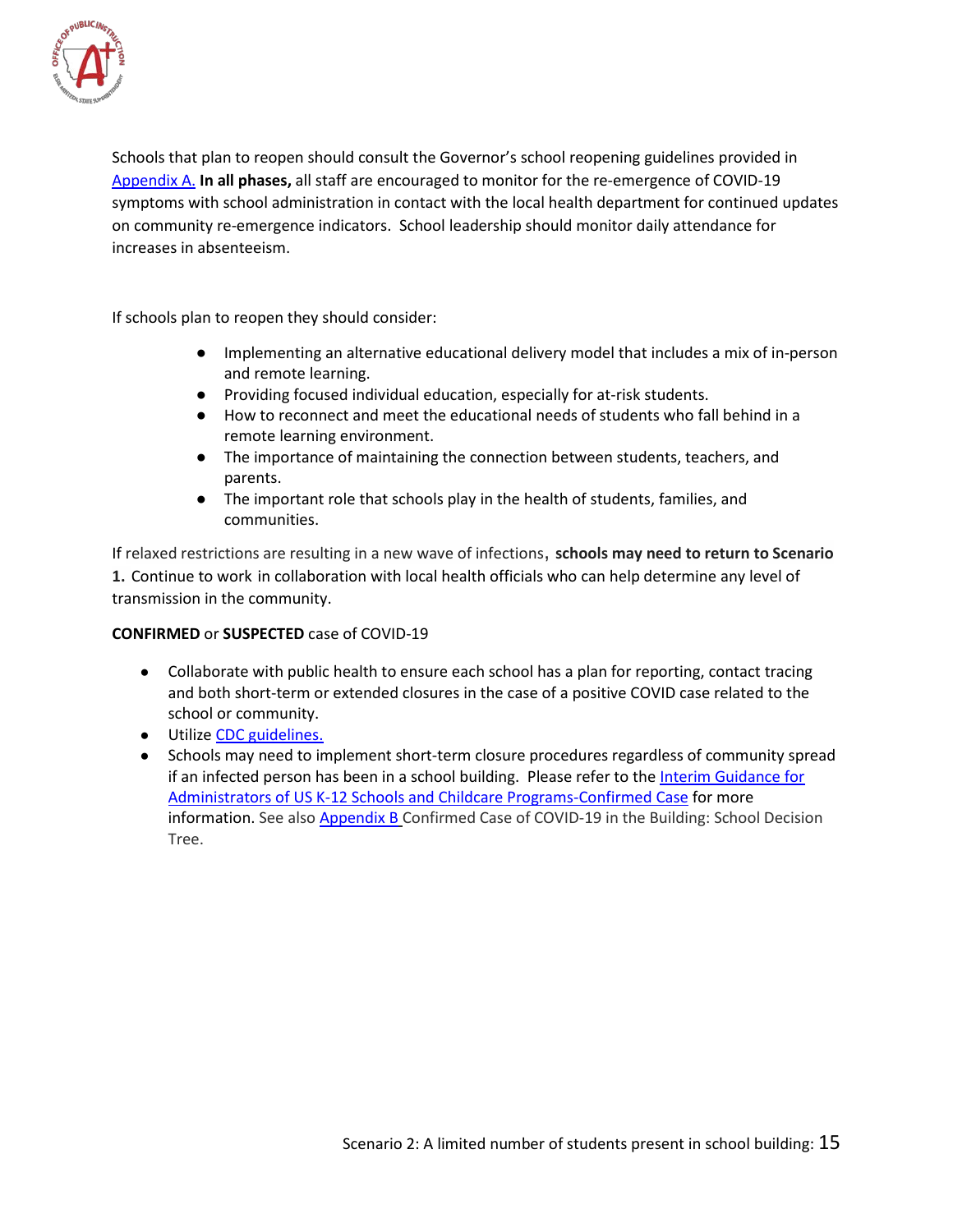

Schools that plan to reopen should consult the Governor's school reopening guidelines provided in [Appendix A.](#page-33-0) **In all phases,** all staff are encouraged to monitor for the re-emergence of COVID-19 symptoms with school administration in contact with the local health department for continued updates on community re-emergence indicators. School leadership should monitor daily attendance for increases in absenteeism.

If schools plan to reopen they should consider:

- Implementing an alternative educational delivery model that includes a mix of in-person and remote learning.
- Providing focused individual education, especially for at-risk students.
- How to reconnect and meet the educational needs of students who fall behind in a remote learning environment.
- The importance of maintaining the connection between students, teachers, and parents.
- The important role that schools play in the health of students, families, and communities.

If relaxed restrictions are resulting in a new wave of infections, **schools may need to return to Scenario 1.** Continue to work in collaboration with local health officials who can help determine any level of transmission in the community.

#### **CONFIRMED** or **SUSPECTED** case of COVID-19

- Collaborate with public health to ensure each school has a plan for reporting, contact tracing and both short-term or extended closures in the case of a positive COVID case related to the school or community.
- Utilize [CDC guidelines.](https://www.cdc.gov/coronavirus/2019-ncov/community/reopen-guidance.html)
- Schools may need to implement short-term closure procedures regardless of community spread if an infected person has been in a school building. Please refer to the [Interim Guidance for](https://www.cdc.gov/coronavirus/2019-ncov/community/schools-childcare/guidance-for-schools.html#confirmed-case)  [Administrators of US K-12 Schools and Childcare Programs-Confirmed Case](https://www.cdc.gov/coronavirus/2019-ncov/community/schools-childcare/guidance-for-schools.html#confirmed-case) for more information. See also [Appendix B](#page-33-1) Confirmed Case of COVID-19 in the Building: School Decision Tree.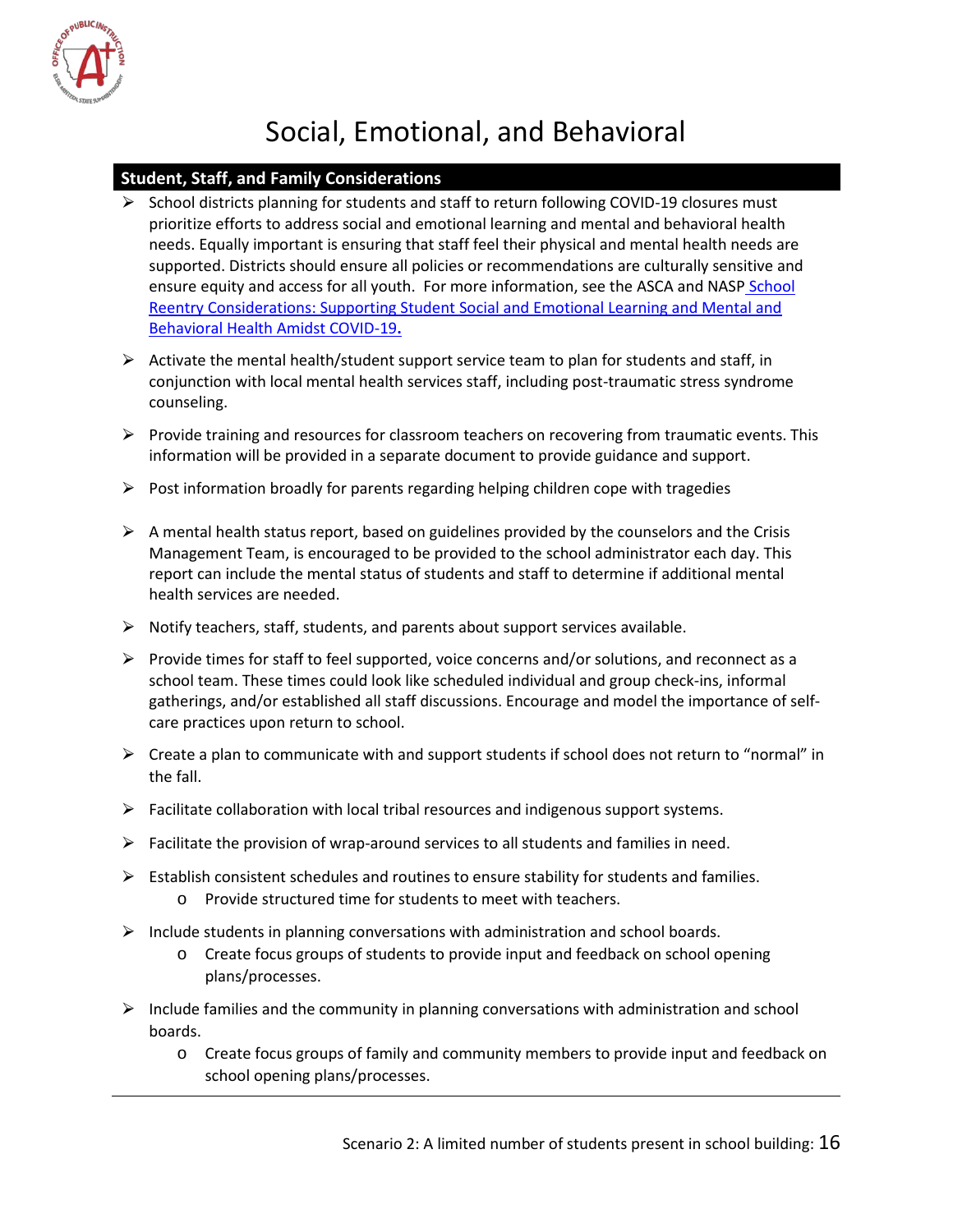

# Social, Emotional, and Behavioral

#### <span id="page-16-0"></span>**Student, Staff, and Family Considerations**

- $\triangleright$  School districts planning for students and staff to return following COVID-19 closures must prioritize efforts to address social and emotional learning and mental and behavioral health needs. Equally important is ensuring that staff feel their physical and mental health needs are supported. Districts should ensure all policies or recommendations are culturally sensitive and ensure equity and access for all youth. For more information, see the ASCA and NASP School [Reentry Considerations: Supporting Student Social and Emotional Learning and Mental and](https://www.schoolcounselor.org/asca/media/asca/Publications/SchoolReentry.pdf)  [Behavioral Health Amidst COVID-19](https://www.schoolcounselor.org/asca/media/asca/Publications/SchoolReentry.pdf)**.**
- $\triangleright$  Activate the mental health/student support service team to plan for students and staff, in conjunction with local mental health services staff, including post-traumatic stress syndrome counseling.
- $\triangleright$  Provide training and resources for classroom teachers on recovering from traumatic events. This information will be provided in a separate document to provide guidance and support.
- $\triangleright$  Post information broadly for parents regarding helping children cope with tragedies
- $\triangleright$  A mental health status report, based on guidelines provided by the counselors and the Crisis Management Team, is encouraged to be provided to the school administrator each day. This report can include the mental status of students and staff to determine if additional mental health services are needed.
- $\triangleright$  Notify teachers, staff, students, and parents about support services available.
- $\triangleright$  Provide times for staff to feel supported, voice concerns and/or solutions, and reconnect as a school team. These times could look like scheduled individual and group check-ins, informal gatherings, and/or established all staff discussions. Encourage and model the importance of selfcare practices upon return to school.
- $\triangleright$  Create a plan to communicate with and support students if school does not return to "normal" in the fall.
- ⮚ Facilitate collaboration with local tribal resources and indigenous support systems.
- $\triangleright$  Facilitate the provision of wrap-around services to all students and families in need.
- $\triangleright$  Establish consistent schedules and routines to ensure stability for students and families. o Provide structured time for students to meet with teachers.
- $\triangleright$  Include students in planning conversations with administration and school boards.
	- o Create focus groups of students to provide input and feedback on school opening plans/processes.
- $\triangleright$  Include families and the community in planning conversations with administration and school boards.
	- o Create focus groups of family and community members to provide input and feedback on school opening plans/processes.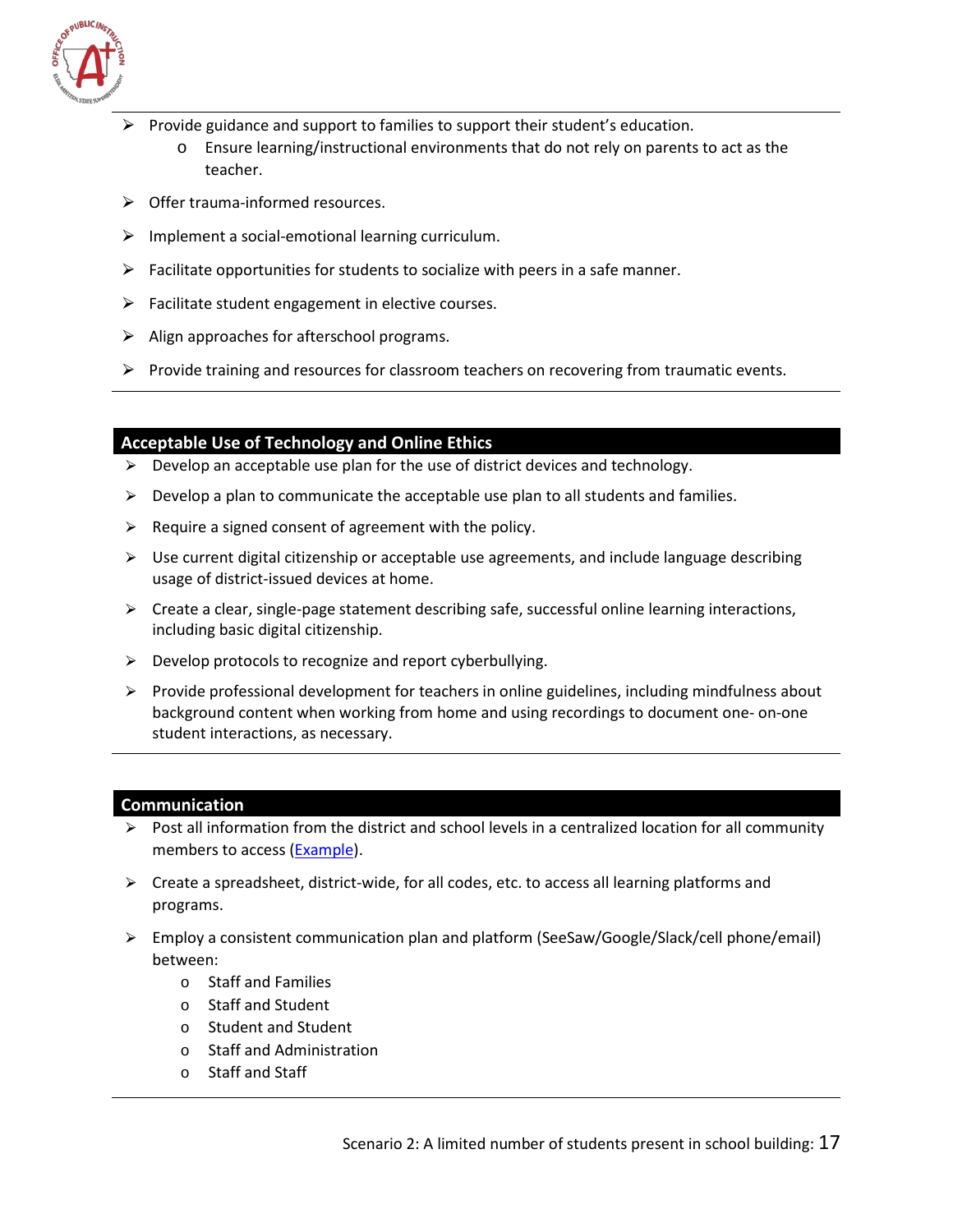

- $\triangleright$  Provide guidance and support to families to support their student's education.
	- o Ensure learning/instructional environments that do not rely on parents to act as the teacher.
- $\triangleright$  Offer trauma-informed resources.
- $\triangleright$  Implement a social-emotional learning curriculum.
- $\triangleright$  Facilitate opportunities for students to socialize with peers in a safe manner.
- $\triangleright$  Facilitate student engagement in elective courses.
- $\triangleright$  Align approaches for afterschool programs.
- $\triangleright$  Provide training and resources for classroom teachers on recovering from traumatic events.

#### **Acceptable Use of Technology and Online Ethics**

- $\triangleright$  Develop an acceptable use plan for the use of district devices and technology.
- $\triangleright$  Develop a plan to communicate the acceptable use plan to all students and families.
- $\triangleright$  Require a signed consent of agreement with the policy.
- $\triangleright$  Use current digital citizenship or acceptable use agreements, and include language describing usage of district-issued devices at home.
- $\triangleright$  Create a clear, single-page statement describing safe, successful online learning interactions, including basic digital citizenship.
- $\triangleright$  Develop protocols to recognize and report cyberbullying.
- $\triangleright$  Provide professional development for teachers in online guidelines, including mindfulness about background content when working from home and using recordings to document one- on-one student interactions, as necessary.

#### **Communication**

- $\triangleright$  Post all information from the district and school levels in a centralized location for all community members to access [\(Example\)](https://www.bsd7.org/cms/One.aspx?portalId=112502&pageId=37017923).
- $\triangleright$  Create a spreadsheet, district-wide, for all codes, etc. to access all learning platforms and programs.
- ⮚ Employ a consistent communication plan and platform (SeeSaw/Google/Slack/cell phone/email) between:
	- o Staff and Families
	- o Staff and Student
	- o Student and Student
	- o Staff and Administration
	- o Staff and Staff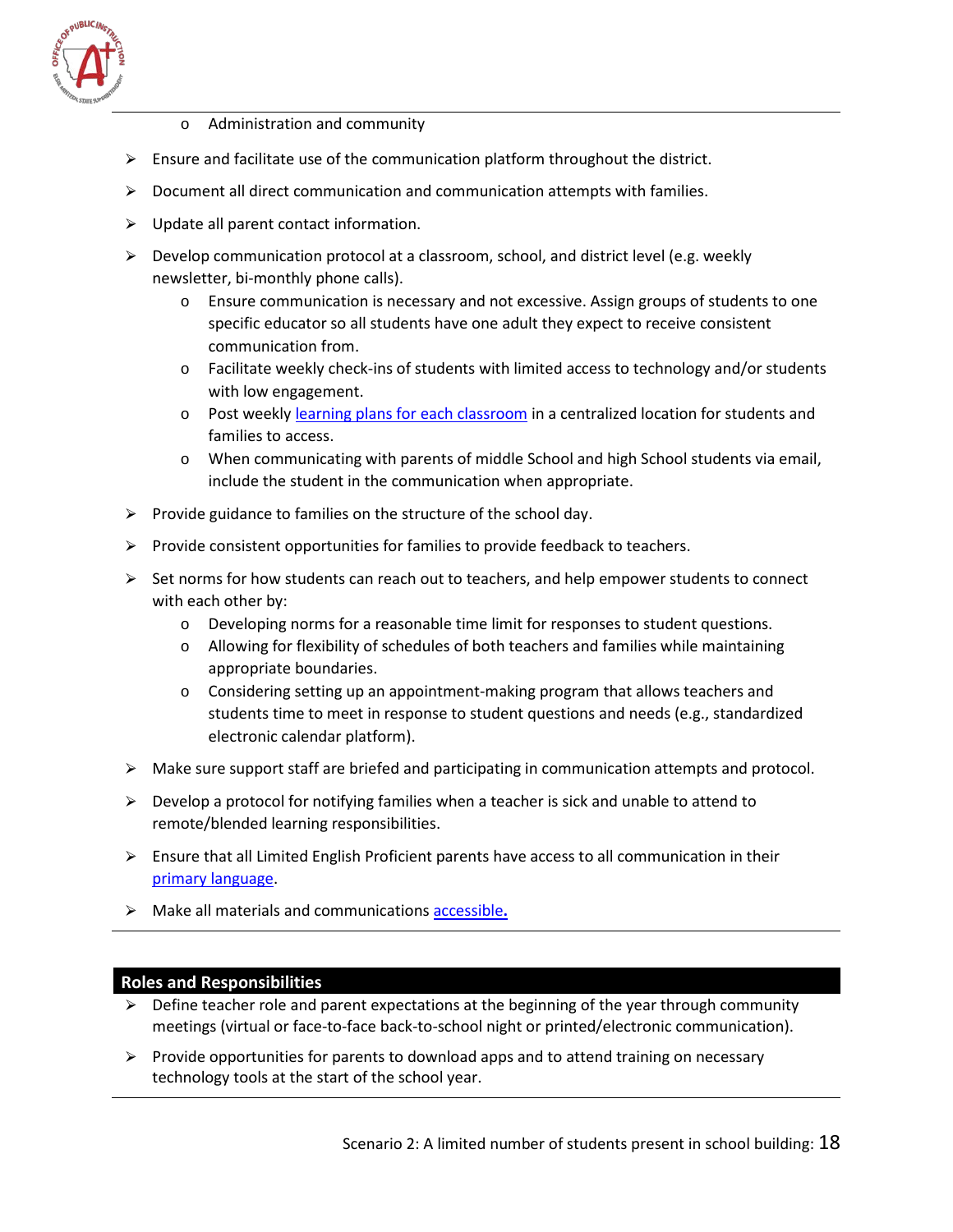

- o Administration and community
- $\triangleright$  Ensure and facilitate use of the communication platform throughout the district.
- $\triangleright$  Document all direct communication and communication attempts with families.
- $\triangleright$  Update all parent contact information.
- $\triangleright$  Develop communication protocol at a classroom, school, and district level (e.g. weekly newsletter, bi-monthly phone calls).
	- o Ensure communication is necessary and not excessive. Assign groups of students to one specific educator so all students have one adult they expect to receive consistent communication from.
	- $\circ$  Facilitate weekly check-ins of students with limited access to technology and/or students with low engagement.
	- $\circ$  Post weekly [learning plans for each classroom](https://drive.google.com/file/d/1liQBwVijXsMQhaPNDJSBQk4D0RgdYC0F/view) in a centralized location for students and families to access.
	- o When communicating with parents of middle School and high School students via email, include the student in the communication when appropriate.
- $\triangleright$  Provide guidance to families on the structure of the school day.
- $\triangleright$  Provide consistent opportunities for families to provide feedback to teachers.
- $\triangleright$  Set norms for how students can reach out to teachers, and help empower students to connect with each other by:
	- o Developing norms for a reasonable time limit for responses to student questions.
	- o Allowing for flexibility of schedules of both teachers and families while maintaining appropriate boundaries.
	- o Considering setting up an appointment-making program that allows teachers and students time to meet in response to student questions and needs (e.g., standardized electronic calendar platform).
- $\triangleright$  Make sure support staff are briefed and participating in communication attempts and protocol.
- $\triangleright$  Develop a protocol for notifying families when a teacher is sick and unable to attend to remote/blended learning responsibilities.
- $\triangleright$  Ensure that all Limited English Proficient parents have access to all communication in their [primary language.](https://talkingpts.org/)
- ⮚ Make all materials and communication[s accessible](https://www.w3.org/standards/webdesign/accessibility)**.**

#### **Roles and Responsibilities**

- $\triangleright$  Define teacher role and parent expectations at the beginning of the year through community meetings (virtual or face-to-face back-to-school night or printed/electronic communication).
- $\triangleright$  Provide opportunities for parents to download apps and to attend training on necessary technology tools at the start of the school year.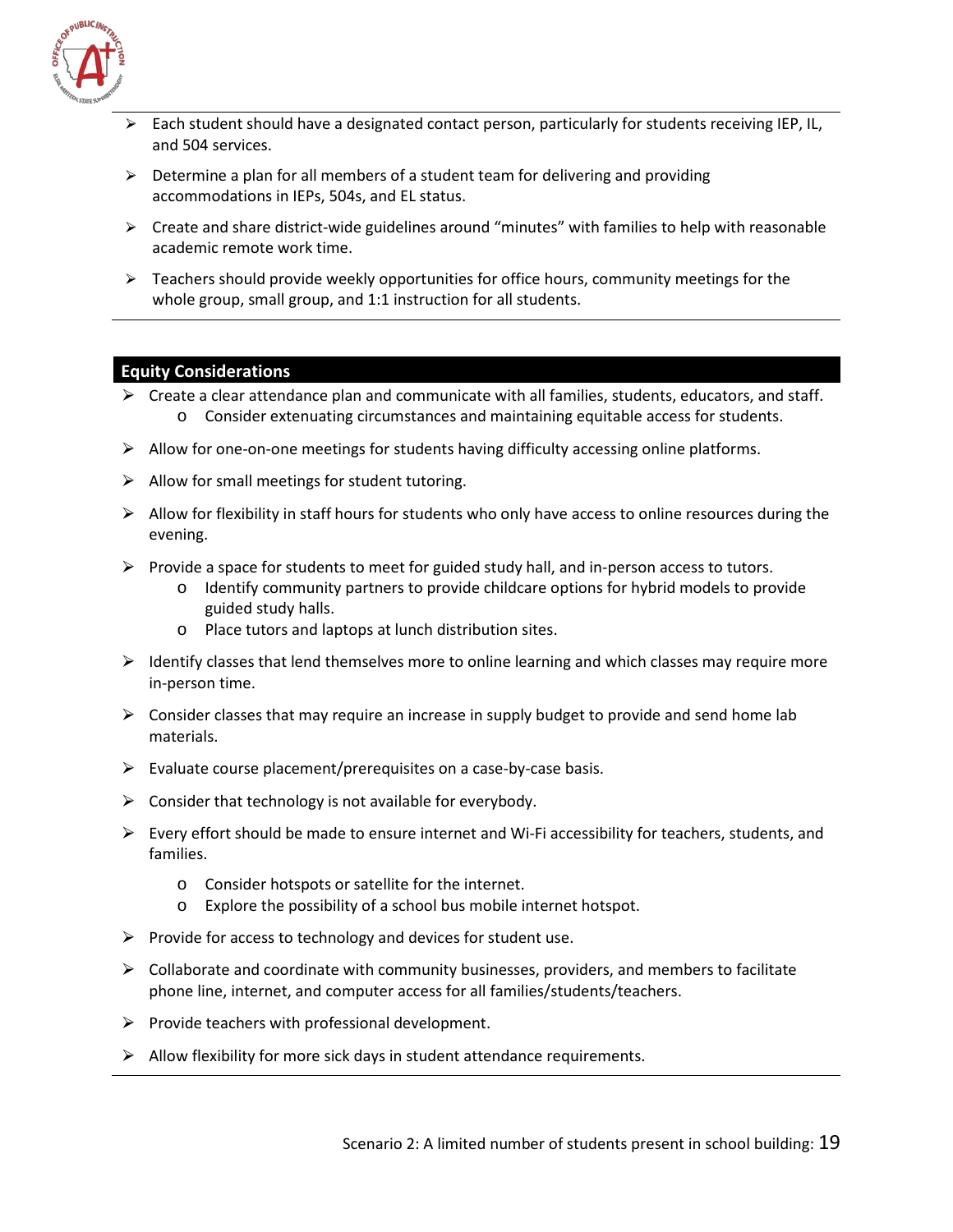

- Each student should have a designated contact person, particularly for students receiving IEP, IL, and 504 services.
- $\triangleright$  Determine a plan for all members of a student team for delivering and providing accommodations in IEPs, 504s, and EL status.
- $\triangleright$  Create and share district-wide guidelines around "minutes" with families to help with reasonable academic remote work time.
- $\triangleright$  Teachers should provide weekly opportunities for office hours, community meetings for the whole group, small group, and 1:1 instruction for all students.

#### **Equity Considerations**

- $\triangleright$  Create a clear attendance plan and communicate with all families, students, educators, and staff. o Consider extenuating circumstances and maintaining equitable access for students.
- $\triangleright$  Allow for one-on-one meetings for students having difficulty accessing online platforms.
- $\triangleright$  Allow for small meetings for student tutoring.
- $\triangleright$  Allow for flexibility in staff hours for students who only have access to online resources during the evening.
- $\triangleright$  Provide a space for students to meet for guided study hall, and in-person access to tutors.
	- o Identify community partners to provide childcare options for hybrid models to provide guided study halls.
	- o Place tutors and laptops at lunch distribution sites.
- $\triangleright$  Identify classes that lend themselves more to online learning and which classes may require more in-person time.
- $\triangleright$  Consider classes that may require an increase in supply budget to provide and send home lab materials.
- $\triangleright$  Evaluate course placement/prerequisites on a case-by-case basis.
- $\triangleright$  Consider that technology is not available for everybody.
- $\triangleright$  Every effort should be made to ensure internet and Wi-Fi accessibility for teachers, students, and families.
	- o Consider hotspots or satellite for the internet.
	- o Explore the possibility of a school bus mobile internet hotspot.
- $\triangleright$  Provide for access to technology and devices for student use.
- $\triangleright$  Collaborate and coordinate with community businesses, providers, and members to facilitate phone line, internet, and computer access for all families/students/teachers.
- $\triangleright$  Provide teachers with professional development.
- $\triangleright$  Allow flexibility for more sick days in student attendance requirements.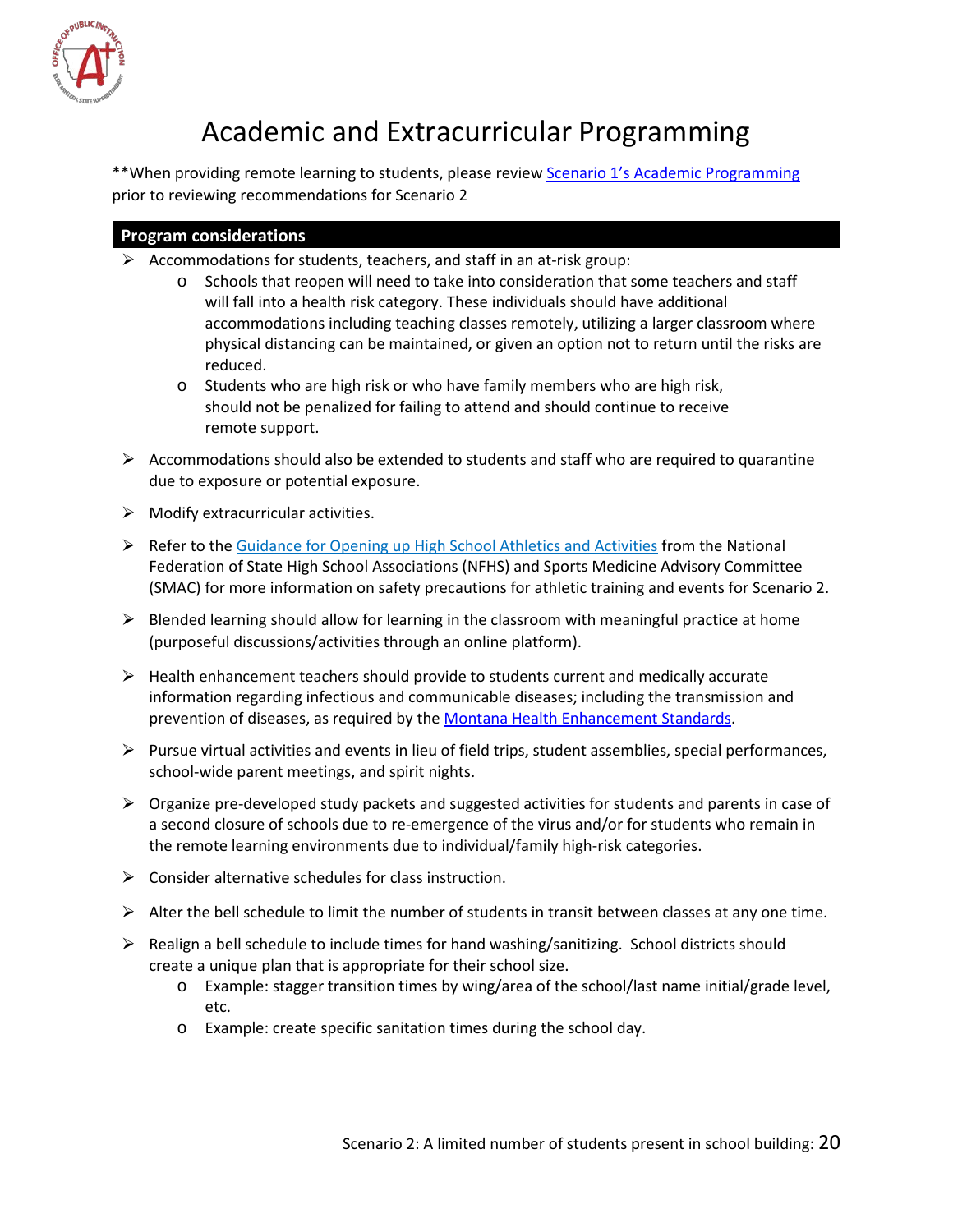

## Academic and Extracurricular Programming

<span id="page-20-0"></span>\*\*When providing remote learning to students, please review Scenario 1's Academic Programming prior to reviewing recommendations for Scenario 2

#### **Program considerations**

- $\triangleright$  Accommodations for students, teachers, and staff in an at-risk group:
	- o Schools that reopen will need to take into consideration that some teachers and staff will fall into a health risk category. These individuals should have additional accommodations including teaching classes remotely, utilizing a larger classroom where physical distancing can be maintained, or given an option not to return until the risks are reduced.
	- o Students who are high risk or who have family members who are high risk, should not be penalized for failing to attend and should continue to receive remote support.
- $\triangleright$  Accommodations should also be extended to students and staff who are required to quarantine due to exposure or potential exposure.
- $\triangleright$  Modify extracurricular activities.
- $\triangleright$  Refer to the [Guidance for Opening up High School Athletics and Activities](https://www.nfhs.org/media/3812287/2020-nfhs-guidance-for-opening-up-high-school-athletics-and-activities-nfhs-smac-may-15_2020-final.pdf) from the National Federation of State High School Associations (NFHS) and Sports Medicine Advisory Committee (SMAC) for more information on safety precautions for athletic training and events for Scenario 2.
- $\triangleright$  Blended learning should allow for learning in the classroom with meaningful practice at home (purposeful discussions/activities through an online platform).
- $\triangleright$  Health enhancement teachers should provide to students current and medically accurate information regarding infectious and communicable diseases; including the transmission and prevention of diseases, as required by the [Montana Health Enhancement Standards.](http://opi.mt.gov/Educators/Teaching-Learning/K-12-Content-Standards-Revision/Health-Enhancement-Standards)
- $\triangleright$  Pursue virtual activities and events in lieu of field trips, student assemblies, special performances, school-wide parent meetings, and spirit nights.
- $\triangleright$  Organize pre-developed study packets and suggested activities for students and parents in case of a second closure of schools due to re-emergence of the virus and/or for students who remain in the remote learning environments due to individual/family high-risk categories.
- $\triangleright$  Consider alternative schedules for class instruction.
- $\triangleright$  Alter the bell schedule to limit the number of students in transit between classes at any one time.
- $\triangleright$  Realign a bell schedule to include times for hand washing/sanitizing. School districts should create a unique plan that is appropriate for their school size.
	- o Example: stagger transition times by wing/area of the school/last name initial/grade level, etc.
	- o Example: create specific sanitation times during the school day.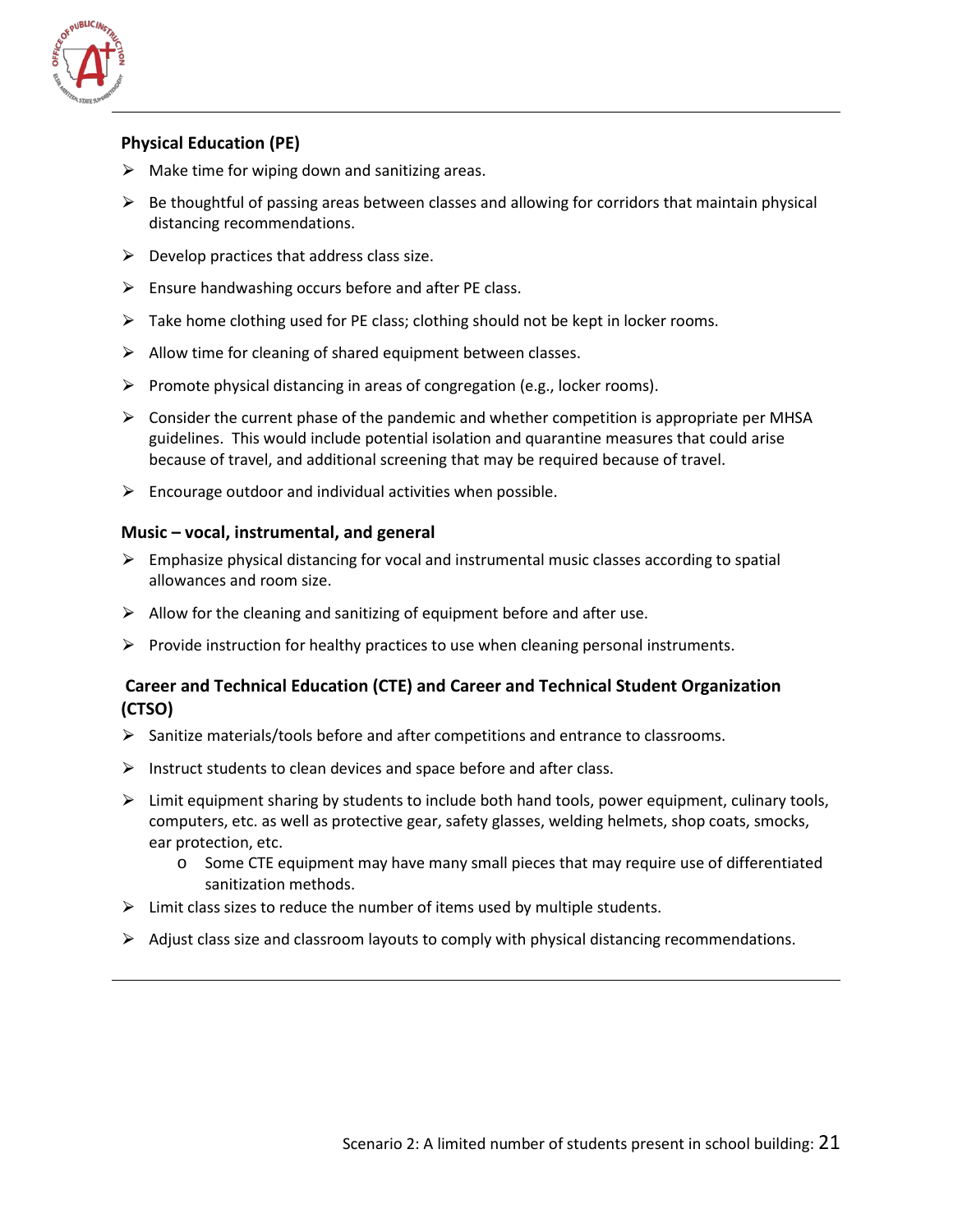

#### **Physical Education (PE)**

- $\triangleright$  Make time for wiping down and sanitizing areas.
- $\triangleright$  Be thoughtful of passing areas between classes and allowing for corridors that maintain physical distancing recommendations.
- $\triangleright$  Develop practices that address class size.
- $\triangleright$  Ensure handwashing occurs before and after PE class.
- $\triangleright$  Take home clothing used for PE class; clothing should not be kept in locker rooms.
- $\triangleright$  Allow time for cleaning of shared equipment between classes.
- $\triangleright$  Promote physical distancing in areas of congregation (e.g., locker rooms).
- $\triangleright$  Consider the current phase of the pandemic and whether competition is appropriate per MHSA guidelines. This would include potential isolation and quarantine measures that could arise because of travel, and additional screening that may be required because of travel.
- $\triangleright$  Encourage outdoor and individual activities when possible.

#### **Music – vocal, instrumental, and general**

- $\triangleright$  Emphasize physical distancing for vocal and instrumental music classes according to spatial allowances and room size.
- $\triangleright$  Allow for the cleaning and sanitizing of equipment before and after use.
- $\triangleright$  Provide instruction for healthy practices to use when cleaning personal instruments.

#### **Career and Technical Education (CTE) and Career and Technical Student Organization (CTSO)**

- $\triangleright$  Sanitize materials/tools before and after competitions and entrance to classrooms.
- $\triangleright$  Instruct students to clean devices and space before and after class.
- $\triangleright$  Limit equipment sharing by students to include both hand tools, power equipment, culinary tools, computers, etc. as well as protective gear, safety glasses, welding helmets, shop coats, smocks, ear protection, etc.
	- o Some CTE equipment may have many small pieces that may require use of differentiated sanitization methods.
- $\triangleright$  Limit class sizes to reduce the number of items used by multiple students.
- $\triangleright$  Adjust class size and classroom layouts to comply with physical distancing recommendations.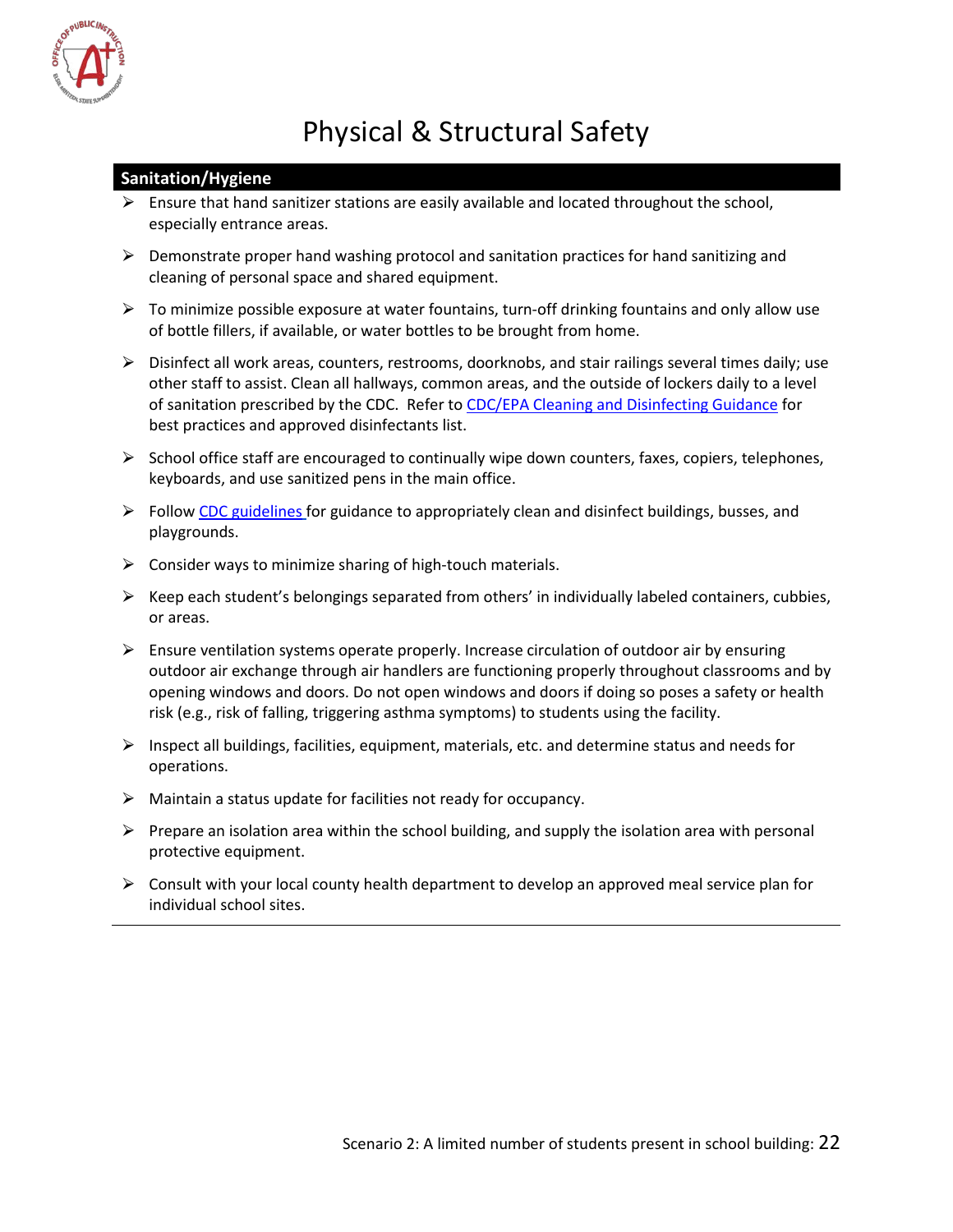

# Physical & Structural Safety

#### <span id="page-22-1"></span><span id="page-22-0"></span>**Sanitation/Hygiene**

- $\triangleright$  Ensure that hand sanitizer stations are easily available and located throughout the school, especially entrance areas.
- $\triangleright$  Demonstrate proper hand washing protocol and sanitation practices for hand sanitizing and cleaning of personal space and shared equipment.
- $\triangleright$  To minimize possible exposure at water fountains, turn-off drinking fountains and only allow use of bottle fillers, if available, or water bottles to be brought from home.
- $\triangleright$  Disinfect all work areas, counters, restrooms, doorknobs, and stair railings several times daily; use other staff to assist. Clean all hallways, common areas, and the outside of lockers daily to a level of sanitation prescribed by the CDC. Refer to [CDC/EPA Cleaning and Disinfecting Guidance](https://www.cdc.gov/coronavirus/2019-ncov/community/reopen-guidance.html) for best practices and approved disinfectants list.
- $\triangleright$  School office staff are encouraged to continually wipe down counters, faxes, copiers, telephones, keyboards, and use sanitized pens in the main office.
- $\triangleright$  Follow CDC guidelines for guidance to appropriately clean and disinfect buildings, busses, and [playgrounds.](https://www.cdc.gov/coronavirus/2019-ncov/community/schools-childcare/schools.html)
- $\triangleright$  Consider ways to minimize sharing of high-touch materials.
- $\triangleright$  Keep each student's belongings separated from others' in individually labeled containers, cubbies, or areas.
- $\triangleright$  Ensure ventilation systems operate properly. Increase circulation of outdoor air by ensuring outdoor air exchange through air handlers are functioning properly throughout classrooms and by opening windows and doors. Do not open windows and doors if doing so poses a safety or health risk (e.g., risk of falling, triggering asthma symptoms) to students using the facility.
- $\triangleright$  Inspect all buildings, facilities, equipment, materials, etc. and determine status and needs for operations.
- $\triangleright$  Maintain a status update for facilities not ready for occupancy.
- $\triangleright$  Prepare an isolation area within the school building, and supply the isolation area with personal protective equipment.
- $\triangleright$  Consult with your local county health department to develop an approved meal service plan for individual school sites.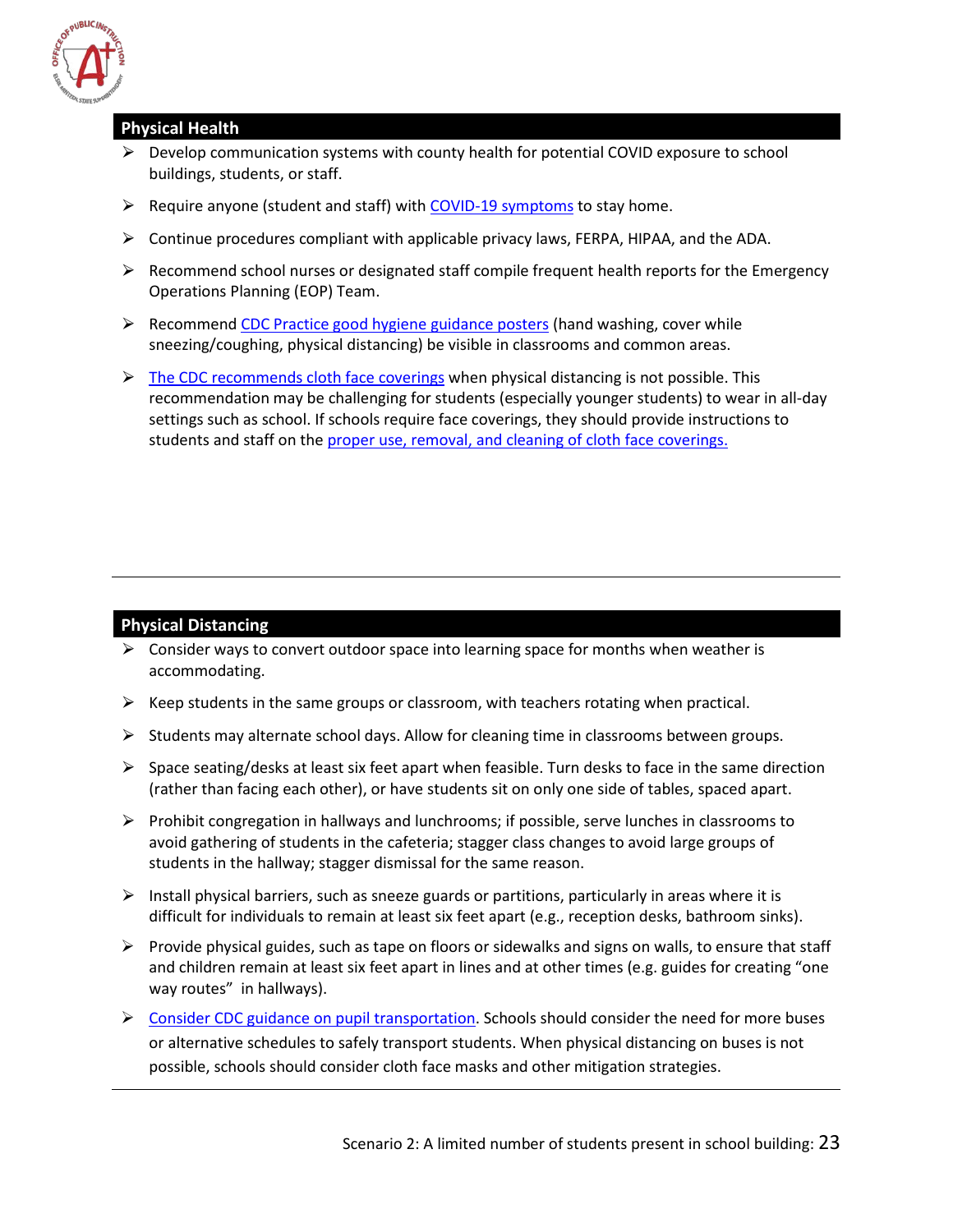

#### **Physical Health**

- $\triangleright$  Develop communication systems with county health for potential COVID exposure to school buildings, students, or staff.
- $\triangleright$  Require anyone (student and staff) with [COVID-19 symptoms](https://www.cdc.gov/coronavirus/2019-ncov/symptoms-testing/symptoms.html) to stay home.
- $\triangleright$  Continue procedures compliant with applicable privacy laws, FERPA, HIPAA, and the ADA.
- $\triangleright$  Recommend school nurses or designated staff compile frequent health reports for the Emergency Operations Planning (EOP) Team.
- $\triangleright$  Recommend [CDC Practice good hygiene guidance posters](https://www.como.gov/health/wp-content/uploads/sites/13/2020/03/stop-the-spread-of-germs-791x1024.jpg) (hand washing, cover while sneezing/coughing, physical distancing) be visible in classrooms and common areas.
- $\triangleright$  [The CDC recommends cloth face coverings](https://www.cdc.gov/coronavirus/2019-ncov/prevent-getting-sick/cloth-face-cover.html) when physical distancing is not possible. This recommendation may be challenging for students (especially younger students) to wear in all-day settings such as school. If schools require face coverings, they should provide instructions to students and staff on the [proper use, removal, and cleaning of cloth face coverings.](https://www.cdc.gov/coronavirus/2019-ncov/prevent-getting-sick/diy-cloth-face-coverings.html)

#### **Physical Distancing**

- $\triangleright$  Consider ways to convert outdoor space into learning space for months when weather is accommodating.
- $\triangleright$  Keep students in the same groups or classroom, with teachers rotating when practical.
- $\triangleright$  Students may alternate school days. Allow for cleaning time in classrooms between groups.
- $\triangleright$  Space seating/desks at least six feet apart when feasible. Turn desks to face in the same direction (rather than facing each other), or have students sit on only one side of tables, spaced apart.
- $\triangleright$  Prohibit congregation in hallways and lunchrooms; if possible, serve lunches in classrooms to avoid gathering of students in the cafeteria; stagger class changes to avoid large groups of students in the hallway; stagger dismissal for the same reason.
- $\triangleright$  Install physical barriers, such as sneeze guards or partitions, particularly in areas where it is difficult for individuals to remain at least six feet apart (e.g., reception desks, bathroom sinks).
- $\triangleright$  Provide physical guides, such as tape on floors or sidewalks and signs on walls, to ensure that staff and children remain at least six feet apart in lines and at other times (e.g. guides for creating "one way routes" in hallways).
- $\triangleright$  [Consider CDC guidance on pupil transportation.](https://www.cdc.gov/coronavirus/2019-ncov/community/organizations/bus-transit-operator.html) Schools should consider the need for more buses or alternative schedules to safely transport students. When physical distancing on buses is not possible, schools should consider cloth face masks and other mitigation strategies.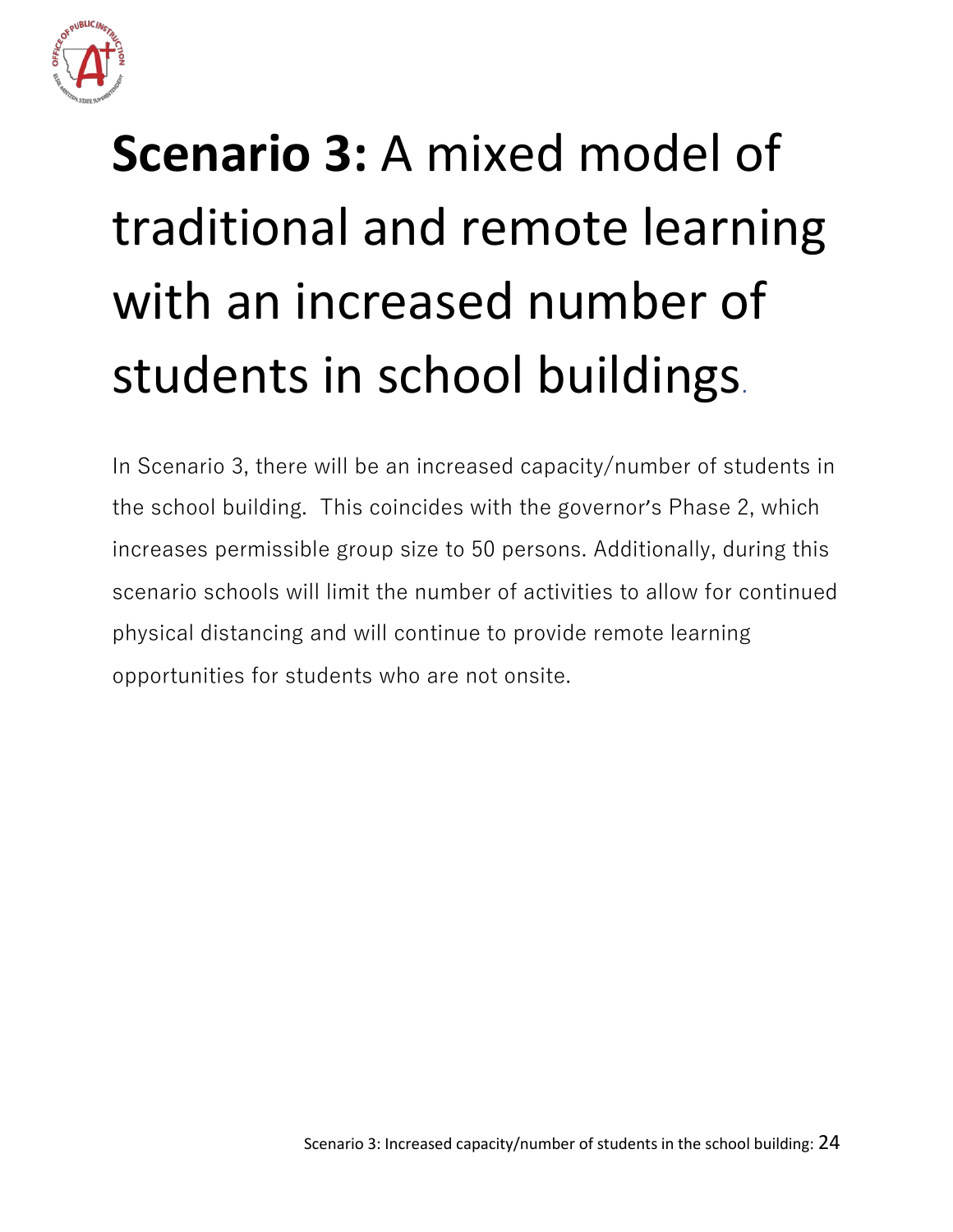

# <span id="page-24-0"></span>**Scenario 3:** A mixed model of traditional and remote learning with an increased number of students in school buildings.

In Scenario 3, there will be an increased capacity/number of students in the school building. This coincides with the governor's Phase 2, which increases permissible group size to 50 persons. Additionally, during this scenario schools will limit the number of activities to allow for continued physical distancing and will continue to provide remote learning opportunities for students who are not onsite.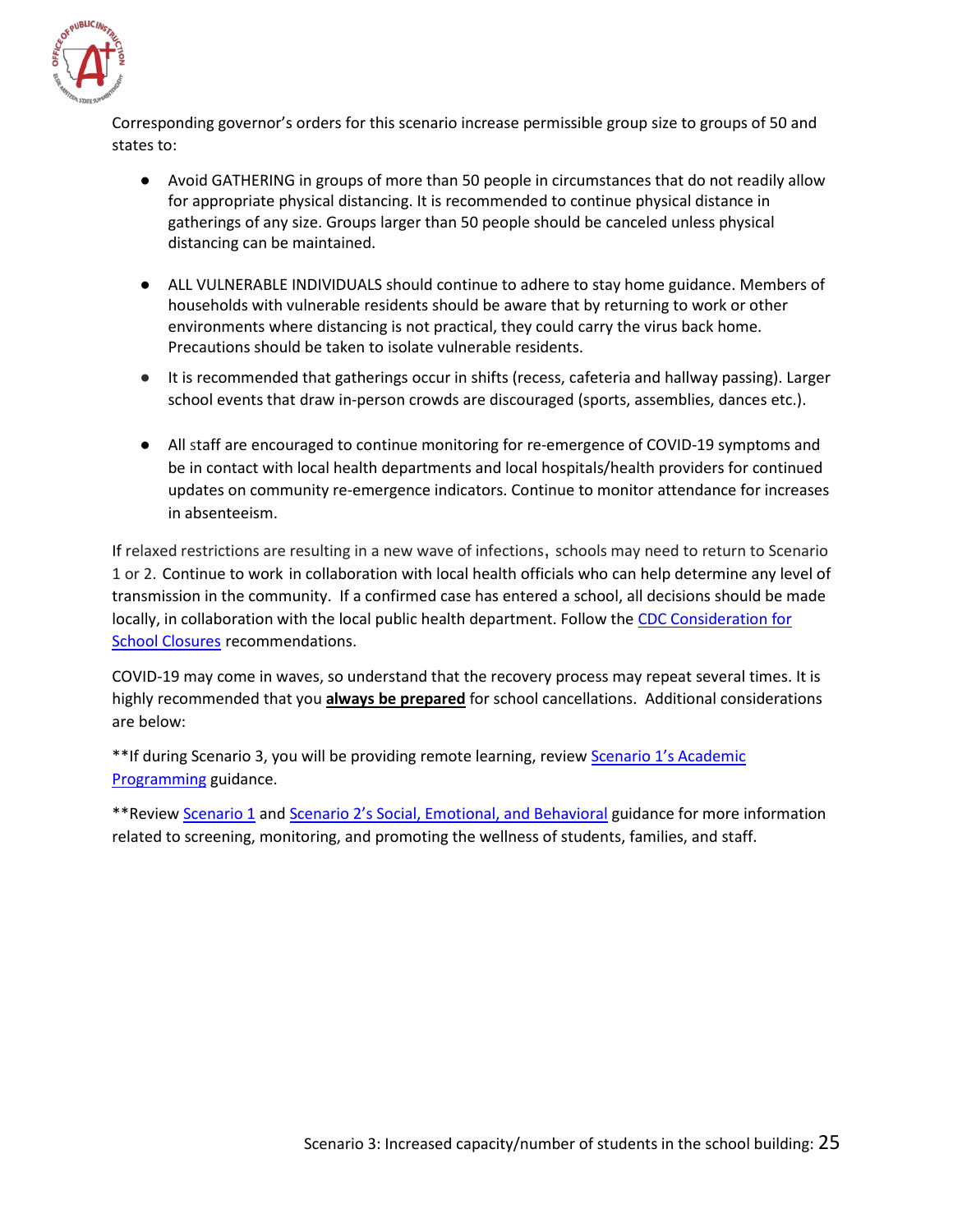

Corresponding governor's orders for this scenario increase permissible group size to groups of 50 and states to:

- Avoid GATHERING in groups of more than 50 people in circumstances that do not readily allow for appropriate physical distancing. It is recommended to continue physical distance in gatherings of any size. Groups larger than 50 people should be canceled unless physical distancing can be maintained.
- ALL VULNERABLE INDIVIDUALS should continue to adhere to stay home guidance. Members of households with vulnerable residents should be aware that by returning to work or other environments where distancing is not practical, they could carry the virus back home. Precautions should be taken to isolate vulnerable residents.
- It is recommended that gatherings occur in shifts (recess, cafeteria and hallway passing). Larger school events that draw in-person crowds are discouraged (sports, assemblies, dances etc.).
- All staff are encouraged to continue monitoring for re-emergence of COVID-19 symptoms and be in contact with local health departments and local hospitals/health providers for continued updates on community re-emergence indicators. Continue to monitor attendance for increases in absenteeism.

If relaxed restrictions are resulting in a new wave of infections, schools may need to return to Scenario 1 or 2. Continue to work in collaboration with local health officials who can help determine any level of transmission in the community. If a confirmed case has entered a school, all decisions should be made locally, in collaboration with the local public health department. Follow the [CDC Consideration for](https://www.cdc.gov/coronavirus/2019-ncov/downloads/considerations-for-school-closure.pdf)  [School Closures](https://www.cdc.gov/coronavirus/2019-ncov/downloads/considerations-for-school-closure.pdf) recommendations.

COVID-19 may come in waves, so understand that the recovery process may repeat several times. It is highly recommended that you **always be prepared** for school cancellations. Additional considerations are below:

\*\*If during Scenario 3, you will be providing remote learning, review Scenario 1's Academic [Programming](#page-11-0) guidance.

\*\*Revie[w Scenario 1](#page-7-0) and [Scenario 2's Social, Emotional, and Behavioral](#page-16-0) guidance for more information related to screening, monitoring, and promoting the wellness of students, families, and staff.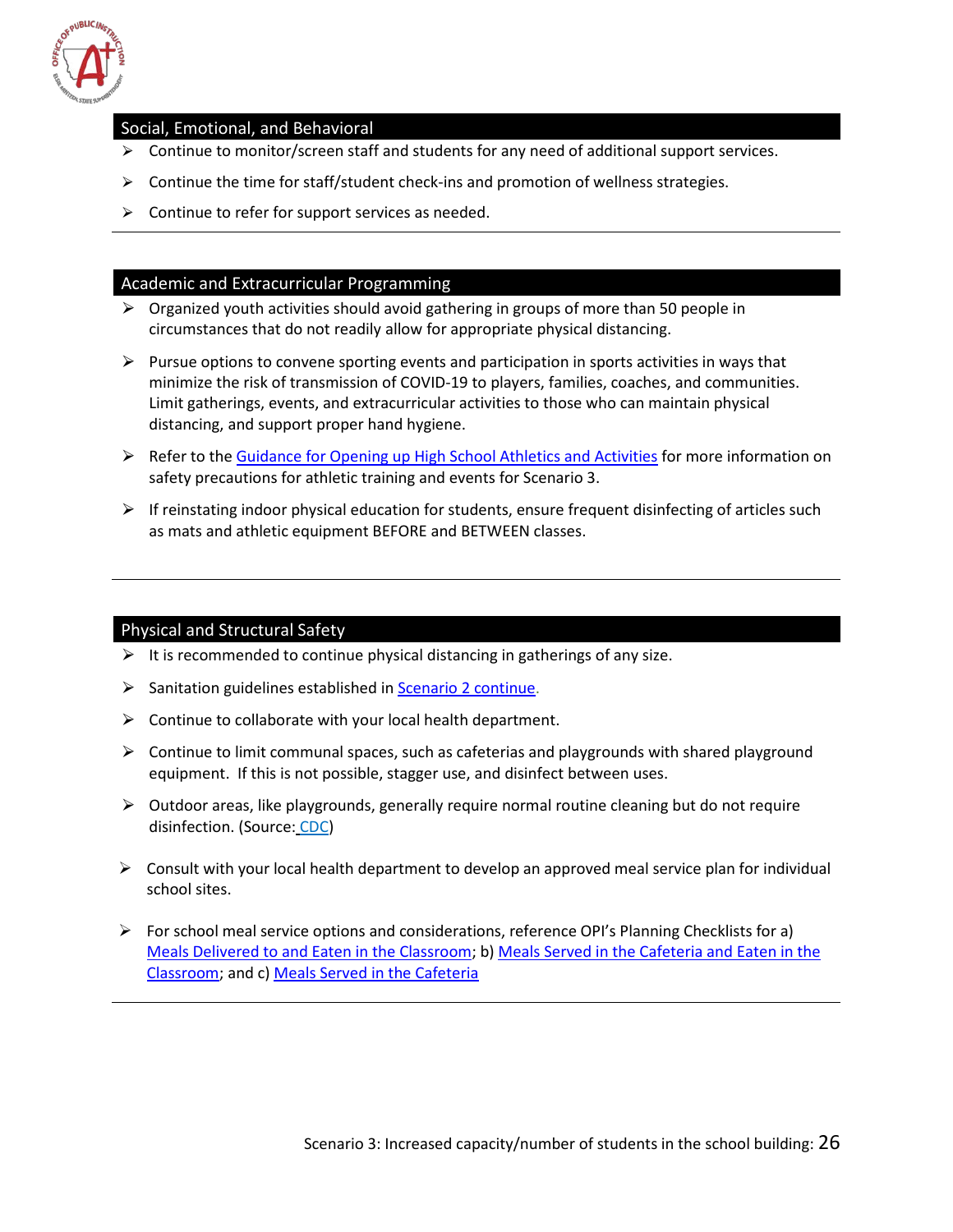

#### <span id="page-26-0"></span>Social, Emotional, and Behavioral

- $\triangleright$  Continue to monitor/screen staff and students for any need of additional support services.
- $\triangleright$  Continue the time for staff/student check-ins and promotion of wellness strategies.
- $\triangleright$  Continue to refer for support services as needed.

#### <span id="page-26-1"></span>Academic and Extracurricular Programming

- $\triangleright$  Organized youth activities should avoid gathering in groups of more than 50 people in circumstances that do not readily allow for appropriate physical distancing.
- $\triangleright$  Pursue options to convene sporting events and participation in sports activities in ways that minimize the risk of transmission of COVID-19 to players, families, coaches, and communities. Limit gatherings, events, and extracurricular activities to those who can maintain physical distancing, and support proper hand hygiene.
- $\triangleright$  Refer to the [Guidance for Opening up High School Athletics and Activities](https://www.nfhs.org/media/3812287/2020-nfhs-guidance-for-opening-up-high-school-athletics-and-activities-nfhs-smac-may-15_2020-final.pdf) for more information on safety precautions for athletic training and events for Scenario 3.
- $\triangleright$  If reinstating indoor physical education for students, ensure frequent disinfecting of articles such as mats and athletic equipment BEFORE and BETWEEN classes.

#### <span id="page-26-2"></span>Physical and Structural Safety

- $\triangleright$  It is recommended to continue physical distancing in gatherings of any size.
- $\triangleright$  Sanitation guidelines established i[n Scenario 2 continue.](#page-22-1)
- $\triangleright$  Continue to collaborate with your local health department.
- $\triangleright$  Continue to limit communal spaces, such as cafeterias and playgrounds with shared playground equipment. If this is not possible, stagger use, and disinfect between uses.
- $\triangleright$  Outdoor areas, like playgrounds, generally require normal routine cleaning but do not require disinfection. (Source: [CDC\)](https://www.cdc.gov/coronavirus/2019-ncov/community/disinfecting-building-facility.html)
- $\triangleright$  Consult with your local health department to develop an approved meal service plan for individual school sites.
- $\triangleright$  For school meal service options and considerations, reference OPI's Planning Checklists for a) [Meals Delivered to and Eaten in the Classroom;](http://opi.mt.gov/LinkClick.aspx?fileticket=S-UmM-avJM0%3d&portalid=182) b) [Meals Served in the Cafeteria and Eaten in the](http://opi.mt.gov/LinkClick.aspx?fileticket=Zm5spnDLSvI%3d&portalid=182)  [Classroom;](http://opi.mt.gov/LinkClick.aspx?fileticket=Zm5spnDLSvI%3d&portalid=182) and c) [Meals Served in the Cafeteria](http://opi.mt.gov/LinkClick.aspx?fileticket=yTZJlvAn_-0%3d&portalid=182)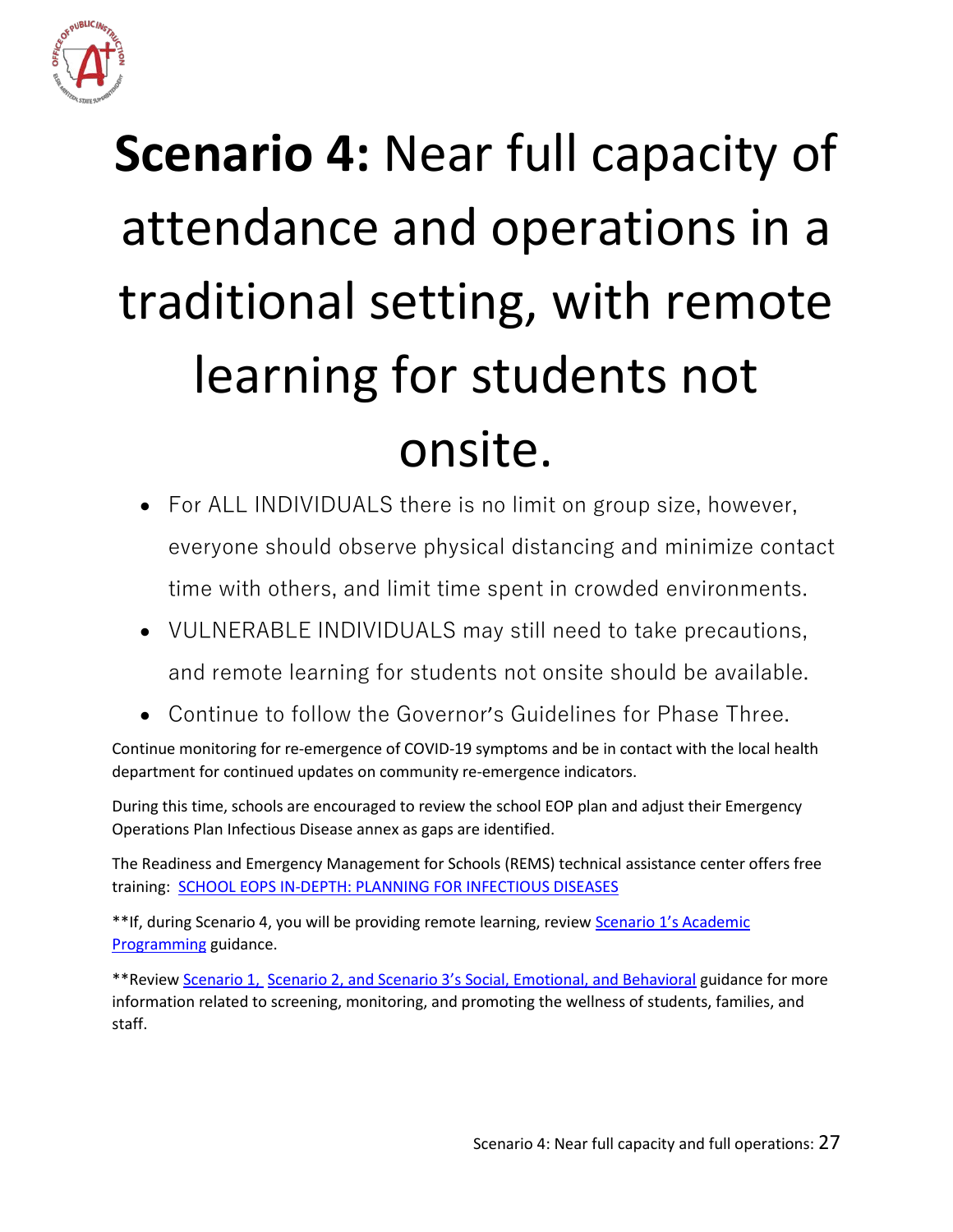

# <span id="page-27-0"></span>**Scenario 4:** Near full capacity of attendance and operations in a traditional setting, with remote learning for students not onsite.

- For ALL INDIVIDUALS there is no limit on group size, however, everyone should observe physical distancing and minimize contact time with others, and limit time spent in crowded environments.
- VULNERABLE INDIVIDUALS may still need to take precautions, and remote learning for students not onsite should be available.
- Continue to follow the Governor's Guidelines for Phase Three.

Continue monitoring for re-emergence of COVID-19 symptoms and be in contact with the local health department for continued updates on community re-emergence indicators.

During this time, schools are encouraged to review the school EOP plan and adjust their Emergency Operations Plan Infectious Disease annex as gaps are identified.

The Readiness and Emergency Management for Schools (REMS) technical assistance center offers free training: [SCHOOL EOPS IN-DEPTH: PLANNING FOR INFECTIOUS DISEASES](https://rems.ed.gov/trainings/CourseInfectious.aspx)

\*\*If, during Scenario 4, you will be providing remote learning, review Scenario 1's Academic [Programming](#page-11-0) guidance.

\*\*Revie[w Scenario 1,](#page-7-0) Scenario 2, and Scenario 3's Social, Emotional, and Behavioral guidance for more information related to screening, monitoring, and promoting the wellness of students, families, and staff.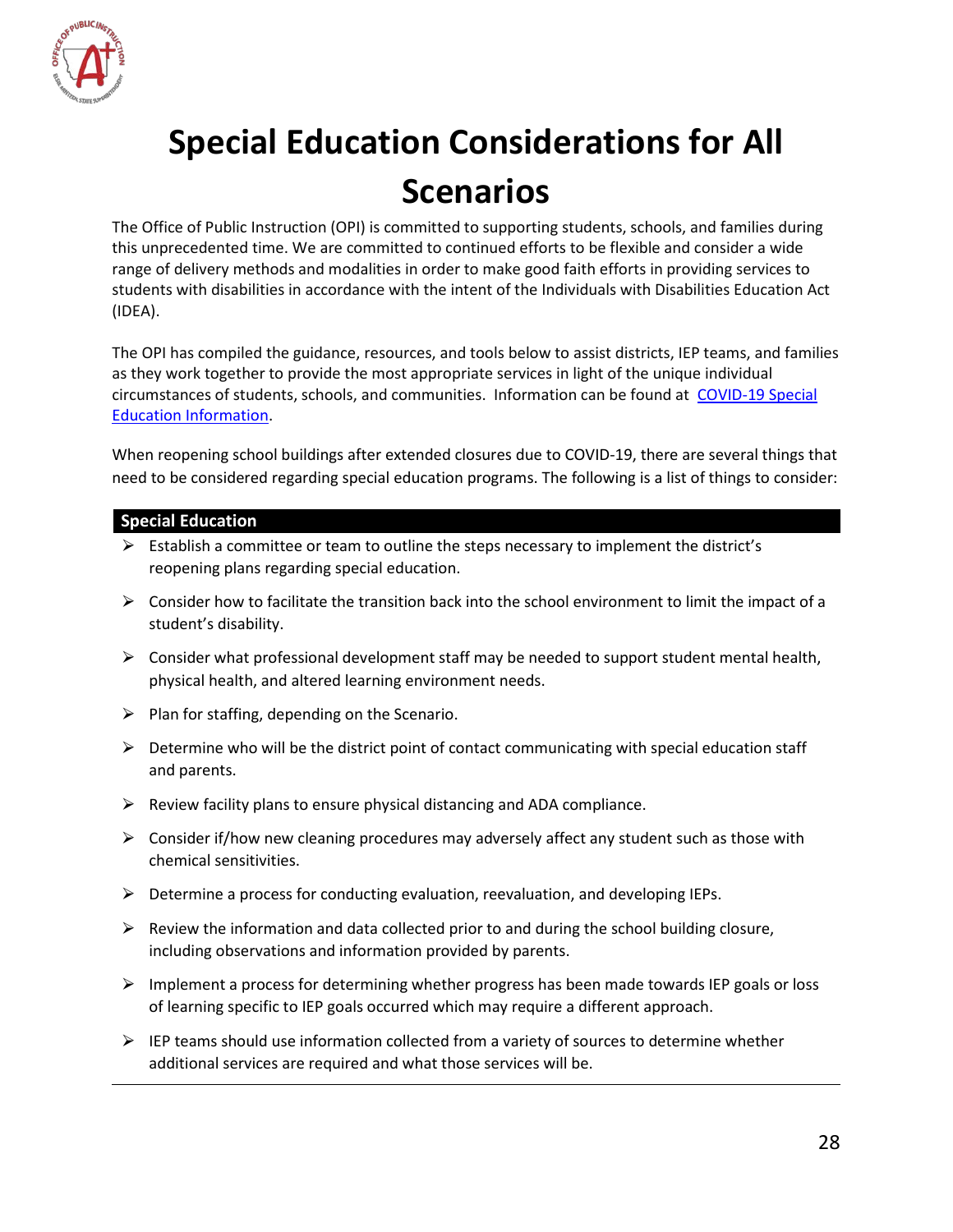

# <span id="page-28-0"></span>**Special Education Considerations for All Scenarios**

The Office of Public Instruction (OPI) is committed to supporting students, schools, and families during this unprecedented time. We are committed to continued efforts to be flexible and consider a wide range of delivery methods and modalities in order to make good faith efforts in providing services to students with disabilities in accordance with the intent of the Individuals with Disabilities Education Act (IDEA).

The OPI has compiled the guidance, resources, and tools below to assist districts, IEP teams, and families as they work together to provide the most appropriate services in light of the unique individual circumstances of students, schools, and communities. Information can be found at [COVID-19 Special](http://opi.mt.gov/Educators/Teaching-Learning/Special-Education/COVID-19-Special-Education-Information)  [Education Information.](http://opi.mt.gov/Educators/Teaching-Learning/Special-Education/COVID-19-Special-Education-Information)

When reopening school buildings after extended closures due to COVID-19, there are several things that need to be considered regarding special education programs. The following is a list of things to consider:

#### **Special Education**

- $\triangleright$  Establish a committee or team to outline the steps necessary to implement the district's reopening plans regarding special education.
- $\triangleright$  Consider how to facilitate the transition back into the school environment to limit the impact of a student's disability.
- $\triangleright$  Consider what professional development staff may be needed to support student mental health, physical health, and altered learning environment needs.
- $\triangleright$  Plan for staffing, depending on the Scenario.
- ⮚ Determine who will be the district point of contact communicating with special education staff and parents.
- $\triangleright$  Review facility plans to ensure physical distancing and ADA compliance.
- $\triangleright$  Consider if/how new cleaning procedures may adversely affect any student such as those with chemical sensitivities.
- $\triangleright$  Determine a process for conducting evaluation, reevaluation, and developing IEPs.
- $\triangleright$  Review the information and data collected prior to and during the school building closure, including observations and information provided by parents.
- $\triangleright$  Implement a process for determining whether progress has been made towards IEP goals or loss of learning specific to IEP goals occurred which may require a different approach.
- $\triangleright$  IEP teams should use information collected from a variety of sources to determine whether additional services are required and what those services will be.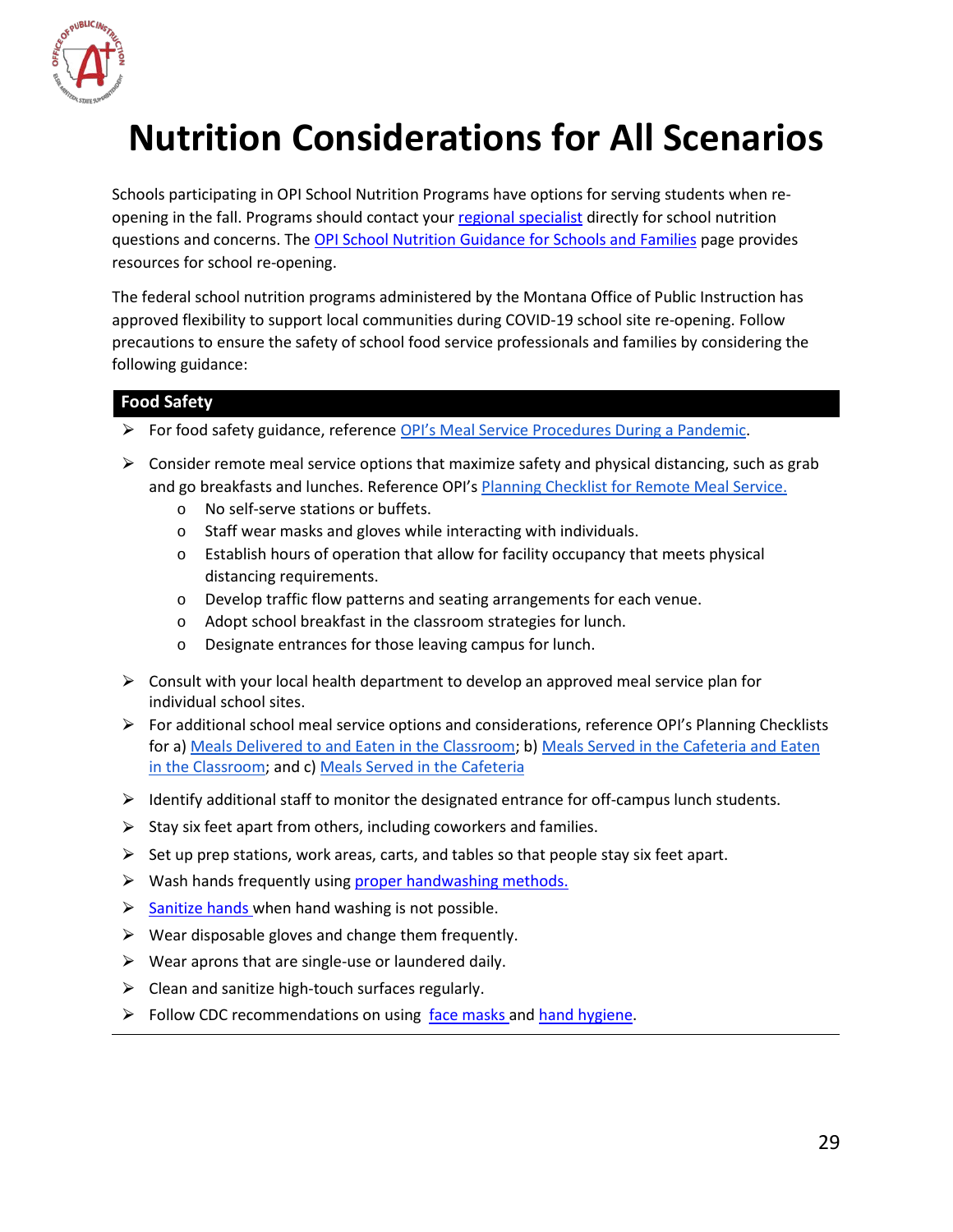

# <span id="page-29-0"></span>**Nutrition Considerations for All Scenarios**

Schools participating in OPI School Nutrition Programs have options for serving students when reopening in the fall. Programs should contact you[r regional specialist](http://opi.mt.gov/Leadership/Management-Operations/School-Nutrition/SystemsLogin) directly for school nutrition questions and concerns. The [OPI School Nutrition Guidance for Schools and Families](http://opi.mt.gov/Re-opening-Schools#9545810689-school-nutrition) page provides resources for school re-opening.

The federal school nutrition programs administered by the Montana Office of Public Instruction has approved flexibility to support local communities during COVID-19 school site re-opening. Follow precautions to ensure the safety of school food service professionals and families by considering the following guidance:

#### **Food Safety**

- ▶ For food safety guidance, reference [OPI's Meal Service Procedures During a Pandemic.](http://opi.mt.gov/LinkClick.aspx?fileticket=qLep6sP1KGE%3d&portalid=182)
- $\triangleright$  Consider remote meal service options that maximize safety and physical distancing, such as grab and go breakfasts and lunches. Reference OPI'[s Planning Checklist for Remote Meal Service.](http://opi.mt.gov/LinkClick.aspx?fileticket=g9cp0QsZPqM%3d&portalid=182)
	- o No self-serve stations or buffets.
	- o Staff wear masks and gloves while interacting with individuals.
	- o Establish hours of operation that allow for facility occupancy that meets physical distancing requirements.
	- o Develop traffic flow patterns and seating arrangements for each venue.
	- o Adopt school breakfast in the classroom strategies for lunch.
	- o Designate entrances for those leaving campus for lunch.
- $\triangleright$  Consult with your local health department to develop an approved meal service plan for individual school sites.
- $\triangleright$  For additional school meal service options and considerations, reference OPI's Planning Checklists for a) [Meals Delivered to and Eaten in the Classroom;](http://opi.mt.gov/LinkClick.aspx?fileticket=S-UmM-avJM0%3d&portalid=182) b) [Meals Served in the Cafeteria and Eaten](http://opi.mt.gov/LinkClick.aspx?fileticket=Zm5spnDLSvI%3d&portalid=182)  [in the Classroom;](http://opi.mt.gov/LinkClick.aspx?fileticket=Zm5spnDLSvI%3d&portalid=182) and c[\) Meals Served in the Cafeteria](http://opi.mt.gov/LinkClick.aspx?fileticket=yTZJlvAn_-0%3d&portalid=182)
- $\triangleright$  Identify additional staff to monitor the designated entrance for off-campus lunch students.
- $\triangleright$  Stay six feet apart from others, including coworkers and families.
- $\triangleright$  Set up prep stations, work areas, carts, and tables so that people stay six feet apart.
- $\triangleright$  Wash hands frequently using [proper handwashing methods.](https://www.cdc.gov/handwashing/when-how-handwashing.html)
- $\triangleright$  [Sanitize hands w](https://www.cdc.gov/coronavirus/2019-ncov/hcp/hand-hygiene.html)hen hand washing is not possible.
- $\triangleright$  Wear disposable gloves and change them frequently.
- $\triangleright$  Wear aprons that are single-use or laundered daily.
- $\triangleright$  Clean and sanitize high-touch surfaces regularly.
- $\triangleright$  Follow CDC recommendations on using [face masks a](https://www.cdc.gov/coronavirus/2019-ncov/prevent-getting-sick/diy-cloth-face-coverings.html)nd [hand hygiene.](https://www.cdc.gov/coronavirus/2019-ncov/hcp/hand-hygiene.html)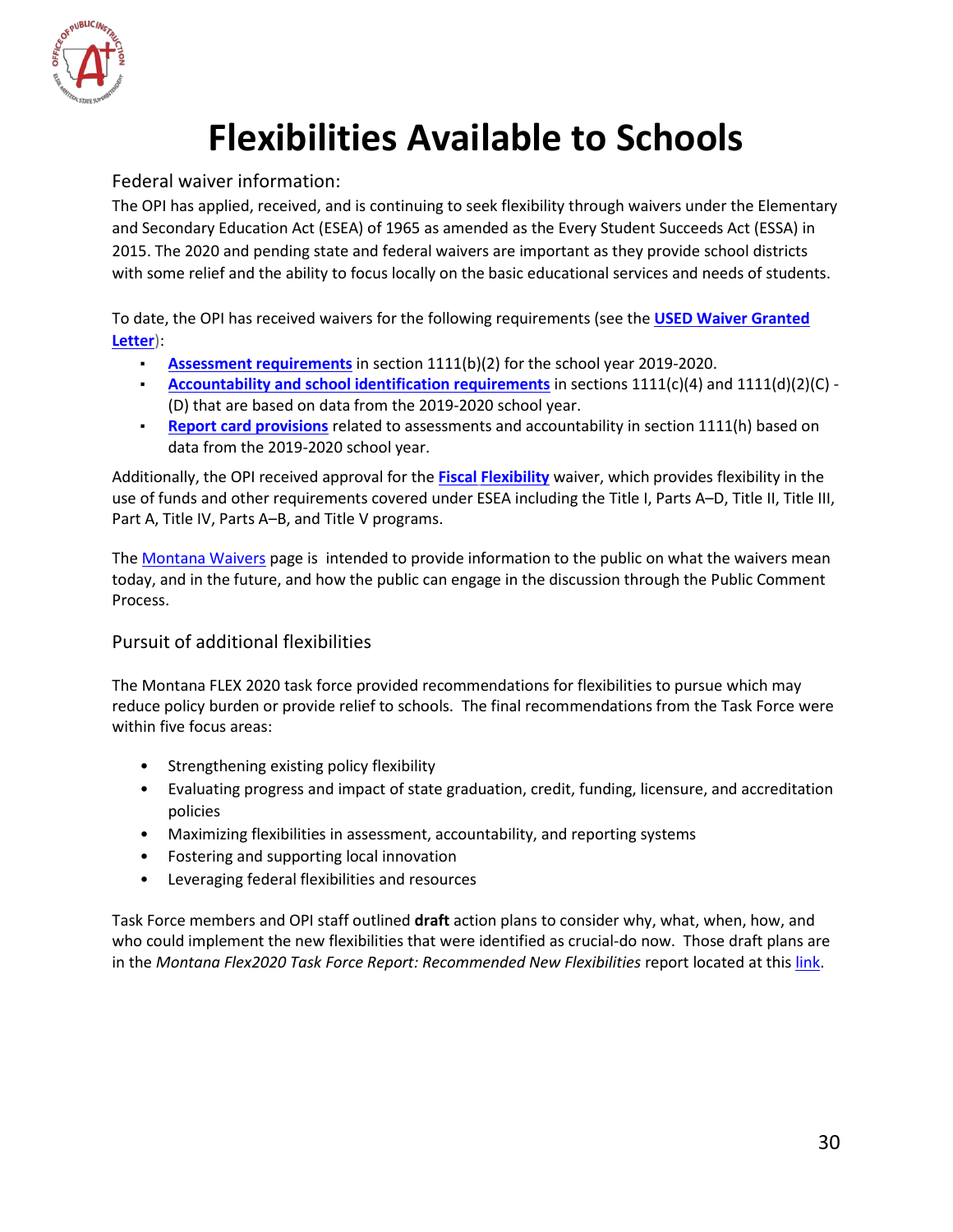

# **Flexibilities Available to Schools**

#### <span id="page-30-1"></span><span id="page-30-0"></span>Federal waiver information:

The OPI has applied, received, and is continuing to seek flexibility through waivers under the Elementary and Secondary Education Act (ESEA) of 1965 as amended as the Every Student Succeeds Act (ESSA) in 2015. The 2020 and pending state and federal waivers are important as they provide school districts with some relief and the ability to focus locally on the basic educational services and needs of students.

To date, the OPI has received waivers for the following requirements (see the **[USED Waiver Granted](https://drive.google.com/file/d/17kbfLmwa-m0gIRFIYElspOgXyVN5KGD3/view?usp=sharing)  [Letter](https://drive.google.com/file/d/17kbfLmwa-m0gIRFIYElspOgXyVN5KGD3/view?usp=sharing)**):

- **[Assessment requirements](https://sites.google.com/a/opiconnect.org/2020-montana-waivers/sub2)** in section 1111(b)(2) for the school year 2019-2020.
- **[Accountability and school identification requirements](https://sites.google.com/a/opiconnect.org/2020-montana-waivers/sub2)** in sections 1111(c)(4) and 1111(d)(2)(C) (D) that are based on data from the 2019-2020 school year.
- **[Report card provisions](https://sites.google.com/a/opiconnect.org/2020-montana-waivers/sub2)** related to assessments and accountability in section 1111(h) based on data from the 2019-2020 school year.

Additionally, the OPI received approval for the **[Fiscal](https://sites.google.com/a/opiconnect.org/2020-montana-waivers/sub2) [Flexibility](https://sites.google.com/a/opiconnect.org/2020-montana-waivers/sub2)** waiver, which provides flexibility in the use of funds and other requirements covered under ESEA including the Title I, Parts A–D, Title II, Title III, Part A, Title IV, Parts A–B, and Title V programs.

The [Montana Waivers](https://sites.google.com/a/opiconnect.org/2020-montana-waivers/) page is intended to provide information to the public on what the waivers mean today, and in the future, and how the public can engage in the discussion through the Public Comment Process.

#### <span id="page-30-2"></span>Pursuit of additional flexibilities

The Montana FLEX 2020 task force provided recommendations for flexibilities to pursue which may reduce policy burden or provide relief to schools. The final recommendations from the Task Force were within five focus areas:

- Strengthening existing policy flexibility
- Evaluating progress and impact of state graduation, credit, funding, licensure, and accreditation policies
- Maximizing flexibilities in assessment, accountability, and reporting systems
- Fostering and supporting local innovation
- Leveraging federal flexibilities and resources

Task Force members and OPI staff outlined **draft** action plans to consider why, what, when, how, and who could implement the new flexibilities that were identified as crucial-do now. Those draft plans are in the *Montana Flex2020 Task Force Report: Recommended New Flexibilities report located at this [link.](http://opi.mt.gov/Portals/182/Page%20Files/MT%20Flex%202020%20Task%20Force/FLEX2020%20Report%20on%20New%20Recommended%20Flexibilities_Final7.1.pdf?ver=2020-07-02-095625-797)*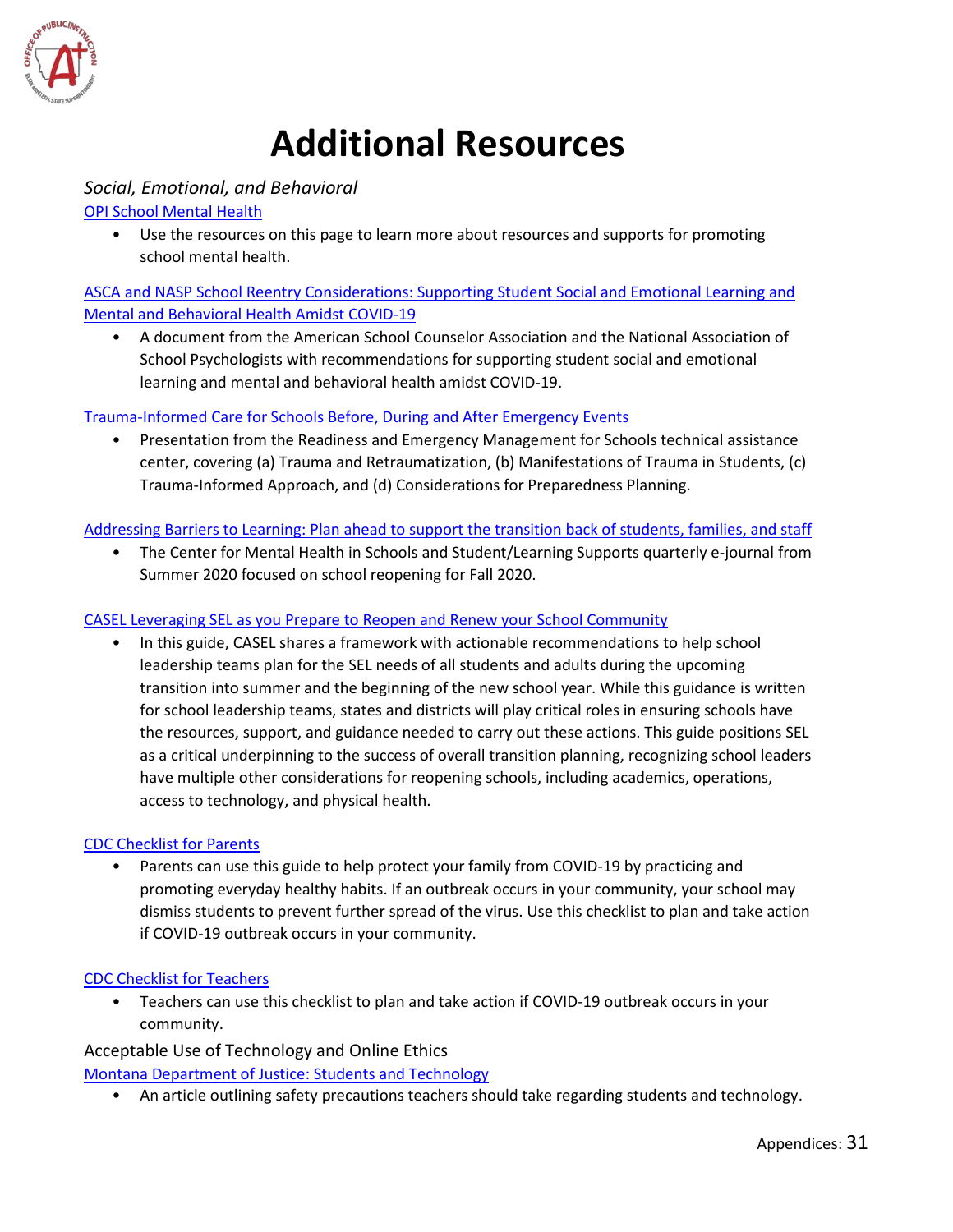

# **Additional Resources**

#### <span id="page-31-1"></span><span id="page-31-0"></span>*Social, Emotional, and Behavioral*

[OPI School Mental Health](http://opi.mt.gov/Educators/School-Climate-Student-Wellness/School-Mental-Health)

• Use the resources on this page to learn more about resources and supports for promoting school mental health.

[ASCA and NASP School Reentry Considerations: Supporting Student Social and Emotional Learning and](https://www.schoolcounselor.org/asca/media/asca/Publications/SchoolReentry.pdf)  [Mental and Behavioral Health Amidst COVID-19](https://www.schoolcounselor.org/asca/media/asca/Publications/SchoolReentry.pdf)

• A document from the American School Counselor Association and the National Association of School Psychologists with recommendations for supporting student social and emotional learning and mental and behavioral health amidst COVID-19.

[Trauma-Informed Care for Schools Before, During and After Emergency Events](https://rems.ed.gov/docs/Trauma-Informed_Care_for_Schools_Presentation_508C.pdf)

• Presentation from the Readiness and Emergency Management for Schools technical assistance center, covering (a) Trauma and Retraumatization, (b) Manifestations of Trauma in Students, (c) Trauma-Informed Approach, and (d) Considerations for Preparedness Planning.

Addressing Barriers to Learning: Plan ahead to [support the transition back of students, families,](http://smhp.psych.ucla.edu/pdfdocs/newsletter/spring20.pdf) and staff

• The Center for Mental Health in Schools and Student/Learning Supports quarterly e-journal from Summer 2020 focused on school reopening for Fall 2020.

#### [CASEL Leveraging SEL as you Prepare to Reopen and Renew your School Community](https://casel.org/wp-content/uploads/2020/05/CASEL_Leveraging-SEL-as-You-Prepare-to-Reopen-and-Renew.pdf)

• In this guide, CASEL shares a framework with actionable recommendations to help school leadership teams plan for the SEL needs of all students and adults during the upcoming transition into summer and the beginning of the new school year. While this guidance is written for school leadership teams, states and districts will play critical roles in ensuring schools have the resources, support, and guidance needed to carry out these actions. This guide positions SEL as a critical underpinning to the success of overall transition planning, recognizing school leaders have multiple other considerations for reopening schools, including academics, operations, access to technology, and physical health.

#### [CDC Checklist for Parents](https://www.cdc.gov/coronavirus/2019-ncov/downloads/schools-checklist-parents.pdf)

• Parents can use this guide to help protect your family from COVID-19 by practicing and promoting everyday healthy habits. If an outbreak occurs in your community, your school may dismiss students to prevent further spread of the virus. Use this checklist to plan and take action if COVID-19 outbreak occurs in your community.

#### [CDC Checklist for Teachers](https://www.cdc.gov/coronavirus/2019-ncov/downloads/schools-checklist-teachers.pdf)

• Teachers can use this checklist to plan and take action if COVID-19 outbreak occurs in your community.

Acceptable Use of Technology and Online Ethics

[Montana Department of Justice: Students and Technology](https://dojmt.gov/safeinyourspace/for-educators-students-and-technology/)

• An article outlining safety precautions teachers should take regarding students and technology.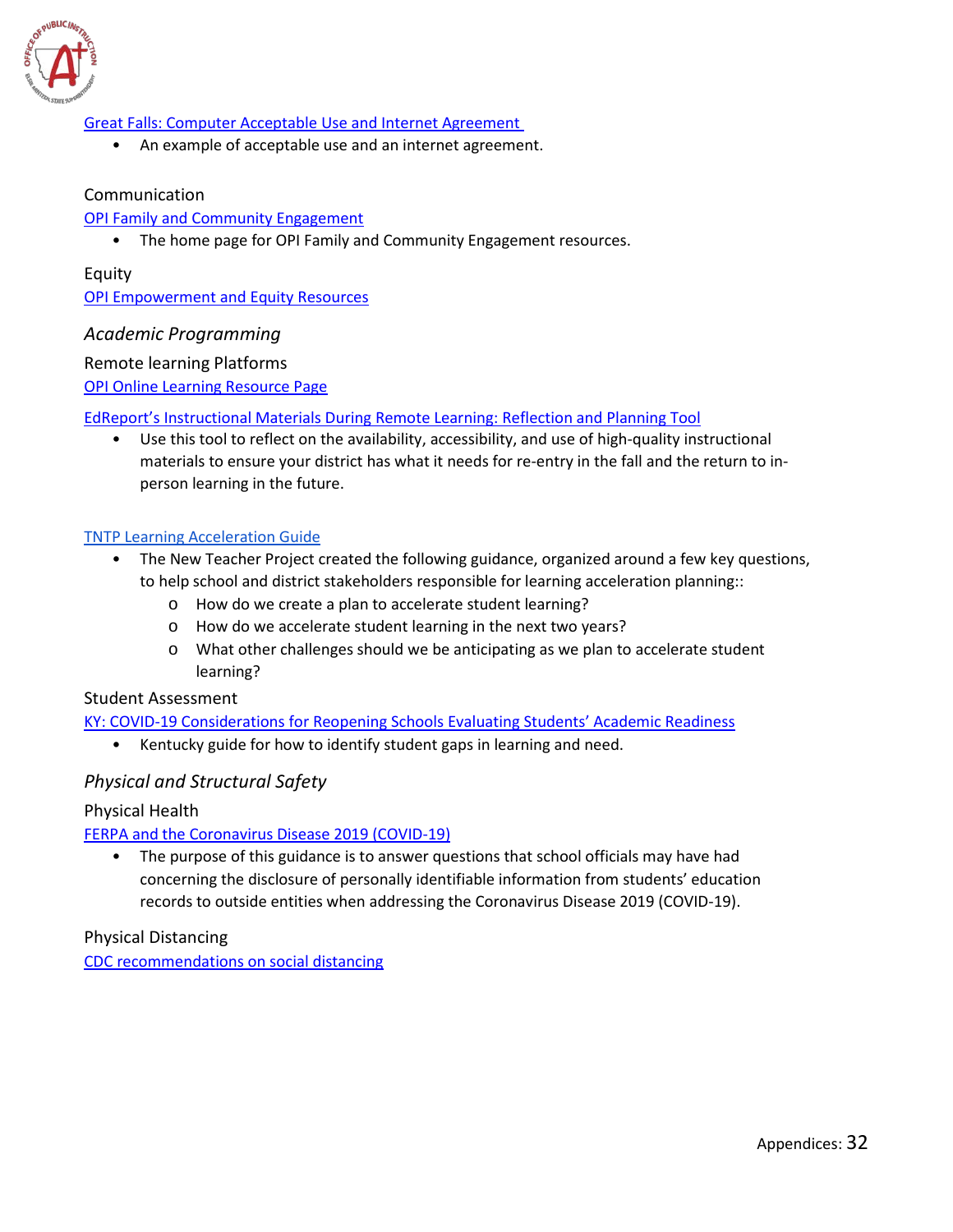

#### [Great Falls: Computer Acceptable Use and Internet Agreement](https://gfps.k12.mt.us/sites/default/files/7-12AUP.pdf)

• An example of acceptable use and an internet agreement.

#### Communication

#### [OPI Family and Community Engagement](http://opi.mt.gov/Leadership/Academic-Success/Family-and-Community-Engagement#839479034-welcomed-valued-and-connected)

• The home page for OPI Family and Community Engagement resources.

#### Equity [OPI Empowerment and Equity](http://opi.mt.gov/Leadership/Academic-Success/Family-and-Community-Engagement#839479037-empowerment-and-equity) Resources

#### <span id="page-32-0"></span>*Academic Programming*

#### Remote learning Platforms

[OPI Online Learning Resource Page](http://opi.mt.gov/Educators/Teaching-Learning/Online-Learning-Resources)

#### [EdReport's](https://edreports.org/resources/article/instructional-materials-during-remote-learning-reflection-and-planning-tool) [Instructional Materials During Remote Learning: Reflection and Planning Tool](https://edreports.org/resources/article/instructional-materials-during-remote-learning-reflection-and-planning-tool)

• Use this tool to reflect on the availability, accessibility, and use of high-quality instructional materials to ensure your district has what it needs for re-entry in the fall and the return to inperson learning in the future.

#### [TNTP Learning Acceleration Guide](https://tntp.org/covid-19-school-response-toolkit/view/learning-acceleration-guide)

- The New Teacher Project created the following guidance, organized around a few key questions, to help school and district stakeholders responsible for learning acceleration planning::
	- o How do we create a plan to accelerate student learning?
	- o How do we accelerate student learning in the next two years?
	- o What other challenges should we be anticipating as we plan to accelerate student learning?

#### Student Assessment

#### KY: COVID-19 Considerations for [Reopening Schools Evaluating Students' Academic Readiness](https://education.ky.gov/comm/Documents/Reopening%20Evaluating%20Students%20Academic%20Readiness%20MC.pdf)

• Kentucky guide for how to identify student gaps in learning and need.

#### <span id="page-32-1"></span>*Physical and Structural Safety*

#### Physical Health

#### [FERPA and the Coronavirus Disease 2019 \(COVID-19\)](https://studentprivacy.ed.gov/resources/ferpa-and-coronavirus-disease-2019-covid-19)

• The purpose of this guidance is to answer questions that school officials may have had concerning the disclosure of personally identifiable information from students' education records to outside entities when addressing the Coronavirus Disease 2019 (COVID-19).

#### Physical Distancing

[CDC recommendations on social distancing](https://www.cdc.gov/coronavirus/2019-ncov/prevent-getting-sick/social-distancing.html)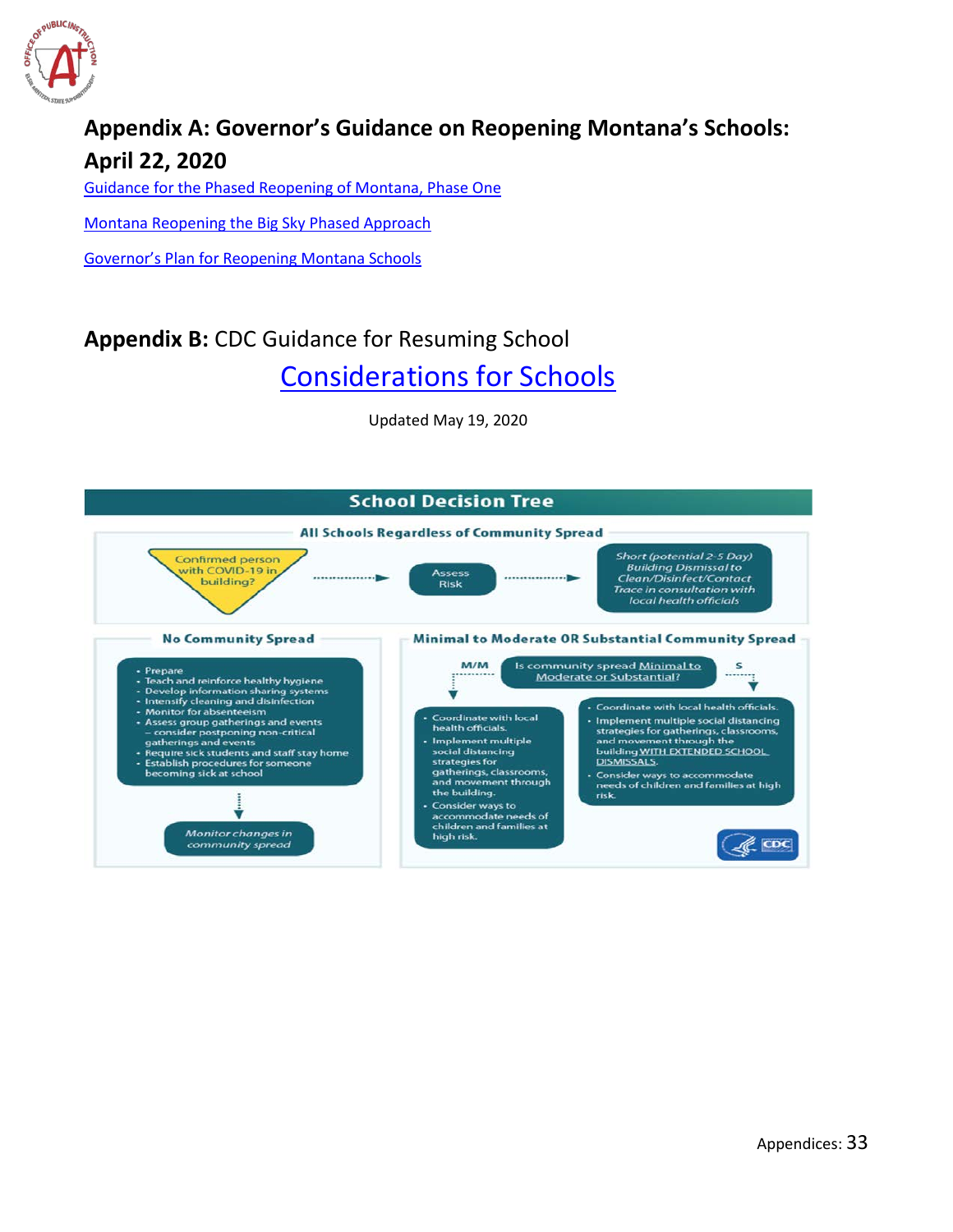

## <span id="page-33-0"></span>**Appendix A: Governor's Guidance on Reopening Montana's Schools: April 22, 2020**

[Guidance for the Phased Reopening of Montana, Phase One](https://covid19.mt.gov/Portals/223/Documents/04-22-20%20Directive%20and%20Appx%20-%20Reopening%20Phase%20One.pdf?ver=2020-04-22-124954-977)

[Montana Reopening the Big Sky Phased Approach](https://covid19.mt.gov/Portals/223/Documents/Reopening%20Montana%20Phase%202.pdf?ver=2020-05-20-142015-167%20%20%20%20%20%20%20)

[Governor's Plan for Reopening Montana Schools](https://covid19.mt.gov/Portals/223/Documents/Education%20Final.pdf?ver=2020-07-02-123418-013)

### <span id="page-33-1"></span>**Appendix B:** CDC Guidance for Resuming School

[Considerations for Schools](https://www.cdc.gov/coronavirus/2019-ncov/community/schools-childcare/schools.html)

Updated May 19, 2020

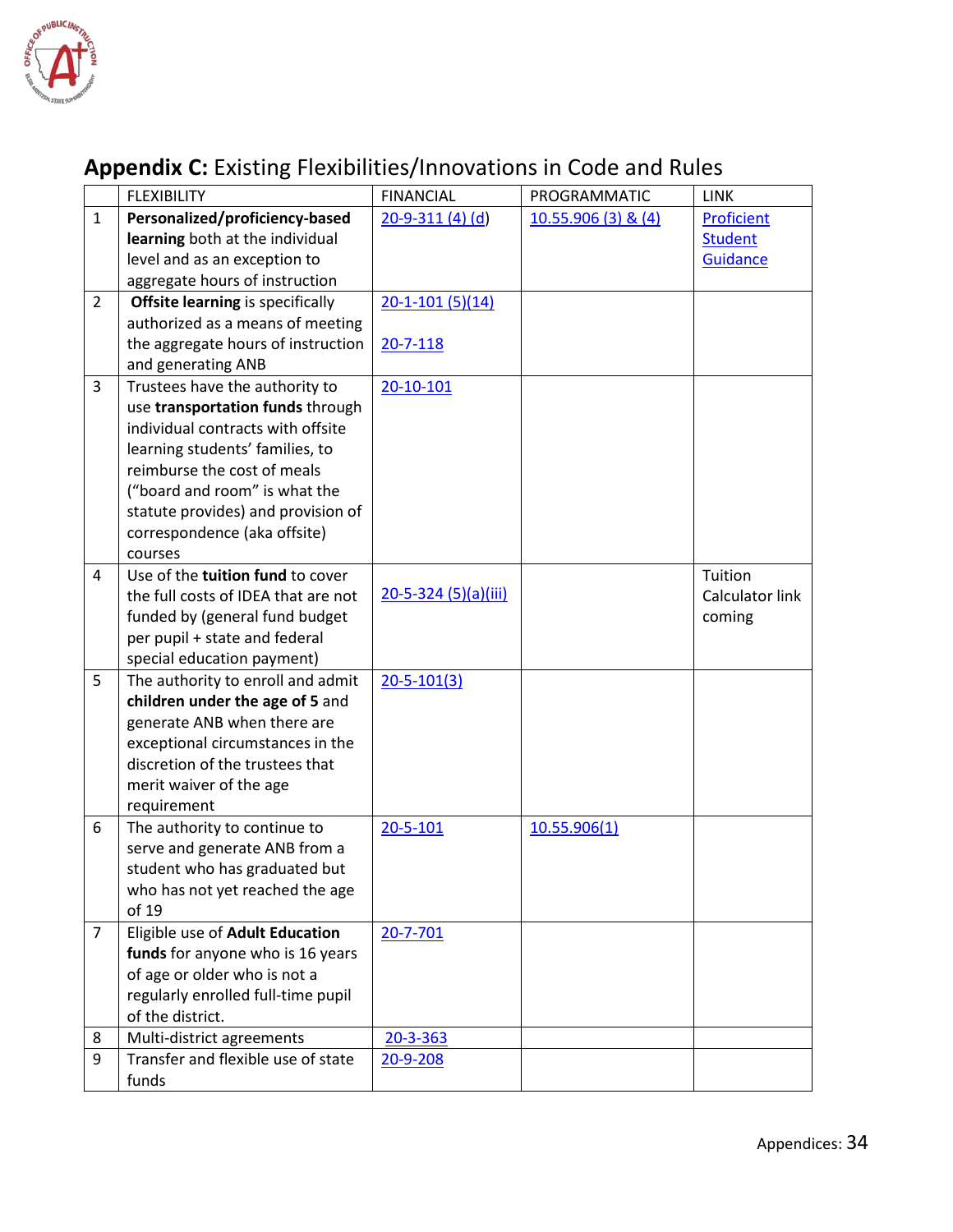

## <span id="page-34-0"></span>**Appendix C:** Existing Flexibilities/Innovations in Code and Rules

|                | <b>FLEXIBILITY</b>                      | <b>FINANCIAL</b>      | PROGRAMMATIC         | <b>LINK</b>            |
|----------------|-----------------------------------------|-----------------------|----------------------|------------------------|
| $\mathbf{1}$   | Personalized/proficiency-based          | $20 - 9 - 311(4)(d)$  | $10.55.906(3)$ & (4) | Proficient             |
|                | learning both at the individual         |                       |                      | <b>Student</b>         |
|                | level and as an exception to            |                       |                      | <b>Guidance</b>        |
|                | aggregate hours of instruction          |                       |                      |                        |
| $\overline{2}$ | <b>Offsite learning is specifically</b> | $20 - 1 - 101(5)(14)$ |                      |                        |
|                | authorized as a means of meeting        |                       |                      |                        |
|                | the aggregate hours of instruction      | 20-7-118              |                      |                        |
|                | and generating ANB                      |                       |                      |                        |
| 3              | Trustees have the authority to          | 20-10-101             |                      |                        |
|                | use transportation funds through        |                       |                      |                        |
|                | individual contracts with offsite       |                       |                      |                        |
|                | learning students' families, to         |                       |                      |                        |
|                | reimburse the cost of meals             |                       |                      |                        |
|                | ("board and room" is what the           |                       |                      |                        |
|                | statute provides) and provision of      |                       |                      |                        |
|                | correspondence (aka offsite)            |                       |                      |                        |
|                | courses                                 |                       |                      |                        |
| 4              | Use of the tuition fund to cover        |                       |                      | Tuition                |
|                | the full costs of IDEA that are not     | 20-5-324 (5)(a)(iii)  |                      | <b>Calculator link</b> |
|                | funded by (general fund budget          |                       |                      | coming                 |
|                | per pupil + state and federal           |                       |                      |                        |
|                | special education payment)              |                       |                      |                        |
| 5              | The authority to enroll and admit       | $20 - 5 - 101(3)$     |                      |                        |
|                | children under the age of 5 and         |                       |                      |                        |
|                | generate ANB when there are             |                       |                      |                        |
|                | exceptional circumstances in the        |                       |                      |                        |
|                | discretion of the trustees that         |                       |                      |                        |
|                | merit waiver of the age                 |                       |                      |                        |
|                | requirement                             |                       |                      |                        |
| 6              | The authority to continue to            | 20-5-101              | 10.55.906(1)         |                        |
|                | serve and generate ANB from a           |                       |                      |                        |
|                | student who has graduated but           |                       |                      |                        |
|                | who has not yet reached the age         |                       |                      |                        |
|                | of 19                                   |                       |                      |                        |
| $\overline{7}$ | Eligible use of Adult Education         | 20-7-701              |                      |                        |
|                | funds for anyone who is 16 years        |                       |                      |                        |
|                | of age or older who is not a            |                       |                      |                        |
|                | regularly enrolled full-time pupil      |                       |                      |                        |
|                | of the district.                        |                       |                      |                        |
| 8              | Multi-district agreements               | $20 - 3 - 363$        |                      |                        |
| 9              | Transfer and flexible use of state      | 20-9-208              |                      |                        |
|                | funds                                   |                       |                      |                        |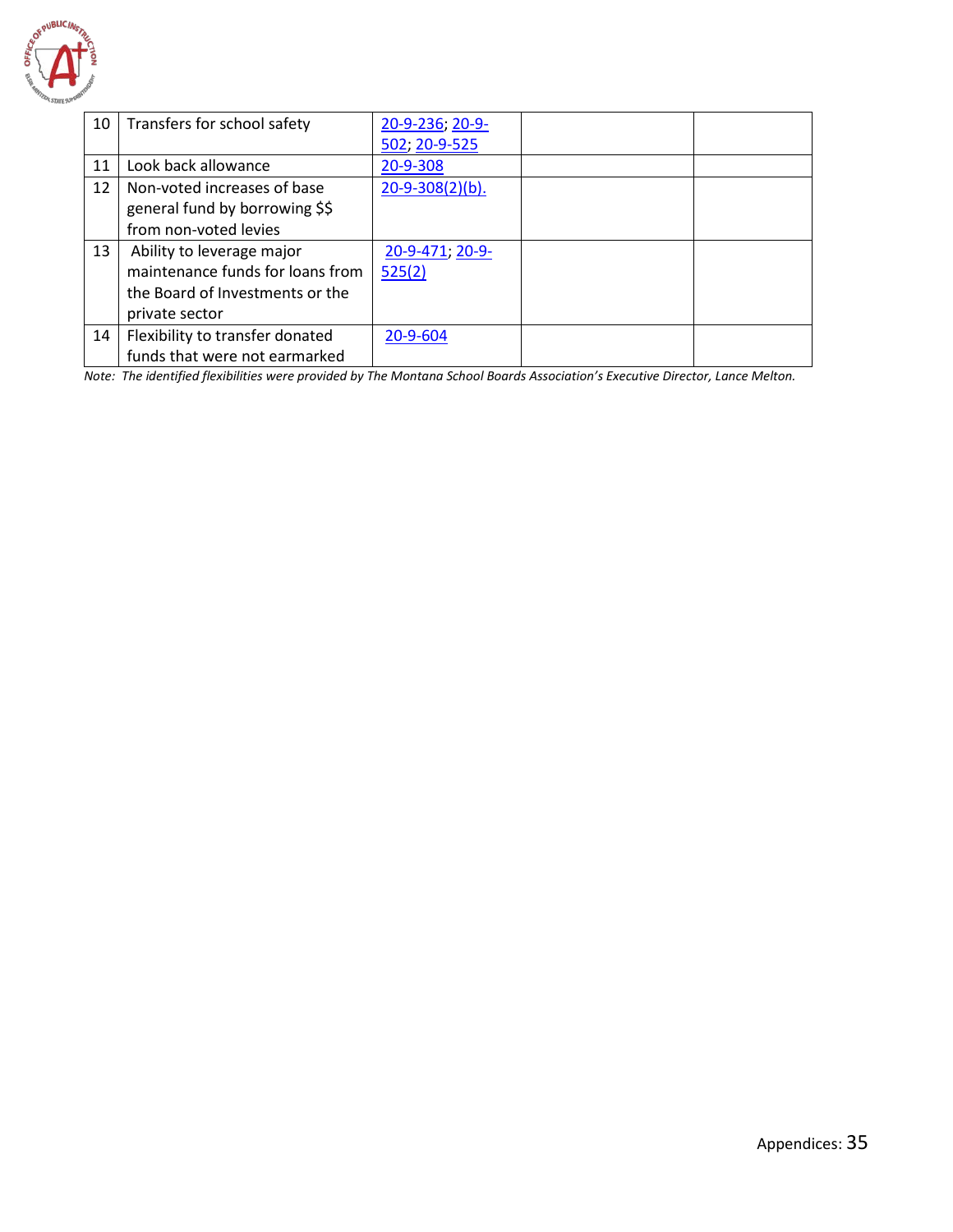

| 10 | Transfers for school safety      | 20-9-236; 20-9-        |  |
|----|----------------------------------|------------------------|--|
|    |                                  | 502; 20-9-525          |  |
| 11 | Look back allowance              | 20-9-308               |  |
| 12 | Non-voted increases of base      | $20 - 9 - 308(2)(b)$ . |  |
|    | general fund by borrowing \$\$   |                        |  |
|    | from non-voted levies            |                        |  |
| 13 | Ability to leverage major        | 20-9-471, 20-9-        |  |
|    | maintenance funds for loans from | 525(2)                 |  |
|    | the Board of Investments or the  |                        |  |
|    | private sector                   |                        |  |
| 14 | Flexibility to transfer donated  | 20-9-604               |  |
|    | funds that were not earmarked    |                        |  |

*Note: The identified flexibilities were provided by The Montana School Boards Association's Executive Director, Lance Melton.*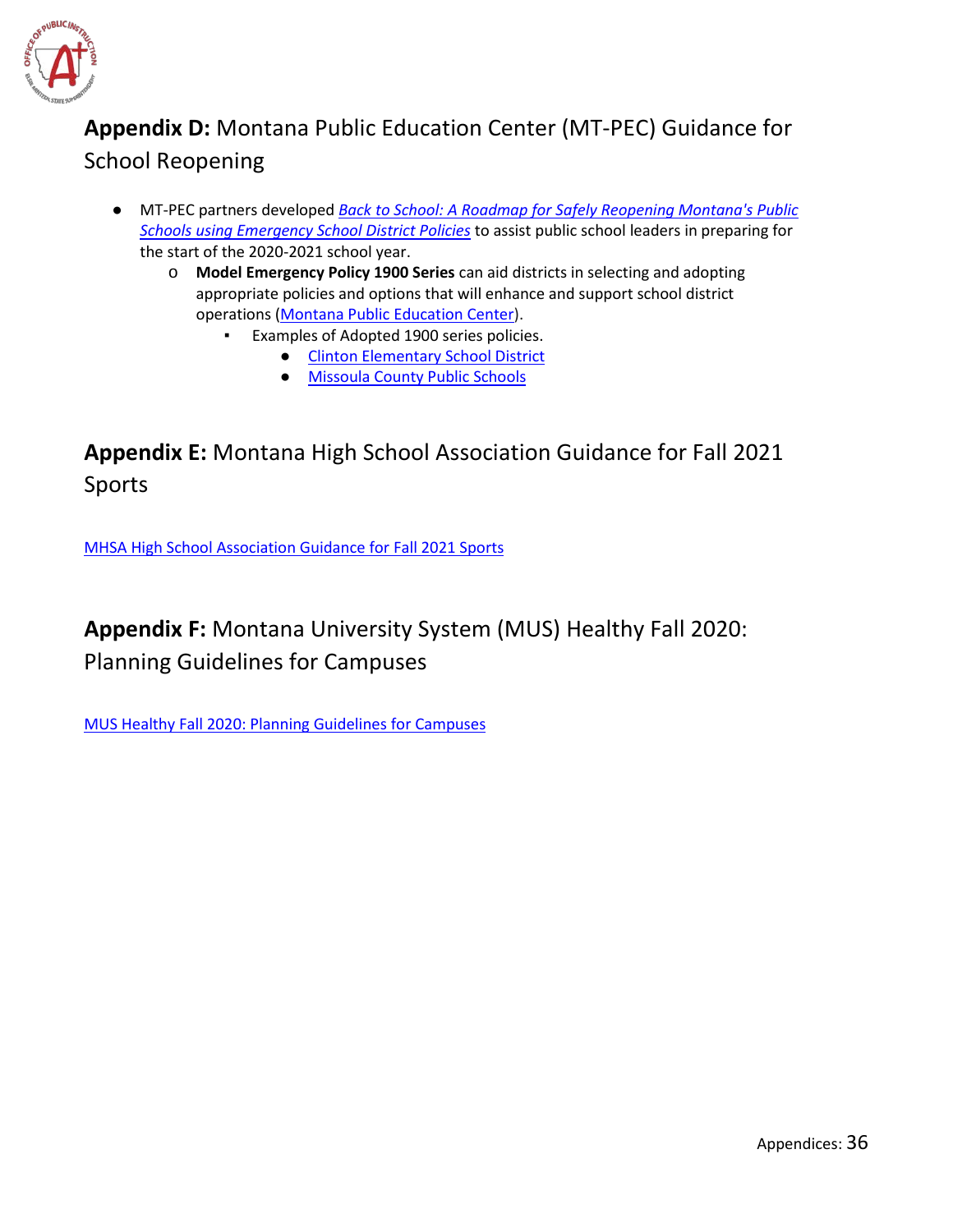

## <span id="page-36-0"></span>**Appendix D:** Montana Public Education Center (MT-PEC) Guidance for School Reopening

- MT-PEC partners developed *[Back to School: A Roadmap for Safely Reopening Montana's Public](http://mt-pec.org/home)  [Schools using Emergency School District Policies](http://mt-pec.org/home)* to assist public school leaders in preparing for the start of the 2020-2021 school year.
	- o **Model Emergency Policy 1900 Series** can aid districts in selecting and adopting appropriate policies and options that will enhance and support school district operations [\(Montana Public Education Center\)](https://www.mt-pec.org/home).
		- Examples of Adopted 1900 series policies.
			- [Clinton Elementary School District](http://ces-csd32-mt.schoolloop.com/file/1327737856615/1335087498092/24452465667502374591523282284724.pdf)
			- [Missoula County Public Schools](https://www.mcpsmt.org/domain/692)

### <span id="page-36-1"></span>**Appendix E:** Montana High School Association Guidance for Fall 2021 Sports

[MHSA High School Association Guidance for Fall 2021 Sports](https://www.mhsa.org/news_article/show/794594)

### **Appendix F:** Montana University System (MUS) Healthy Fall 2020: Planning Guidelines for Campuses

[MUS Healthy Fall 2020: Planning Guidelines for Campuses](https://mus.edu/coronavirus/healthy-fall-2020-planning.html)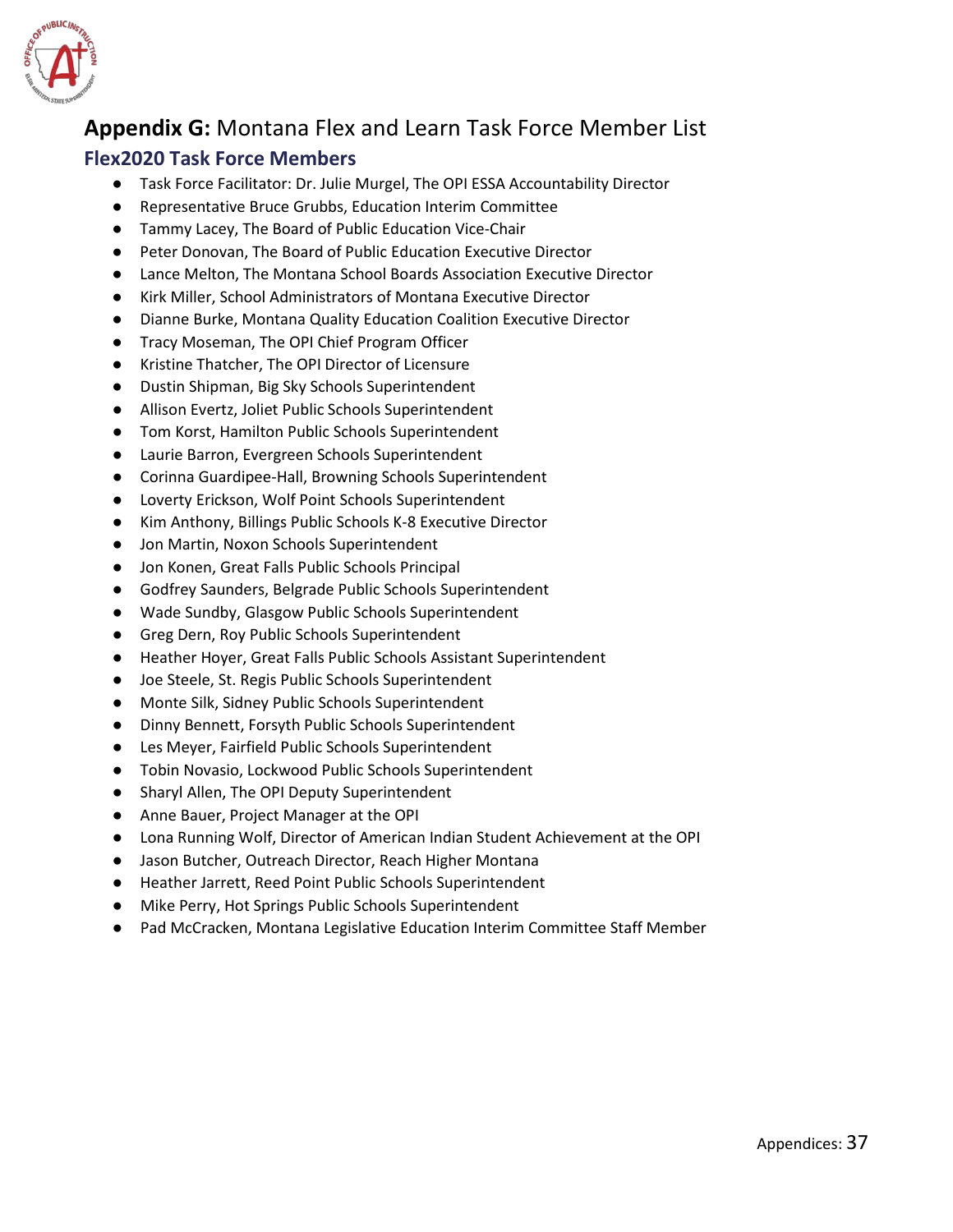

### <span id="page-37-0"></span>**Appendix G:** Montana Flex and Learn Task Force Member List

#### **Flex2020 Task Force Members**

- Task Force Facilitator: Dr. Julie Murgel, The OPI ESSA Accountability Director
- Representative Bruce Grubbs, Education Interim Committee
- Tammy Lacey, The Board of Public Education Vice-Chair
- Peter Donovan, The Board of Public Education Executive Director
- Lance Melton, The Montana School Boards Association Executive Director
- Kirk Miller, School Administrators of Montana Executive Director
- Dianne Burke, Montana Quality Education Coalition Executive Director
- Tracy Moseman, The OPI Chief Program Officer
- Kristine Thatcher, The OPI Director of Licensure
- Dustin Shipman, Big Sky Schools Superintendent
- Allison Evertz, Joliet Public Schools Superintendent
- Tom Korst, Hamilton Public Schools Superintendent
- Laurie Barron, Evergreen Schools Superintendent
- Corinna Guardipee-Hall, Browning Schools Superintendent
- Loverty Erickson, Wolf Point Schools Superintendent
- Kim Anthony, Billings Public Schools K-8 Executive Director
- Jon Martin, Noxon Schools Superintendent
- Jon Konen, Great Falls Public Schools Principal
- Godfrey Saunders, Belgrade Public Schools Superintendent
- Wade Sundby, Glasgow Public Schools Superintendent
- Greg Dern, Roy Public Schools Superintendent
- Heather Hoyer, Great Falls Public Schools Assistant Superintendent
- Joe Steele, St. Regis Public Schools Superintendent
- Monte Silk, Sidney Public Schools Superintendent
- Dinny Bennett, Forsyth Public Schools Superintendent
- Les Meyer, Fairfield Public Schools Superintendent
- Tobin Novasio, Lockwood Public Schools Superintendent
- Sharyl Allen, The OPI Deputy Superintendent
- Anne Bauer, Project Manager at the OPI
- Lona Running Wolf, Director of American Indian Student Achievement at the OPI
- Jason Butcher, Outreach Director, Reach Higher Montana
- Heather Jarrett, Reed Point Public Schools Superintendent
- Mike Perry, Hot Springs Public Schools Superintendent
- Pad McCracken, Montana Legislative Education Interim Committee Staff Member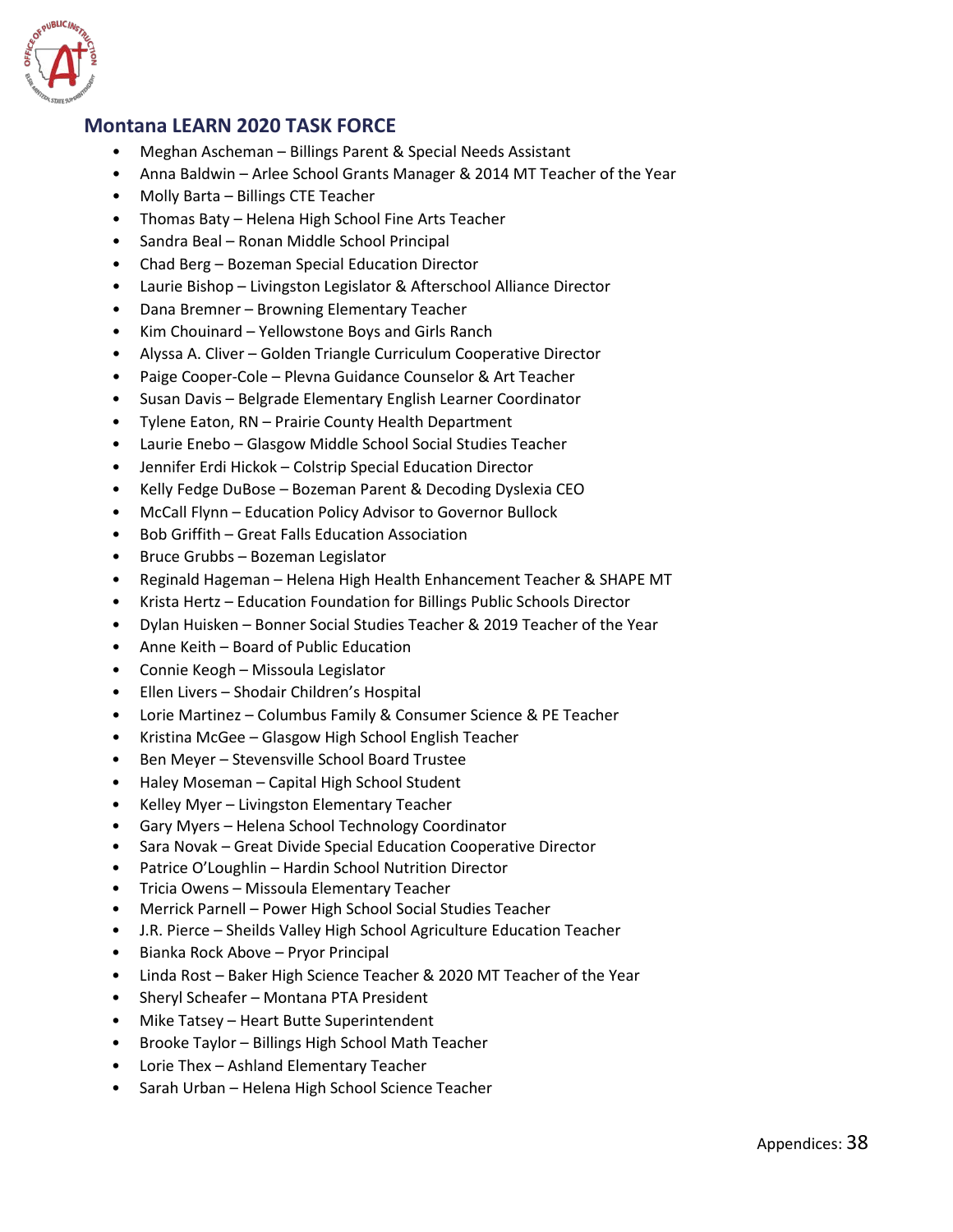

#### **Montana LEARN 2020 TASK FORCE**

- Meghan Ascheman Billings Parent & Special Needs Assistant
- Anna Baldwin Arlee School Grants Manager & 2014 MT Teacher of the Year
- Molly Barta Billings CTE Teacher
- Thomas Baty Helena High School Fine Arts Teacher
- Sandra Beal Ronan Middle School Principal
- Chad Berg Bozeman Special Education Director
- Laurie Bishop Livingston Legislator & Afterschool Alliance Director
- Dana Bremner Browning Elementary Teacher
- Kim Chouinard Yellowstone Boys and Girls Ranch
- Alyssa A. Cliver Golden Triangle Curriculum Cooperative Director
- Paige Cooper-Cole Plevna Guidance Counselor & Art Teacher
- Susan Davis Belgrade Elementary English Learner Coordinator
- Tylene Eaton, RN Prairie County Health Department
- Laurie Enebo Glasgow Middle School Social Studies Teacher
- Jennifer Erdi Hickok Colstrip Special Education Director
- Kelly Fedge DuBose Bozeman Parent & Decoding Dyslexia CEO
- McCall Flynn Education Policy Advisor to Governor Bullock
- Bob Griffith Great Falls Education Association
- Bruce Grubbs Bozeman Legislator
- Reginald Hageman Helena High Health Enhancement Teacher & SHAPE MT
- Krista Hertz Education Foundation for Billings Public Schools Director
- Dylan Huisken Bonner Social Studies Teacher & 2019 Teacher of the Year
- Anne Keith Board of Public Education
- Connie Keogh Missoula Legislator
- Ellen Livers Shodair Children's Hospital
- Lorie Martinez Columbus Family & Consumer Science & PE Teacher
- Kristina McGee Glasgow High School English Teacher
- Ben Meyer Stevensville School Board Trustee
- Haley Moseman Capital High School Student
- Kelley Myer Livingston Elementary Teacher
- Gary Myers Helena School Technology Coordinator
- Sara Novak Great Divide Special Education Cooperative Director
- Patrice O'Loughlin Hardin School Nutrition Director
- Tricia Owens Missoula Elementary Teacher
- Merrick Parnell Power High School Social Studies Teacher
- J.R. Pierce Sheilds Valley High School Agriculture Education Teacher
- Bianka Rock Above Pryor Principal
- Linda Rost Baker High Science Teacher & 2020 MT Teacher of the Year
- Sheryl Scheafer Montana PTA President
- Mike Tatsey Heart Butte Superintendent
- Brooke Taylor Billings High School Math Teacher
- Lorie Thex Ashland Elementary Teacher
- Sarah Urban Helena High School Science Teacher